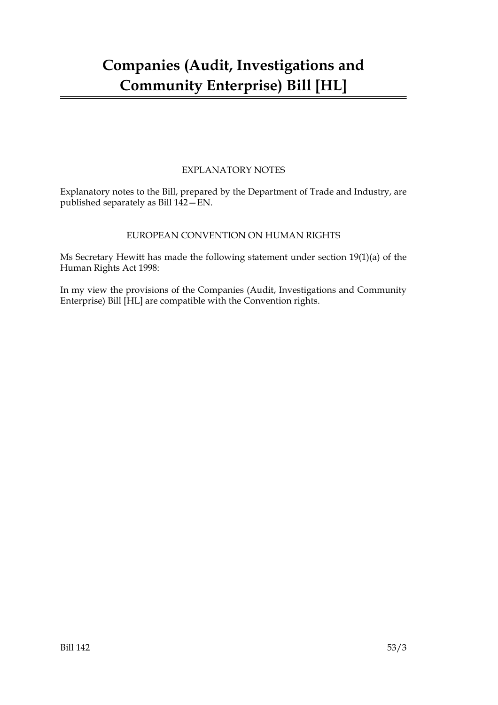# EXPLANATORY NOTES

Explanatory notes to the Bill, prepared by the Department of Trade and Industry, are published separately as Bill 142—EN.

# EUROPEAN CONVENTION ON HUMAN RIGHTS

Ms Secretary Hewitt has made the following statement under section 19(1)(a) of the Human Rights Act 1998:

In my view the provisions of the Companies (Audit, Investigations and Community Enterprise) Bill [HL] are compatible with the Convention rights.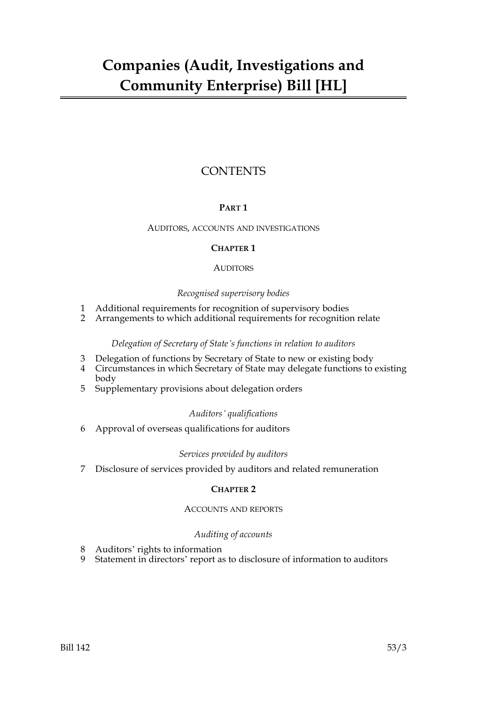# **CONTENTS**

# **PART 1**

# AUDITORS, ACCOUNTS AND INVESTIGATIONS

# **CHAPTER 1**

# **AUDITORS**

# *Recognised supervisory bodies*

- 1 Additional requirements for recognition of supervisory bodies
- 2 Arrangements to which additional requirements for recognition relate

# *Delegation of Secretary of State's functions in relation to auditors*

- 3 Delegation of functions by Secretary of State to new or existing body
- 4 Circumstances in which Secretary of State may delegate functions to existing body
- 5 Supplementary provisions about delegation orders

# *Auditors' qualifications*

6 Approval of overseas qualifications for auditors

# *Services provided by auditors*

7 Disclosure of services provided by auditors and related remuneration

# **CHAPTER 2**

# ACCOUNTS AND REPORTS

# *Auditing of accounts*

- 8 Auditors' rights to information
- 9 Statement in directors' report as to disclosure of information to auditors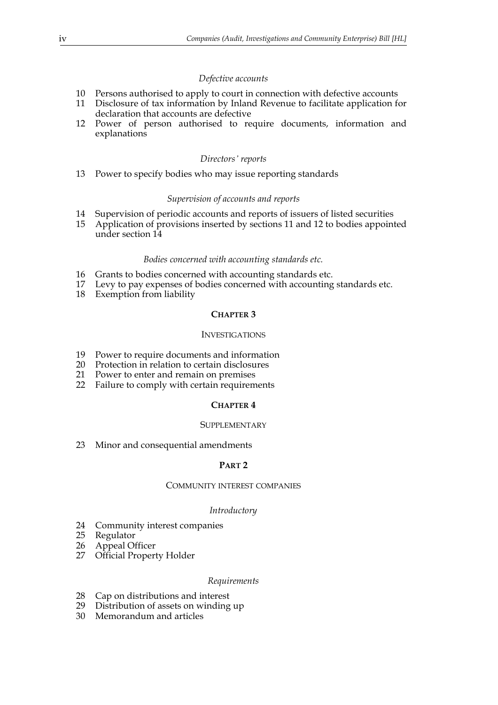# *Defective accounts*

- 10 Persons authorised to apply to court in connection with defective accounts
- 11 Disclosure of tax information by Inland Revenue to facilitate application for declaration that accounts are defective
- 12 Power of person authorised to require documents, information and explanations

#### *Directors' reports*

13 Power to specify bodies who may issue reporting standards

#### *Supervision of accounts and reports*

- 14 Supervision of periodic accounts and reports of issuers of listed securities
- 15 Application of provisions inserted by sections 11 and 12 to bodies appointed under section 14

#### *Bodies concerned with accounting standards etc.*

- 16 Grants to bodies concerned with accounting standards etc.
- 17 Levy to pay expenses of bodies concerned with accounting standards etc.
- 18 Exemption from liability

#### **CHAPTER 3**

## INVESTIGATIONS

- 19 Power to require documents and information
- 20 Protection in relation to certain disclosures<br>21 Power to enter and remain on premises
- Power to enter and remain on premises
- 22 Failure to comply with certain requirements

#### **CHAPTER 4**

#### **SUPPLEMENTARY**

23 Minor and consequential amendments

#### **PART 2**

#### COMMUNITY INTEREST COMPANIES

#### *Introductory*

- 24 Community interest companies
- 25 Regulator
- 
- 26 Appeal Officer<br>27 Official Proper **Official Property Holder**

#### *Requirements*

- 28 Cap on distributions and interest
- 29 Distribution of assets on winding up
- 30 Memorandum and articles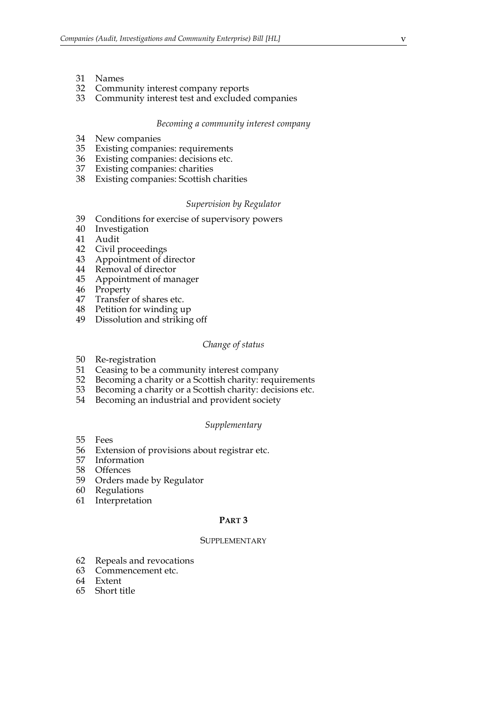- 31 Names
- 32 Community interest company reports
- 33 Community interest test and excluded companies

#### *Becoming a community interest company*

- 34 New companies
- 35 Existing companies: requirements<br>36 Existing companies: decisions etc.
- Existing companies: decisions etc.
- 37 Existing companies: charities
- 38 Existing companies: Scottish charities

#### *Supervision by Regulator*

- 39 Conditions for exercise of supervisory powers
- 40 Investigation
- 41 Audit
- 42 Civil proceedings
- 43 Appointment of director
- 44 Removal of director
- 45 Appointment of manager
- 46 Property
- 47 Transfer of shares etc.
- 48 Petition for winding up
- 49 Dissolution and striking off

#### *Change of status*

- 50 Re-registration
- 51 Ceasing to be a community interest company<br>52 Becoming a charity or a Scottish charity: requ
- 52 Becoming a charity or a Scottish charity: requirements
- 53 Becoming a charity or a Scottish charity: decisions etc.<br>54 Becoming an industrial and provident society
- Becoming an industrial and provident society

#### *Supplementary*

- 55 Fees
- 56 Extension of provisions about registrar etc.
- 57 Information
- 58 Offences<br>59 Orders n
- 59 Orders made by Regulator
- 60 Regulations
- 61 Interpretation

# **PART 3**

### SUPPLEMENTARY

- 62 Repeals and revocations
- 63 Commencement etc.
- 64 Extent
- 65 Short title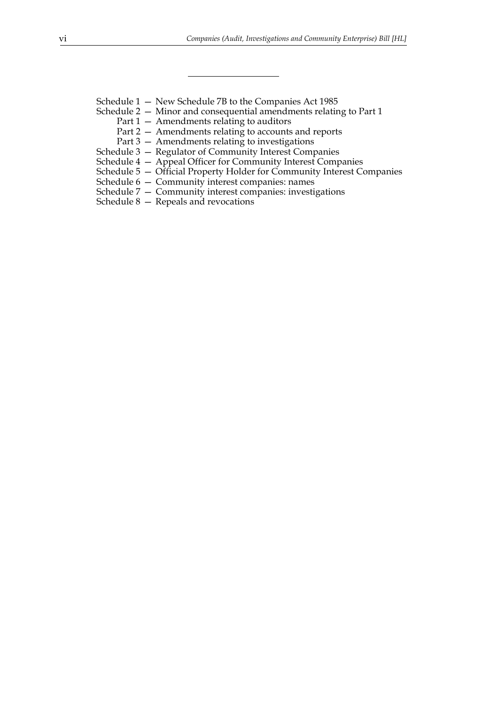- Schedule 1 New Schedule 7B to the Companies Act 1985
- Schedule 2 Minor and consequential amendments relating to Part 1
	- Part 1 Amendments relating to auditors
	- Part 2 Amendments relating to accounts and reports
	- Part 3 Amendments relating to investigations
- Schedule 3 Regulator of Community Interest Companies
- Schedule 4 Appeal Officer for Community Interest Companies
- Schedule 5 Official Property Holder for Community Interest Companies
- Schedule 6 Community interest companies: names
- Schedule 7 Community interest companies: investigations
- Schedule 8 Repeals and revocations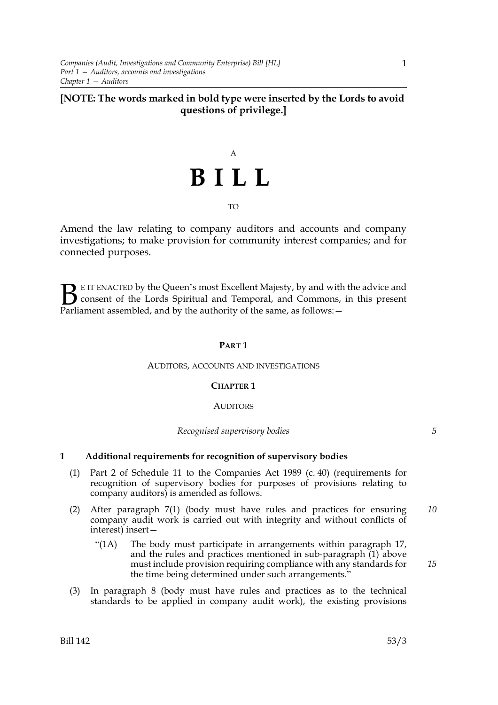# **[NOTE: The words marked in bold type were inserted by the Lords to avoid questions of privilege.]**

# A **BILL**

## TO

Amend the law relating to company auditors and accounts and company investigations; to make provision for community interest companies; and for connected purposes.

E IT ENACTED by the Queen's most Excellent Majesty, by and with the advice and consent of the Lords Spiritual and Temporal, and Commons, in this present **B** E IT ENACTED by the Queen's most Excellent Majesty, by and with consent of the Lords Spiritual and Temporal, and Commons, Parliament assembled, and by the authority of the same, as follows:  $-$ 

# **PART 1**

## AUDITORS, ACCOUNTS AND INVESTIGATIONS

## **CHAPTER 1**

## **AUDITORS**

*Recognised supervisory bodies*

# **1 Additional requirements for recognition of supervisory bodies**

- (1) Part 2 of Schedule 11 to the Companies Act 1989 (c. 40) (requirements for recognition of supervisory bodies for purposes of provisions relating to company auditors) is amended as follows.
- (2) After paragraph 7(1) (body must have rules and practices for ensuring company audit work is carried out with integrity and without conflicts of interest) insert— *10*
	- "(1A) The body must participate in arrangements within paragraph 17, and the rules and practices mentioned in sub-paragraph (1) above must include provision requiring compliance with any standards for the time being determined under such arrangements."
- (3) In paragraph 8 (body must have rules and practices as to the technical standards to be applied in company audit work), the existing provisions

*15*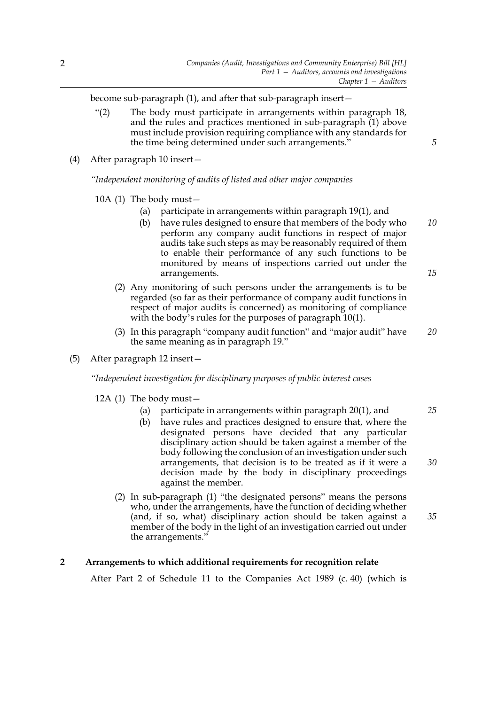become sub-paragraph (1), and after that sub-paragraph insert—

"(2) The body must participate in arrangements within paragraph 18, and the rules and practices mentioned in sub-paragraph (1) above must include provision requiring compliance with any standards for the time being determined under such arrangements."

*5*

(4) After paragraph 10 insert—

*"Independent monitoring of audits of listed and other major companies*

10A (1) The body must—

- (a) participate in arrangements within paragraph 19(1), and
- (b) have rules designed to ensure that members of the body who perform any company audit functions in respect of major audits take such steps as may be reasonably required of them to enable their performance of any such functions to be monitored by means of inspections carried out under the arrangements. *10 15*
- (2) Any monitoring of such persons under the arrangements is to be regarded (so far as their performance of company audit functions in respect of major audits is concerned) as monitoring of compliance with the body's rules for the purposes of paragraph 10(1).
- (3) In this paragraph "company audit function" and "major audit" have the same meaning as in paragraph 19." *20*
- (5) After paragraph 12 insert—

*"Independent investigation for disciplinary purposes of public interest cases*

12A (1) The body must—

- (a) participate in arrangements within paragraph 20(1), and
- (b) have rules and practices designed to ensure that, where the designated persons have decided that any particular disciplinary action should be taken against a member of the body following the conclusion of an investigation under such arrangements, that decision is to be treated as if it were a decision made by the body in disciplinary proceedings against the member.
- (2) In sub-paragraph (1) "the designated persons" means the persons who, under the arrangements, have the function of deciding whether (and, if so, what) disciplinary action should be taken against a member of the body in the light of an investigation carried out under the arrangements."

# **2 Arrangements to which additional requirements for recognition relate**

After Part 2 of Schedule 11 to the Companies Act 1989 (c. 40) (which is

*25*

*30*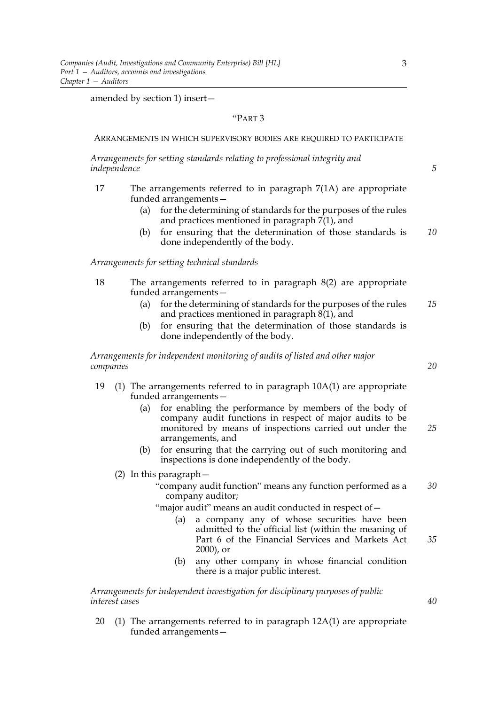amended by section 1) insert—

# "PART 3

#### ARRANGEMENTS IN WHICH SUPERVISORY BODIES ARE REQUIRED TO PARTICIPATE

*Arrangements for setting standards relating to professional integrity and independence*

- 17 The arrangements referred to in paragraph 7(1A) are appropriate funded arrangements—
	- (a) for the determining of standards for the purposes of the rules and practices mentioned in paragraph 7(1), and
	- (b) for ensuring that the determination of those standards is done independently of the body. *10*

*Arrangements for setting technical standards*

- 18 The arrangements referred to in paragraph 8(2) are appropriate funded arrangements—
	- (a) for the determining of standards for the purposes of the rules and practices mentioned in paragraph  $8(1)$ , and *15*
	- (b) for ensuring that the determination of those standards is done independently of the body.

*Arrangements for independent monitoring of audits of listed and other major companies*

- 19 (1) The arrangements referred to in paragraph 10A(1) are appropriate funded arrangements—
	- (a) for enabling the performance by members of the body of company audit functions in respect of major audits to be monitored by means of inspections carried out under the arrangements, and *25*
	- (b) for ensuring that the carrying out of such monitoring and inspections is done independently of the body.
	- (2) In this paragraph—
		- "company audit function" means any function performed as a company auditor; *30*
		- "major audit" means an audit conducted in respect of -
			- (a) a company any of whose securities have been admitted to the official list (within the meaning of Part 6 of the Financial Services and Markets Act 2000), or
			- (b) any other company in whose financial condition there is a major public interest.

*Arrangements for independent investigation for disciplinary purposes of public interest cases*

20 (1) The arrangements referred to in paragraph 12A(1) are appropriate funded arrangements—

3

*20*

*5*

*35*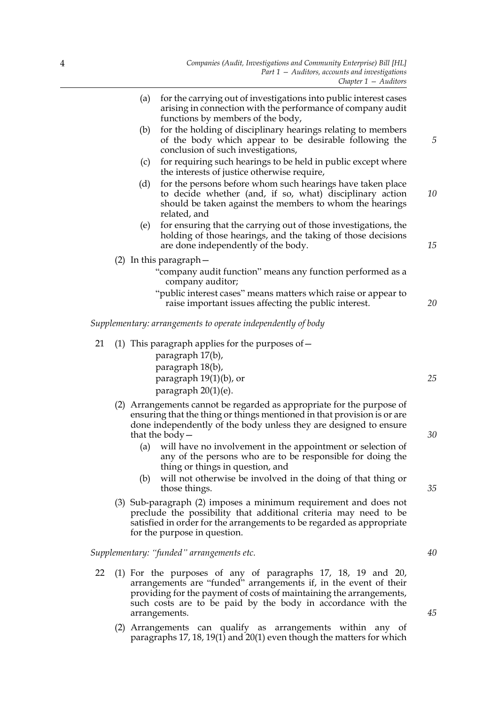|    | (a) | for the carrying out of investigations into public interest cases<br>arising in connection with the performance of company audit<br>functions by members of the body,                                                                         |    |
|----|-----|-----------------------------------------------------------------------------------------------------------------------------------------------------------------------------------------------------------------------------------------------|----|
|    | (b) | for the holding of disciplinary hearings relating to members<br>of the body which appear to be desirable following the<br>conclusion of such investigations,                                                                                  | 5  |
|    | (c) | for requiring such hearings to be held in public except where<br>the interests of justice otherwise require,                                                                                                                                  |    |
|    | (d) | for the persons before whom such hearings have taken place<br>to decide whether (and, if so, what) disciplinary action<br>should be taken against the members to whom the hearings<br>related, and                                            | 10 |
|    | (e) | for ensuring that the carrying out of those investigations, the<br>holding of those hearings, and the taking of those decisions<br>are done independently of the body.                                                                        | 15 |
|    |     | $(2)$ In this paragraph $-$<br>"company audit function" means any function performed as a<br>company auditor;                                                                                                                                 |    |
|    |     | "public interest cases" means matters which raise or appear to<br>raise important issues affecting the public interest.                                                                                                                       | 20 |
|    |     | Supplementary: arrangements to operate independently of body                                                                                                                                                                                  |    |
| 21 |     | (1) This paragraph applies for the purposes of $-$<br>paragraph 17(b),                                                                                                                                                                        |    |
|    |     | paragraph 18(b),                                                                                                                                                                                                                              |    |
|    |     | paragraph 19(1)(b), or<br>paragraph 20(1)(e).                                                                                                                                                                                                 | 25 |
|    |     | (2) Arrangements cannot be regarded as appropriate for the purpose of<br>ensuring that the thing or things mentioned in that provision is or are<br>done independently of the body unless they are designed to ensure<br>that the body $-$    | 30 |
|    | (a) | will have no involvement in the appointment or selection of<br>any of the persons who are to be responsible for doing the<br>thing or things in question, and                                                                                 |    |
|    | (b) | will not otherwise be involved in the doing of that thing or<br>those things.                                                                                                                                                                 | 35 |
|    |     | (3) Sub-paragraph (2) imposes a minimum requirement and does not<br>preclude the possibility that additional criteria may need to be<br>satisfied in order for the arrangements to be regarded as appropriate<br>for the purpose in question. |    |

*Supplementary: "funded" arrangements etc.*

- 22 (1) For the purposes of any of paragraphs 17, 18, 19 and 20, arrangements are "funded" arrangements if, in the event of their providing for the payment of costs of maintaining the arrangements, such costs are to be paid by the body in accordance with the arrangements.
	- (2) Arrangements can qualify as arrangements within any of paragraphs 17, 18, 19(1) and 20(1) even though the matters for which

*40*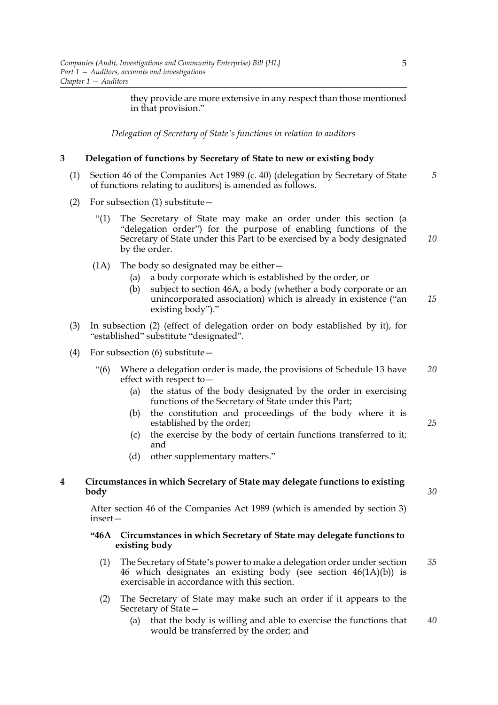they provide are more extensive in any respect than those mentioned in that provision."

*Delegation of Secretary of State's functions in relation to auditors*

# **3 Delegation of functions by Secretary of State to new or existing body**

- (1) Section 46 of the Companies Act 1989 (c. 40) (delegation by Secretary of State of functions relating to auditors) is amended as follows. *5*
- (2) For subsection (1) substitute—
	- "(1) The Secretary of State may make an order under this section (a "delegation order") for the purpose of enabling functions of the Secretary of State under this Part to be exercised by a body designated by the order. *10*
	- (1A) The body so designated may be either—
		- (a) a body corporate which is established by the order, or
		- (b) subject to section 46A, a body (whether a body corporate or an unincorporated association) which is already in existence ("an existing body")." *15*
- (3) In subsection (2) (effect of delegation order on body established by it), for "established" substitute "designated".
- (4) For subsection (6) substitute—
	- "(6) Where a delegation order is made, the provisions of Schedule 13 have effect with respect to— *20*
		- (a) the status of the body designated by the order in exercising functions of the Secretary of State under this Part;
		- (b) the constitution and proceedings of the body where it is established by the order;
		- (c) the exercise by the body of certain functions transferred to it; and
		- (d) other supplementary matters."

# **4 Circumstances in which Secretary of State may delegate functions to existing body**

After section 46 of the Companies Act 1989 (which is amended by section 3) insert—

# **"46A Circumstances in which Secretary of State may delegate functions to existing body**

- (1) The Secretary of State's power to make a delegation order under section 46 which designates an existing body (see section 46(1A)(b)) is exercisable in accordance with this section. *35*
- (2) The Secretary of State may make such an order if it appears to the Secretary of State—
	- (a) that the body is willing and able to exercise the functions that would be transferred by the order; and *40*

*25*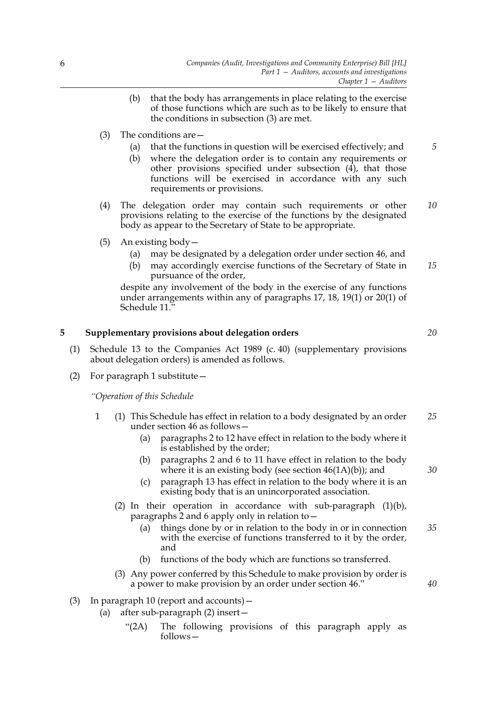- (b) that the body has arrangements in place relating to the exercise of those functions which are such as to be likely to ensure that the conditions in subsection (3) are met.
- (3) The conditions are—
	- (a) that the functions in question will be exercised effectively; and
	- (b) where the delegation order is to contain any requirements or other provisions specified under subsection (4), that those functions will be exercised in accordance with any such requirements or provisions.
- (4) The delegation order may contain such requirements or other provisions relating to the exercise of the functions by the designated body as appear to the Secretary of State to be appropriate. *10*
- (5) An existing body—
	- (a) may be designated by a delegation order under section 46, and
	- (b) may accordingly exercise functions of the Secretary of State in pursuance of the order,

despite any involvement of the body in the exercise of any functions under arrangements within any of paragraphs 17, 18, 19(1) or 20(1) of Schedule 11."

# **5 Supplementary provisions about delegation orders**

- (1) Schedule 13 to the Companies Act 1989 (c. 40) (supplementary provisions about delegation orders) is amended as follows.
- (2) For paragraph 1 substitute—

*"Operation of this Schedule*

- 1 (1) This Schedule has effect in relation to a body designated by an order under section 46 as follows— *25*
	- (a) paragraphs 2 to 12 have effect in relation to the body where it is established by the order;
	- (b) paragraphs 2 and 6 to 11 have effect in relation to the body where it is an existing body (see section  $46(1A)(b)$ ); and
	- (c) paragraph 13 has effect in relation to the body where it is an existing body that is an unincorporated association.
	- (2) In their operation in accordance with sub-paragraph (1)(b), paragraphs 2 and 6 apply only in relation to—
		- (a) things done by or in relation to the body in or in connection with the exercise of functions transferred to it by the order, and *35*
		- (b) functions of the body which are functions so transferred.
	- (3) Any power conferred by this Schedule to make provision by order is a power to make provision by an order under section 46."
- (3) In paragraph 10 (report and accounts)—
	- (a) after sub-paragraph (2) insert—
		- "(2A) The following provisions of this paragraph apply as follows—

*20*

*30*

*40*

*15*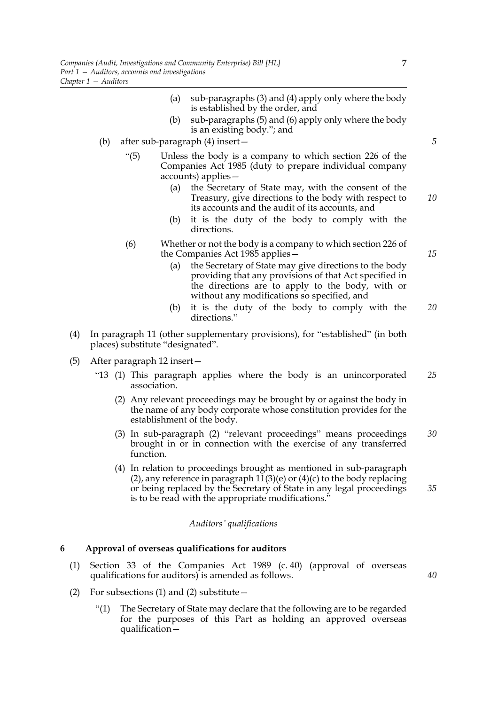- (a) sub-paragraphs (3) and (4) apply only where the body is established by the order, and
- (b) sub-paragraphs (5) and (6) apply only where the body is an existing body."; and
- (b) after sub-paragraph (4) insert—
	- "(5) Unless the body is a company to which section 226 of the Companies Act 1985 (duty to prepare individual company accounts) applies—
		- (a) the Secretary of State may, with the consent of the Treasury, give directions to the body with respect to its accounts and the audit of its accounts, and *10*
		- (b) it is the duty of the body to comply with the directions.
	- (6) Whether or not the body is a company to which section 226 of the Companies Act 1985 applies—
		- (a) the Secretary of State may give directions to the body providing that any provisions of that Act specified in the directions are to apply to the body, with or without any modifications so specified, and
		- (b) it is the duty of the body to comply with the directions." *20*
- (4) In paragraph 11 (other supplementary provisions), for "established" (in both places) substitute "designated".
- (5) After paragraph 12 insert—
	- "13 (1) This paragraph applies where the body is an unincorporated association. *25*
		- (2) Any relevant proceedings may be brought by or against the body in the name of any body corporate whose constitution provides for the establishment of the body.
		- (3) In sub-paragraph (2) "relevant proceedings" means proceedings brought in or in connection with the exercise of any transferred function. *30*
		- (4) In relation to proceedings brought as mentioned in sub-paragraph  $(2)$ , any reference in paragraph 11 $(3)$ (e) or  $(4)$ (c) to the body replacing or being replaced by the Secretary of State in any legal proceedings is to be read with the appropriate modifications." *35*

## *Auditors' qualifications*

# **6 Approval of overseas qualifications for auditors**

- (1) Section 33 of the Companies Act 1989 (c. 40) (approval of overseas qualifications for auditors) is amended as follows.
- (2) For subsections (1) and (2) substitute  $-$ 
	- "(1) The Secretary of State may declare that the following are to be regarded for the purposes of this Part as holding an approved overseas qualification—

*5*

*15*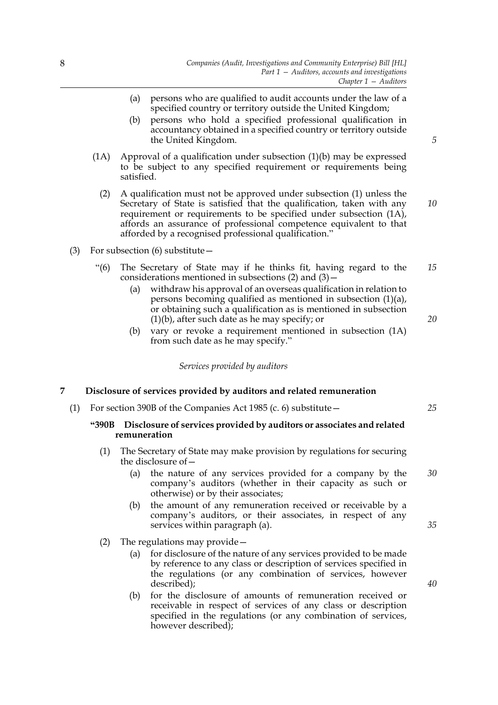- (a) persons who are qualified to audit accounts under the law of a specified country or territory outside the United Kingdom;
- (b) persons who hold a specified professional qualification in accountancy obtained in a specified country or territory outside the United Kingdom.
- $(1)$  Approval of a qualification under subsection  $(1)(b)$  may be expressed to be subject to any specified requirement or requirements being satisfied.
	- (2) A qualification must not be approved under subsection (1) unless the Secretary of State is satisfied that the qualification, taken with any requirement or requirements to be specified under subsection (1A), affords an assurance of professional competence equivalent to that afforded by a recognised professional qualification."
- (3) For subsection (6) substitute—
	- "(6) The Secretary of State may if he thinks fit, having regard to the considerations mentioned in subsections  $(2)$  and  $(3)$  – *15*
		- (a) withdraw his approval of an overseas qualification in relation to persons becoming qualified as mentioned in subsection (1)(a), or obtaining such a qualification as is mentioned in subsection (1)(b), after such date as he may specify; or
		- (b) vary or revoke a requirement mentioned in subsection (1A) from such date as he may specify."

*Services provided by auditors*

# **7 Disclosure of services provided by auditors and related remuneration**

(1) For section 390B of the Companies Act 1985 (c. 6) substitute—

# **"390B Disclosure of services provided by auditors or associates and related remuneration**

- (1) The Secretary of State may make provision by regulations for securing the disclosure of—
	- (a) the nature of any services provided for a company by the company's auditors (whether in their capacity as such or otherwise) or by their associates; *30*
	- (b) the amount of any remuneration received or receivable by a company's auditors, or their associates, in respect of any services within paragraph (a).
- (2) The regulations may provide—
	- (a) for disclosure of the nature of any services provided to be made by reference to any class or description of services specified in the regulations (or any combination of services, however described);
	- (b) for the disclosure of amounts of remuneration received or receivable in respect of services of any class or description specified in the regulations (or any combination of services, however described);

*5*

*10*

*20*

*25*

*40*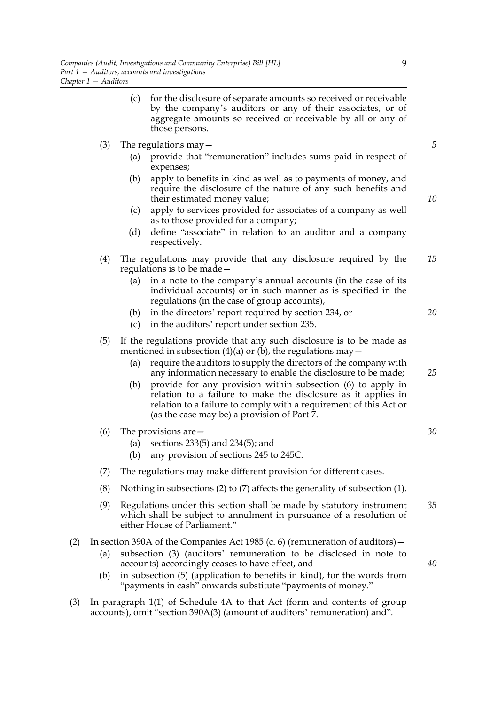- (c) for the disclosure of separate amounts so received or receivable by the company's auditors or any of their associates, or of aggregate amounts so received or receivable by all or any of those persons.
- (3) The regulations may  $-$ 
	- (a) provide that "remuneration" includes sums paid in respect of expenses;
	- (b) apply to benefits in kind as well as to payments of money, and require the disclosure of the nature of any such benefits and their estimated money value;
	- (c) apply to services provided for associates of a company as well as to those provided for a company;
	- (d) define "associate" in relation to an auditor and a company respectively.
- (4) The regulations may provide that any disclosure required by the regulations is to be made— *15*
	- (a) in a note to the company's annual accounts (in the case of its individual accounts) or in such manner as is specified in the regulations (in the case of group accounts),
	- (b) in the directors' report required by section 234, or
	- (c) in the auditors' report under section 235.
- (5) If the regulations provide that any such disclosure is to be made as mentioned in subsection (4)(a) or (b), the regulations may  $-$ 
	- (a) require the auditors to supply the directors of the company with any information necessary to enable the disclosure to be made;
	- (b) provide for any provision within subsection (6) to apply in relation to a failure to make the disclosure as it applies in relation to a failure to comply with a requirement of this Act or (as the case may be) a provision of Part 7.
- (6) The provisions are—
	- (a) sections 233(5) and 234(5); and
	- (b) any provision of sections 245 to 245C.
- (7) The regulations may make different provision for different cases.
- (8) Nothing in subsections (2) to (7) affects the generality of subsection (1).
- (9) Regulations under this section shall be made by statutory instrument which shall be subject to annulment in pursuance of a resolution of either House of Parliament." *35*

## (2) In section 390A of the Companies Act 1985 (c. 6) (remuneration of auditors)  $-$

- (a) subsection (3) (auditors' remuneration to be disclosed in note to accounts) accordingly ceases to have effect, and
- (b) in subsection (5) (application to benefits in kind), for the words from "payments in cash" onwards substitute "payments of money."
- (3) In paragraph 1(1) of Schedule 4A to that Act (form and contents of group accounts), omit "section 390A(3) (amount of auditors' remuneration) and".

*5*

*10*

*20*

*25*

*30*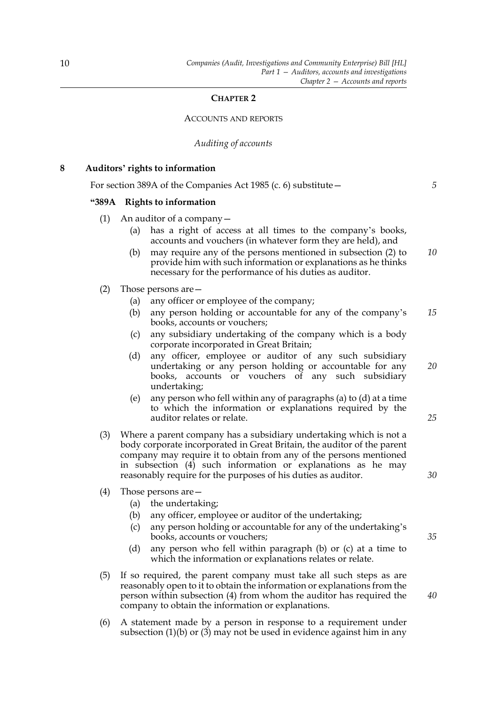# **CHAPTER 2**

## ACCOUNTS AND REPORTS

## *Auditing of accounts*

| 8 | Auditors' rights to information |  |  |  |  |
|---|---------------------------------|--|--|--|--|
|---|---------------------------------|--|--|--|--|

For section 389A of the Companies Act 1985 (c. 6) substitute—

#### **"389A Rights to information**

- (1) An auditor of a company—
	- (a) has a right of access at all times to the company's books, accounts and vouchers (in whatever form they are held), and
	- (b) may require any of the persons mentioned in subsection (2) to provide him with such information or explanations as he thinks necessary for the performance of his duties as auditor. *10*
- (2) Those persons are—
	- (a) any officer or employee of the company;
	- (b) any person holding or accountable for any of the company's books, accounts or vouchers; *15*
	- (c) any subsidiary undertaking of the company which is a body corporate incorporated in Great Britain;
	- (d) any officer, employee or auditor of any such subsidiary undertaking or any person holding or accountable for any books, accounts or vouchers of any such subsidiary undertaking;
	- (e) any person who fell within any of paragraphs (a) to (d) at a time to which the information or explanations required by the auditor relates or relate.
- (3) Where a parent company has a subsidiary undertaking which is not a body corporate incorporated in Great Britain, the auditor of the parent company may require it to obtain from any of the persons mentioned in subsection (4) such information or explanations as he may reasonably require for the purposes of his duties as auditor.
- (4) Those persons are—
	- (a) the undertaking;
	- (b) any officer, employee or auditor of the undertaking;
	- (c) any person holding or accountable for any of the undertaking's books, accounts or vouchers;
	- (d) any person who fell within paragraph (b) or (c) at a time to which the information or explanations relates or relate.
- (5) If so required, the parent company must take all such steps as are reasonably open to it to obtain the information or explanations from the person within subsection (4) from whom the auditor has required the company to obtain the information or explanations.
- (6) A statement made by a person in response to a requirement under subsection  $(1)(b)$  or  $(3)$  may not be used in evidence against him in any

*20*

*25*

*5*

*30*

*35*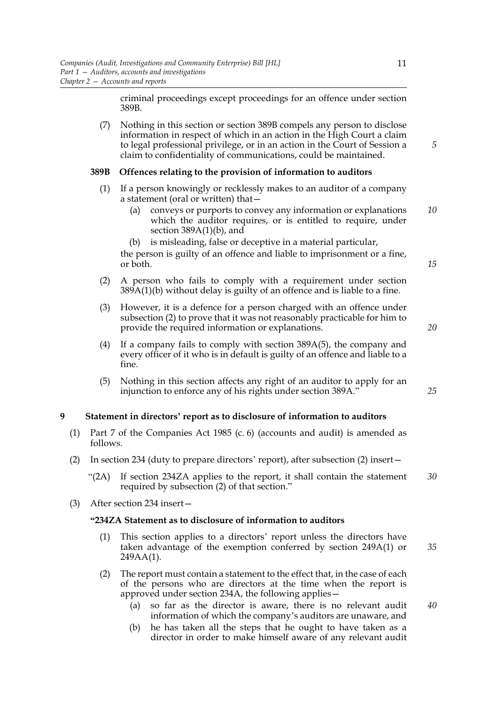criminal proceedings except proceedings for an offence under section 389B.

(7) Nothing in this section or section 389B compels any person to disclose information in respect of which in an action in the High Court a claim to legal professional privilege, or in an action in the Court of Session a claim to confidentiality of communications, could be maintained.

# **389B Offences relating to the provision of information to auditors**

- (1) If a person knowingly or recklessly makes to an auditor of a company a statement (oral or written) that—
	- (a) conveys or purports to convey any information or explanations which the auditor requires, or is entitled to require, under section  $389A(1)(b)$ , and *10*
	- (b) is misleading, false or deceptive in a material particular,

the person is guilty of an offence and liable to imprisonment or a fine, or both.

- (2) A person who fails to comply with a requirement under section  $389A(1)(b)$  without delay is guilty of an offence and is liable to a fine.
- (3) However, it is a defence for a person charged with an offence under subsection (2) to prove that it was not reasonably practicable for him to provide the required information or explanations.
- (4) If a company fails to comply with section 389A(5), the company and every officer of it who is in default is guilty of an offence and liable to a fine.
- (5) Nothing in this section affects any right of an auditor to apply for an injunction to enforce any of his rights under section 389A."

# **9 Statement in directors' report as to disclosure of information to auditors**

- (1) Part 7 of the Companies Act 1985 (c. 6) (accounts and audit) is amended as follows.
- (2) In section 234 (duty to prepare directors' report), after subsection (2) insert—
	- "(2A) If section 234ZA applies to the report, it shall contain the statement required by subsection (2) of that section." *30*
- (3) After section 234 insert—

# **"234ZA Statement as to disclosure of information to auditors**

- (1) This section applies to a directors' report unless the directors have taken advantage of the exemption conferred by section 249A(1) or 249AA(1). *35*
- (2) The report must contain a statement to the effect that, in the case of each of the persons who are directors at the time when the report is approved under section 234A, the following applies—
	- (a) so far as the director is aware, there is no relevant audit information of which the company's auditors are unaware, and *40*
	- (b) he has taken all the steps that he ought to have taken as a director in order to make himself aware of any relevant audit

11

*5*

*15*

*20*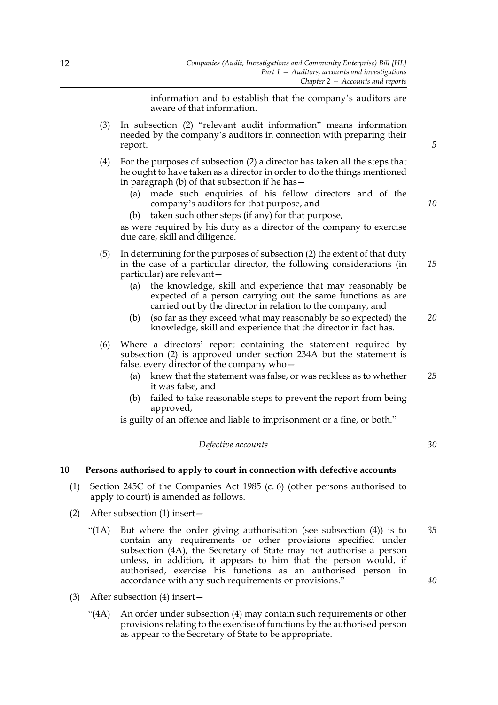information and to establish that the company's auditors are aware of that information.

- (3) In subsection (2) "relevant audit information" means information needed by the company's auditors in connection with preparing their report.
- (4) For the purposes of subsection (2) a director has taken all the steps that he ought to have taken as a director in order to do the things mentioned in paragraph (b) of that subsection if he has—
	- (a) made such enquiries of his fellow directors and of the company's auditors for that purpose, and
	- (b) taken such other steps (if any) for that purpose,

as were required by his duty as a director of the company to exercise due care, skill and diligence.

- (5) In determining for the purposes of subsection (2) the extent of that duty in the case of a particular director, the following considerations (in particular) are relevant—
	- (a) the knowledge, skill and experience that may reasonably be expected of a person carrying out the same functions as are carried out by the director in relation to the company, and
	- (b) (so far as they exceed what may reasonably be so expected) the knowledge, skill and experience that the director in fact has. *20*
- (6) Where a directors' report containing the statement required by subsection (2) is approved under section 234A but the statement is false, every director of the company who—
	- (a) knew that the statement was false, or was reckless as to whether it was false, and *25*
	- (b) failed to take reasonable steps to prevent the report from being approved,

is guilty of an offence and liable to imprisonment or a fine, or both."

# *Defective accounts*

# **10 Persons authorised to apply to court in connection with defective accounts**

- (1) Section 245C of the Companies Act 1985 (c. 6) (other persons authorised to apply to court) is amended as follows.
- (2) After subsection (1) insert—
	- "(1A) But where the order giving authorisation (see subsection (4)) is to contain any requirements or other provisions specified under subsection (4A), the Secretary of State may not authorise a person unless, in addition, it appears to him that the person would, if authorised, exercise his functions as an authorised person in accordance with any such requirements or provisions." *35 40*
- (3) After subsection (4) insert—
	- "(4A) An order under subsection (4) may contain such requirements or other provisions relating to the exercise of functions by the authorised person as appear to the Secretary of State to be appropriate.

*5*

*10*

*15*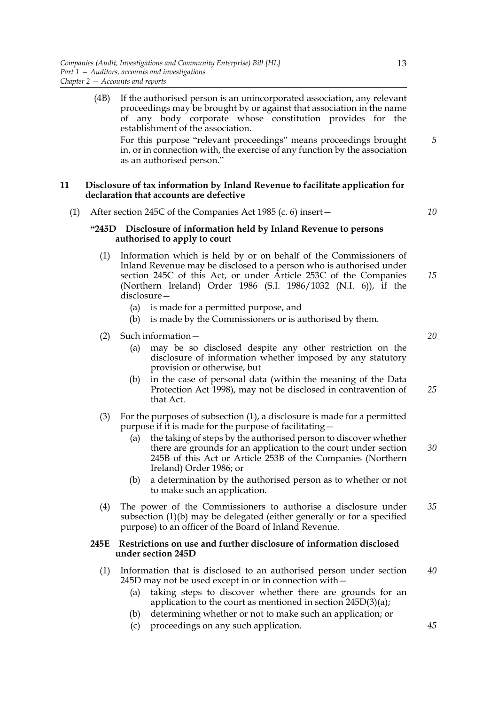|     | If the authorised person is an unincorporated association, any relevant<br>(4B)<br>proceedings may be brought by or against that association in the name<br>of any body corporate whose constitution provides for the<br>establishment of the association.<br>For this purpose "relevant proceedings" means proceedings brought | 5  |
|-----|---------------------------------------------------------------------------------------------------------------------------------------------------------------------------------------------------------------------------------------------------------------------------------------------------------------------------------|----|
| 11  | in, or in connection with, the exercise of any function by the association<br>as an authorised person."<br>Disclosure of tax information by Inland Revenue to facilitate application for<br>declaration that accounts are defective                                                                                             |    |
| (1) | After section 245C of the Companies Act 1985 (c. 6) insert –                                                                                                                                                                                                                                                                    | 10 |
|     | "245D Disclosure of information held by Inland Revenue to persons<br>authorised to apply to court                                                                                                                                                                                                                               |    |

- (1) Information which is held by or on behalf of the Commissioners of Inland Revenue may be disclosed to a person who is authorised under section 245C of this Act, or under Article 253C of the Companies (Northern Ireland) Order 1986 (S.I. 1986/1032 (N.I. 6)), if the disclosure— *15*
	- (a) is made for a permitted purpose, and
	- (b) is made by the Commissioners or is authorised by them.
- (2) Such information—
	- (a) may be so disclosed despite any other restriction on the disclosure of information whether imposed by any statutory provision or otherwise, but
	- (b) in the case of personal data (within the meaning of the Data Protection Act 1998), may not be disclosed in contravention of that Act. *25*
- (3) For the purposes of subsection (1), a disclosure is made for a permitted purpose if it is made for the purpose of facilitating—
	- (a) the taking of steps by the authorised person to discover whether there are grounds for an application to the court under section 245B of this Act or Article 253B of the Companies (Northern Ireland) Order 1986; or *30*
	- (b) a determination by the authorised person as to whether or not to make such an application.
- (4) The power of the Commissioners to authorise a disclosure under subsection (1)(b) may be delegated (either generally or for a specified purpose) to an officer of the Board of Inland Revenue. *35*

# **245E Restrictions on use and further disclosure of information disclosed under section 245D**

- (1) Information that is disclosed to an authorised person under section 245D may not be used except in or in connection with— *40*
	- (a) taking steps to discover whether there are grounds for an application to the court as mentioned in section 245D(3)(a);
	- (b) determining whether or not to make such an application; or
	- (c) proceedings on any such application.

*20*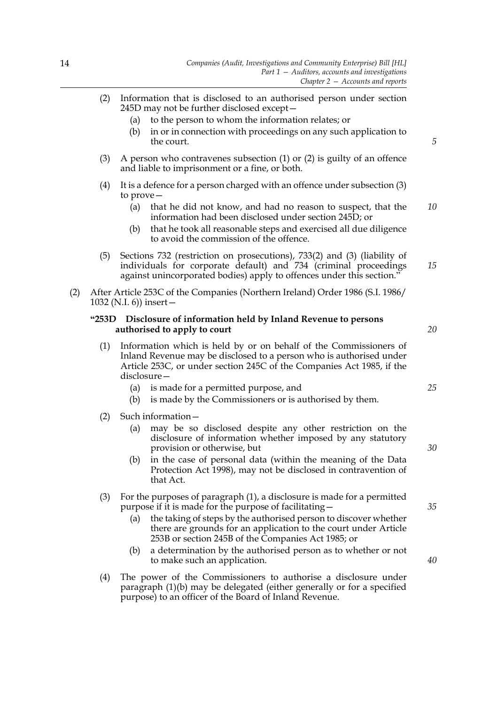- (2) Information that is disclosed to an authorised person under section 245D may not be further disclosed except—
	- (a) to the person to whom the information relates; or
	- (b) in or in connection with proceedings on any such application to the court.
- (3) A person who contravenes subsection (1) or (2) is guilty of an offence and liable to imprisonment or a fine, or both.
- (4) It is a defence for a person charged with an offence under subsection (3) to prove—
	- (a) that he did not know, and had no reason to suspect, that the information had been disclosed under section 245D; or *10*
	- (b) that he took all reasonable steps and exercised all due diligence to avoid the commission of the offence.
- (5) Sections 732 (restriction on prosecutions), 733(2) and (3) (liability of individuals for corporate default) and 734 (criminal proceedings against unincorporated bodies) apply to offences under this section."
- (2) After Article 253C of the Companies (Northern Ireland) Order 1986 (S.I. 1986/ 1032 (N.I. 6)) insert—

# **"253D Disclosure of information held by Inland Revenue to persons authorised to apply to court**

- (1) Information which is held by or on behalf of the Commissioners of Inland Revenue may be disclosed to a person who is authorised under Article 253C, or under section 245C of the Companies Act 1985, if the disclosure—
	- (a) is made for a permitted purpose, and
	- (b) is made by the Commissioners or is authorised by them.
- (2) Such information—
	- (a) may be so disclosed despite any other restriction on the disclosure of information whether imposed by any statutory provision or otherwise, but
	- (b) in the case of personal data (within the meaning of the Data Protection Act 1998), may not be disclosed in contravention of that Act.
- (3) For the purposes of paragraph (1), a disclosure is made for a permitted purpose if it is made for the purpose of facilitating—
	- (a) the taking of steps by the authorised person to discover whether there are grounds for an application to the court under Article 253B or section 245B of the Companies Act 1985; or
	- (b) a determination by the authorised person as to whether or not to make such an application.
- (4) The power of the Commissioners to authorise a disclosure under paragraph (1)(b) may be delegated (either generally or for a specified purpose) to an officer of the Board of Inland Revenue.

*20*

*15*

*5*

*25*

*30*

*40*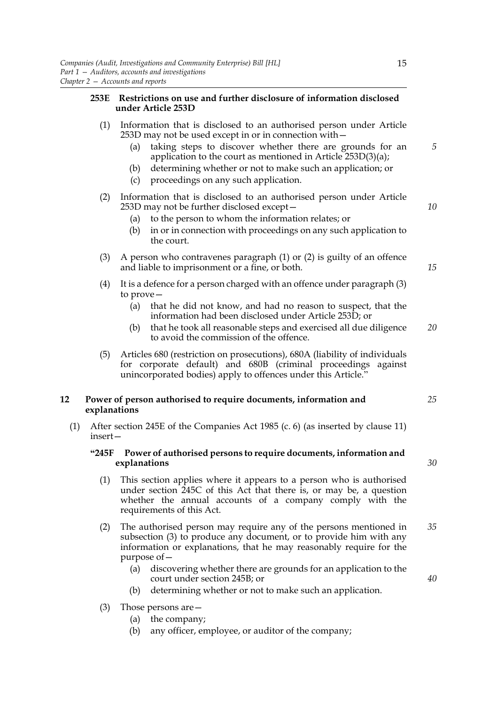# **253E Restrictions on use and further disclosure of information disclosed under Article 253D**

- (1) Information that is disclosed to an authorised person under Article 253D may not be used except in or in connection with—
	- (a) taking steps to discover whether there are grounds for an application to the court as mentioned in Article 253D(3)(a);
	- (b) determining whether or not to make such an application; or
	- (c) proceedings on any such application.

# (2) Information that is disclosed to an authorised person under Article 253D may not be further disclosed except—

- (a) to the person to whom the information relates; or
- (b) in or in connection with proceedings on any such application to the court.
- (3) A person who contravenes paragraph (1) or (2) is guilty of an offence and liable to imprisonment or a fine, or both.
- (4) It is a defence for a person charged with an offence under paragraph (3) to prove—
	- (a) that he did not know, and had no reason to suspect, that the information had been disclosed under Article 253D; or
	- (b) that he took all reasonable steps and exercised all due diligence to avoid the commission of the offence. *20*
- (5) Articles 680 (restriction on prosecutions), 680A (liability of individuals for corporate default) and 680B (criminal proceedings against unincorporated bodies) apply to offences under this Article.

# **12 Power of person authorised to require documents, information and explanations**

(1) After section 245E of the Companies Act 1985 (c. 6) (as inserted by clause 11) insert—

# **"245F Power of authorised persons to require documents, information and explanations**

- (1) This section applies where it appears to a person who is authorised under section 245C of this Act that there is, or may be, a question whether the annual accounts of a company comply with the requirements of this Act.
- (2) The authorised person may require any of the persons mentioned in subsection (3) to produce any document, or to provide him with any information or explanations, that he may reasonably require for the purpose of— *35*
	- (a) discovering whether there are grounds for an application to the court under section 245B; or
	- (b) determining whether or not to make such an application.
- (3) Those persons are—
	- (a) the company;
	- (b) any officer, employee, or auditor of the company;

*30*

*25*

*40*

*5*

*10*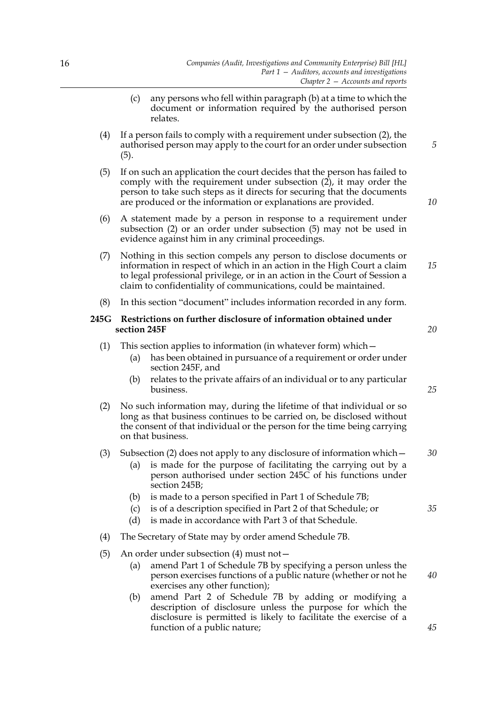- (c) any persons who fell within paragraph (b) at a time to which the document or information required by the authorised person relates.
- (4) If a person fails to comply with a requirement under subsection (2), the authorised person may apply to the court for an order under subsection (5).
- (5) If on such an application the court decides that the person has failed to comply with the requirement under subsection  $(2)$ , it may order the person to take such steps as it directs for securing that the documents are produced or the information or explanations are provided.
- (6) A statement made by a person in response to a requirement under subsection (2) or an order under subsection (5) may not be used in evidence against him in any criminal proceedings.
- (7) Nothing in this section compels any person to disclose documents or information in respect of which in an action in the High Court a claim to legal professional privilege, or in an action in the Court of Session a claim to confidentiality of communications, could be maintained. *15*
- (8) In this section "document" includes information recorded in any form.

# **245G Restrictions on further disclosure of information obtained under section 245F**

- (1) This section applies to information (in whatever form) which—
	- (a) has been obtained in pursuance of a requirement or order under section 245F, and
	- (b) relates to the private affairs of an individual or to any particular business.
- (2) No such information may, during the lifetime of that individual or so long as that business continues to be carried on, be disclosed without the consent of that individual or the person for the time being carrying on that business.

## (3) Subsection (2) does not apply to any disclosure of information which—

- (a) is made for the purpose of facilitating the carrying out by a person authorised under section 245C of his functions under section 245B:
- (b) is made to a person specified in Part 1 of Schedule 7B;
- (c) is of a description specified in Part 2 of that Schedule; or
- (d) is made in accordance with Part 3 of that Schedule.
- (4) The Secretary of State may by order amend Schedule 7B.
- (5) An order under subsection (4) must not—
	- (a) amend Part 1 of Schedule 7B by specifying a person unless the person exercises functions of a public nature (whether or not he exercises any other function);
	- (b) amend Part 2 of Schedule 7B by adding or modifying a description of disclosure unless the purpose for which the disclosure is permitted is likely to facilitate the exercise of a function of a public nature;

*20*

*5*

*10*

*25*

*30*

*35*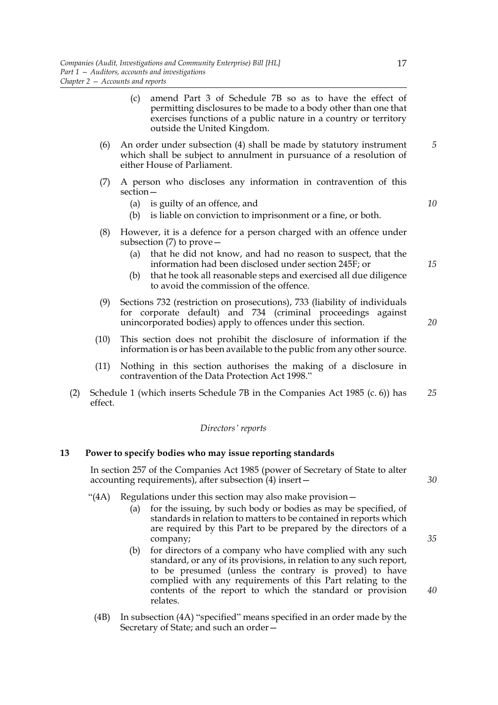- (c) amend Part 3 of Schedule 7B so as to have the effect of permitting disclosures to be made to a body other than one that exercises functions of a public nature in a country or territory outside the United Kingdom.
- (6) An order under subsection (4) shall be made by statutory instrument which shall be subject to annulment in pursuance of a resolution of either House of Parliament.
- (7) A person who discloses any information in contravention of this section—
	- (a) is guilty of an offence, and
	- (b) is liable on conviction to imprisonment or a fine, or both.
- (8) However, it is a defence for a person charged with an offence under subsection (7) to prove—
	- (a) that he did not know, and had no reason to suspect, that the information had been disclosed under section 245F; or
	- (b) that he took all reasonable steps and exercised all due diligence to avoid the commission of the offence.
- (9) Sections 732 (restriction on prosecutions), 733 (liability of individuals for corporate default) and 734 (criminal proceedings against unincorporated bodies) apply to offences under this section.
- (10) This section does not prohibit the disclosure of information if the information is or has been available to the public from any other source.
- (11) Nothing in this section authorises the making of a disclosure in contravention of the Data Protection Act 1998."
- (2) Schedule 1 (which inserts Schedule 7B in the Companies Act 1985 (c. 6)) has effect. *25*

#### *Directors' reports*

## **13 Power to specify bodies who may issue reporting standards**

In section 257 of the Companies Act 1985 (power of Secretary of State to alter accounting requirements), after subsection  $(4)$  insert -

- "(4A) Regulations under this section may also make provision—
	- (a) for the issuing, by such body or bodies as may be specified, of standards in relation to matters to be contained in reports which are required by this Part to be prepared by the directors of a company;
	- (b) for directors of a company who have complied with any such standard, or any of its provisions, in relation to any such report, to be presumed (unless the contrary is proved) to have complied with any requirements of this Part relating to the contents of the report to which the standard or provision relates.
- (4B) In subsection (4A) "specified" means specified in an order made by the Secretary of State; and such an order—

17

*5*

*10*

*15*

*20*

*30*

*35*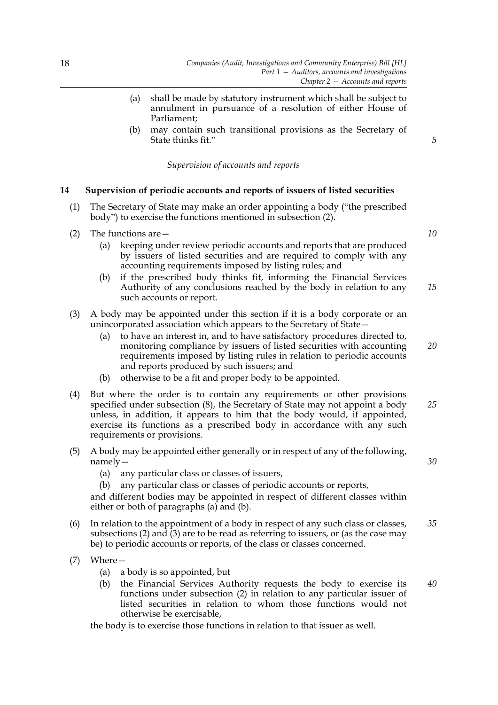- (a) shall be made by statutory instrument which shall be subject to annulment in pursuance of a resolution of either House of Parliament;
- (b) may contain such transitional provisions as the Secretary of State thinks fit."

#### *Supervision of accounts and reports*

# **14 Supervision of periodic accounts and reports of issuers of listed securities**

- (1) The Secretary of State may make an order appointing a body ("the prescribed body") to exercise the functions mentioned in subsection (2).
- (2) The functions are—
	- (a) keeping under review periodic accounts and reports that are produced by issuers of listed securities and are required to comply with any accounting requirements imposed by listing rules; and
	- (b) if the prescribed body thinks fit, informing the Financial Services Authority of any conclusions reached by the body in relation to any such accounts or report. *15*
- (3) A body may be appointed under this section if it is a body corporate or an unincorporated association which appears to the Secretary of State—
	- (a) to have an interest in, and to have satisfactory procedures directed to, monitoring compliance by issuers of listed securities with accounting requirements imposed by listing rules in relation to periodic accounts and reports produced by such issuers; and *20*
	- (b) otherwise to be a fit and proper body to be appointed.
- (4) But where the order is to contain any requirements or other provisions specified under subsection (8), the Secretary of State may not appoint a body unless, in addition, it appears to him that the body would, if appointed, exercise its functions as a prescribed body in accordance with any such requirements or provisions. *25*
- (5) A body may be appointed either generally or in respect of any of the following, namely—
	- (a) any particular class or classes of issuers,
	- (b) any particular class or classes of periodic accounts or reports,

and different bodies may be appointed in respect of different classes within either or both of paragraphs (a) and (b).

- (6) In relation to the appointment of a body in respect of any such class or classes, subsections (2) and (3) are to be read as referring to issuers, or (as the case may be) to periodic accounts or reports, of the class or classes concerned. *35*
- (7) Where—
	- (a) a body is so appointed, but
	- (b) the Financial Services Authority requests the body to exercise its functions under subsection (2) in relation to any particular issuer of listed securities in relation to whom those functions would not otherwise be exercisable, *40*

the body is to exercise those functions in relation to that issuer as well.

*10*

*30*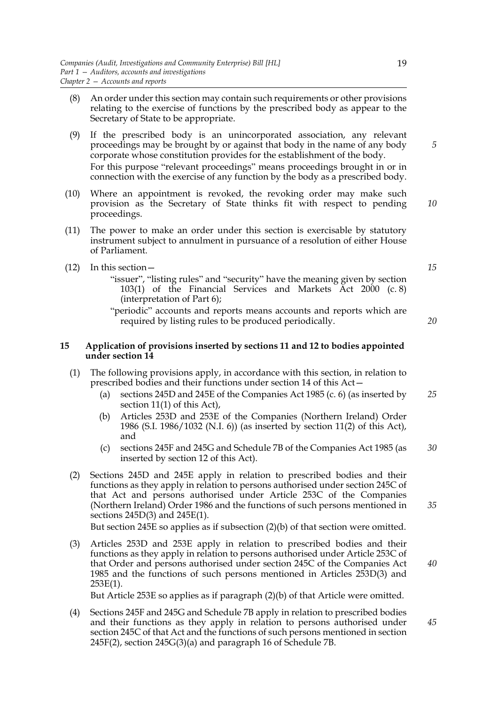- (8) An order under this section may contain such requirements or other provisions relating to the exercise of functions by the prescribed body as appear to the Secretary of State to be appropriate.
- (9) If the prescribed body is an unincorporated association, any relevant proceedings may be brought by or against that body in the name of any body corporate whose constitution provides for the establishment of the body. For this purpose "relevant proceedings" means proceedings brought in or in connection with the exercise of any function by the body as a prescribed body.
- (10) Where an appointment is revoked, the revoking order may make such provision as the Secretary of State thinks fit with respect to pending proceedings.
- (11) The power to make an order under this section is exercisable by statutory instrument subject to annulment in pursuance of a resolution of either House of Parliament.
- (12) In this section—
	- "issuer", "listing rules" and "security" have the meaning given by section 103(1) of the Financial Services and Markets Act 2000 (c. 8) (interpretation of Part 6);
	- "periodic" accounts and reports means accounts and reports which are required by listing rules to be produced periodically.

# **15 Application of provisions inserted by sections 11 and 12 to bodies appointed under section 14**

- (1) The following provisions apply, in accordance with this section, in relation to prescribed bodies and their functions under section 14 of this Act—
	- (a) sections 245D and 245E of the Companies Act 1985 (c. 6) (as inserted by section 11(1) of this Act), *25*
	- (b) Articles 253D and 253E of the Companies (Northern Ireland) Order 1986 (S.I. 1986/1032 (N.I. 6)) (as inserted by section 11(2) of this Act), and
	- (c) sections 245F and 245G and Schedule 7B of the Companies Act 1985 (as inserted by section 12 of this Act). *30*
- (2) Sections 245D and 245E apply in relation to prescribed bodies and their functions as they apply in relation to persons authorised under section 245C of that Act and persons authorised under Article 253C of the Companies (Northern Ireland) Order 1986 and the functions of such persons mentioned in sections 245D(3) and 245E(1).

But section 245E so applies as if subsection  $(2)(b)$  of that section were omitted.

(3) Articles 253D and 253E apply in relation to prescribed bodies and their functions as they apply in relation to persons authorised under Article 253C of that Order and persons authorised under section 245C of the Companies Act 1985 and the functions of such persons mentioned in Articles 253D(3) and  $253E(1)$ .

But Article 253E so applies as if paragraph (2)(b) of that Article were omitted.

(4) Sections 245F and 245G and Schedule 7B apply in relation to prescribed bodies and their functions as they apply in relation to persons authorised under section 245C of that Act and the functions of such persons mentioned in section 245F(2), section 245G(3)(a) and paragraph 16 of Schedule 7B. *45*

*5*

*10*

*15*

*20*

*40*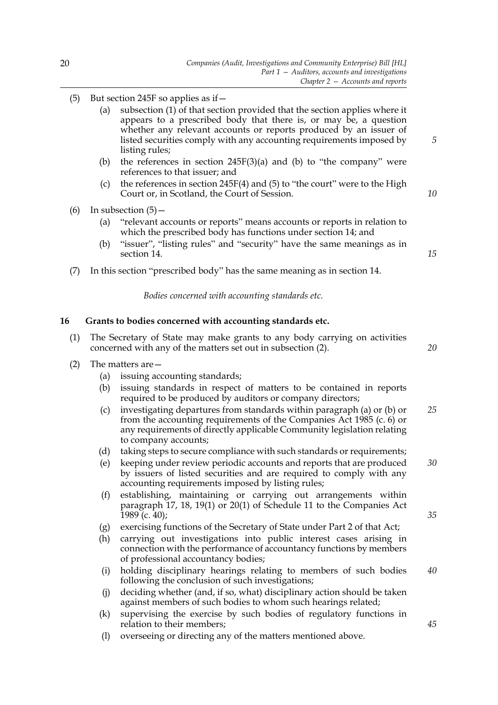- (5) But section 245F so applies as if—
	- (a) subsection (1) of that section provided that the section applies where it appears to a prescribed body that there is, or may be, a question whether any relevant accounts or reports produced by an issuer of listed securities comply with any accounting requirements imposed by listing rules;
	- (b) the references in section  $245F(3)(a)$  and (b) to "the company" were references to that issuer; and
	- (c) the references in section 245 $F(4)$  and (5) to "the court" were to the High Court or, in Scotland, the Court of Session.
- (6) In subsection  $(5)$ 
	- (a) "relevant accounts or reports" means accounts or reports in relation to which the prescribed body has functions under section 14; and
	- (b) "issuer", "listing rules" and "security" have the same meanings as in section 14.
- (7) In this section "prescribed body" has the same meaning as in section 14.

*Bodies concerned with accounting standards etc.*

# **16 Grants to bodies concerned with accounting standards etc.**

- (1) The Secretary of State may make grants to any body carrying on activities concerned with any of the matters set out in subsection (2). *20*
- (2) The matters are—
	- (a) issuing accounting standards;
	- (b) issuing standards in respect of matters to be contained in reports required to be produced by auditors or company directors;
	- (c) investigating departures from standards within paragraph (a) or (b) or from the accounting requirements of the Companies Act 1985 (c. 6) or any requirements of directly applicable Community legislation relating to company accounts; *25*
	- (d) taking steps to secure compliance with such standards or requirements;
	- (e) keeping under review periodic accounts and reports that are produced by issuers of listed securities and are required to comply with any accounting requirements imposed by listing rules; *30*
	- (f) establishing, maintaining or carrying out arrangements within paragraph 17, 18, 19(1) or 20(1) of Schedule 11 to the Companies Act 1989 (c. 40);
	- (g) exercising functions of the Secretary of State under Part 2 of that Act;
	- (h) carrying out investigations into public interest cases arising in connection with the performance of accountancy functions by members of professional accountancy bodies;
	- (i) holding disciplinary hearings relating to members of such bodies following the conclusion of such investigations; *40*
	- (j) deciding whether (and, if so, what) disciplinary action should be taken against members of such bodies to whom such hearings related;
	- (k) supervising the exercise by such bodies of regulatory functions in relation to their members;
	- (l) overseeing or directing any of the matters mentioned above.

*15*

*35*

*45*

*5*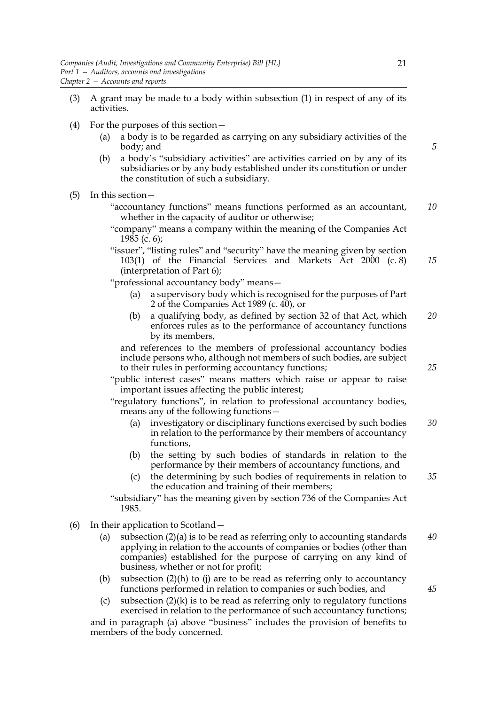- (3) A grant may be made to a body within subsection (1) in respect of any of its activities.
- (4) For the purposes of this section—
	- (a) a body is to be regarded as carrying on any subsidiary activities of the body; and
	- (b) a body's "subsidiary activities" are activities carried on by any of its subsidiaries or by any body established under its constitution or under the constitution of such a subsidiary.
- (5) In this section—
	- "accountancy functions" means functions performed as an accountant, whether in the capacity of auditor or otherwise; *10*
	- "company" means a company within the meaning of the Companies Act  $1985$  (c. 6);
	- "issuer", "listing rules" and "security" have the meaning given by section 103(1) of the Financial Services and Markets Act 2000 (c. 8) (interpretation of Part 6); *15*

"professional accountancy body" means—

- (a) a supervisory body which is recognised for the purposes of Part 2 of the Companies Act 1989 (c. 40), or
- (b) a qualifying body, as defined by section 32 of that Act, which enforces rules as to the performance of accountancy functions by its members, *20*

and references to the members of professional accountancy bodies include persons who, although not members of such bodies, are subject to their rules in performing accountancy functions;

"public interest cases" means matters which raise or appear to raise important issues affecting the public interest;

"regulatory functions", in relation to professional accountancy bodies, means any of the following functions—

- (a) investigatory or disciplinary functions exercised by such bodies in relation to the performance by their members of accountancy functions, *30*
- (b) the setting by such bodies of standards in relation to the performance by their members of accountancy functions, and
- (c) the determining by such bodies of requirements in relation to the education and training of their members; *35*

"subsidiary" has the meaning given by section 736 of the Companies Act 1985.

- (6) In their application to Scotland—
	- (a) subsection (2)(a) is to be read as referring only to accounting standards applying in relation to the accounts of companies or bodies (other than companies) established for the purpose of carrying on any kind of business, whether or not for profit; *40*
	- (b) subsection  $(2)(h)$  to  $(j)$  are to be read as referring only to accountancy functions performed in relation to companies or such bodies, and
	- (c) subsection  $(2)(k)$  is to be read as referring only to regulatory functions exercised in relation to the performance of such accountancy functions;

and in paragraph (a) above "business" includes the provision of benefits to members of the body concerned.

*5*

*25*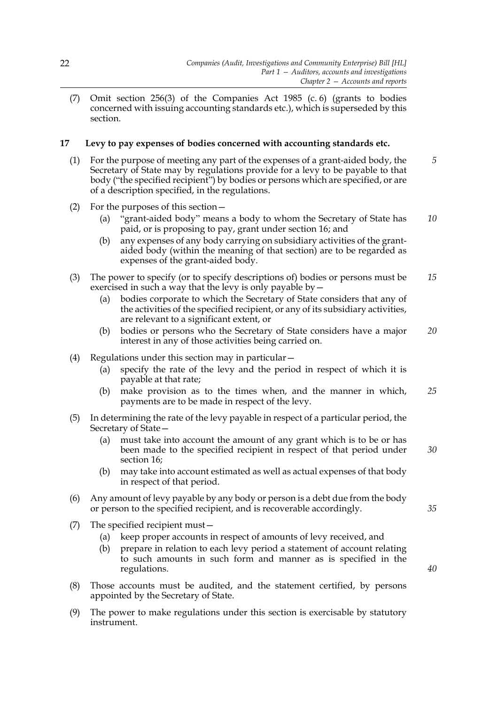(7) Omit section 256(3) of the Companies Act 1985 (c. 6) (grants to bodies concerned with issuing accounting standards etc.), which is superseded by this section.

# **17 Levy to pay expenses of bodies concerned with accounting standards etc.**

- (1) For the purpose of meeting any part of the expenses of a grant-aided body, the Secretary of State may by regulations provide for a levy to be payable to that body ("the specified recipient") by bodies or persons which are specified, or are of a description specified, in the regulations. *5*
- (2) For the purposes of this section—
	- (a) "grant-aided body" means a body to whom the Secretary of State has paid, or is proposing to pay, grant under section 16; and *10*
	- (b) any expenses of any body carrying on subsidiary activities of the grantaided body (within the meaning of that section) are to be regarded as expenses of the grant-aided body.
- (3) The power to specify (or to specify descriptions of) bodies or persons must be exercised in such a way that the levy is only payable by— *15*
	- (a) bodies corporate to which the Secretary of State considers that any of the activities of the specified recipient, or any of its subsidiary activities, are relevant to a significant extent, or
	- (b) bodies or persons who the Secretary of State considers have a major interest in any of those activities being carried on. *20*
- (4) Regulations under this section may in particular—
	- (a) specify the rate of the levy and the period in respect of which it is payable at that rate;
	- (b) make provision as to the times when, and the manner in which, payments are to be made in respect of the levy. *25*
- (5) In determining the rate of the levy payable in respect of a particular period, the Secretary of State—
	- (a) must take into account the amount of any grant which is to be or has been made to the specified recipient in respect of that period under section 16; *30*
	- (b) may take into account estimated as well as actual expenses of that body in respect of that period.
- (6) Any amount of levy payable by any body or person is a debt due from the body or person to the specified recipient, and is recoverable accordingly.
- (7) The specified recipient must—
	- (a) keep proper accounts in respect of amounts of levy received, and
	- (b) prepare in relation to each levy period a statement of account relating to such amounts in such form and manner as is specified in the regulations.
- (8) Those accounts must be audited, and the statement certified, by persons appointed by the Secretary of State.
- (9) The power to make regulations under this section is exercisable by statutory instrument.

*40*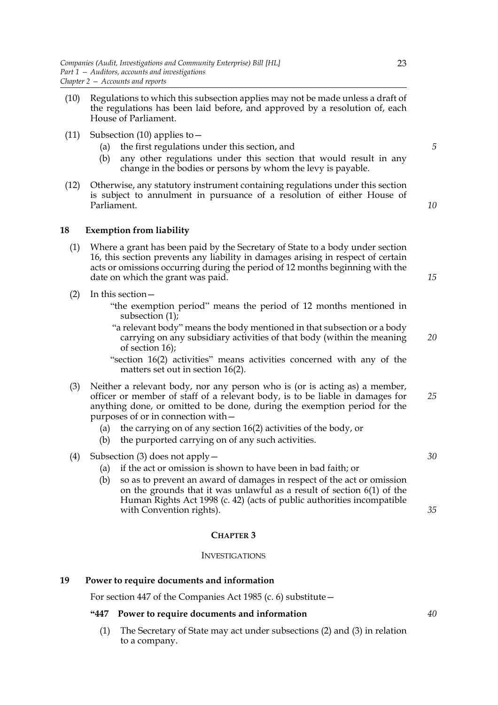- (10) Regulations to which this subsection applies may not be made unless a draft of the regulations has been laid before, and approved by a resolution of, each House of Parliament.
- (11) Subsection (10) applies to  $-$ 
	- (a) the first regulations under this section, and
	- (b) any other regulations under this section that would result in any change in the bodies or persons by whom the levy is payable.
- (12) Otherwise, any statutory instrument containing regulations under this section is subject to annulment in pursuance of a resolution of either House of Parliament.

## **18 Exemption from liability**

- (1) Where a grant has been paid by the Secretary of State to a body under section 16, this section prevents any liability in damages arising in respect of certain acts or omissions occurring during the period of 12 months beginning with the date on which the grant was paid.
- (2) In this section—
	- "the exemption period" means the period of 12 months mentioned in subsection (1);
	- "a relevant body" means the body mentioned in that subsection or a body carrying on any subsidiary activities of that body (within the meaning of section 16);

"section 16(2) activities" means activities concerned with any of the matters set out in section 16(2).

- (3) Neither a relevant body, nor any person who is (or is acting as) a member, officer or member of staff of a relevant body, is to be liable in damages for anything done, or omitted to be done, during the exemption period for the purposes of or in connection with—
	- (a) the carrying on of any section 16(2) activities of the body, or
	- (b) the purported carrying on of any such activities.
- (4) Subsection (3) does not apply—
	- (a) if the act or omission is shown to have been in bad faith; or
	- (b) so as to prevent an award of damages in respect of the act or omission on the grounds that it was unlawful as a result of section 6(1) of the Human Rights Act 1998 (c. 42) (acts of public authorities incompatible with Convention rights).

## **CHAPTER 3**

### INVESTIGATIONS

## **19 Power to require documents and information**

For section 447 of the Companies Act 1985 (c. 6) substitute—

# **"447 Power to require documents and information**

(1) The Secretary of State may act under subsections (2) and (3) in relation to a company.

*5*

*10*

*15*

*20*

*25*

*30*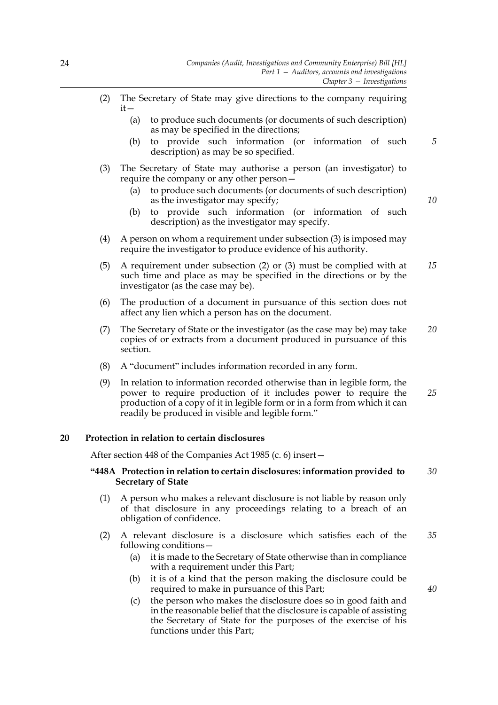- (2) The Secretary of State may give directions to the company requiring it—
	- (a) to produce such documents (or documents of such description) as may be specified in the directions;
	- (b) to provide such information (or information of such description) as may be so specified. *5*
- (3) The Secretary of State may authorise a person (an investigator) to require the company or any other person—
	- (a) to produce such documents (or documents of such description) as the investigator may specify;
	- (b) to provide such information (or information of such description) as the investigator may specify.
- (4) A person on whom a requirement under subsection (3) is imposed may require the investigator to produce evidence of his authority.
- (5) A requirement under subsection (2) or (3) must be complied with at such time and place as may be specified in the directions or by the investigator (as the case may be). *15*
- (6) The production of a document in pursuance of this section does not affect any lien which a person has on the document.
- (7) The Secretary of State or the investigator (as the case may be) may take copies of or extracts from a document produced in pursuance of this section. *20*
- (8) A "document" includes information recorded in any form.
- (9) In relation to information recorded otherwise than in legible form, the power to require production of it includes power to require the production of a copy of it in legible form or in a form from which it can readily be produced in visible and legible form." *25*

# **20 Protection in relation to certain disclosures**

After section 448 of the Companies Act 1985 (c. 6) insert—

#### **"448A Protection in relation to certain disclosures: information provided to Secretary of State** *30*

- (1) A person who makes a relevant disclosure is not liable by reason only of that disclosure in any proceedings relating to a breach of an obligation of confidence.
- (2) A relevant disclosure is a disclosure which satisfies each of the following conditions— *35*
	- (a) it is made to the Secretary of State otherwise than in compliance with a requirement under this Part;
	- (b) it is of a kind that the person making the disclosure could be required to make in pursuance of this Part;
	- (c) the person who makes the disclosure does so in good faith and in the reasonable belief that the disclosure is capable of assisting the Secretary of State for the purposes of the exercise of his functions under this Part;

*40*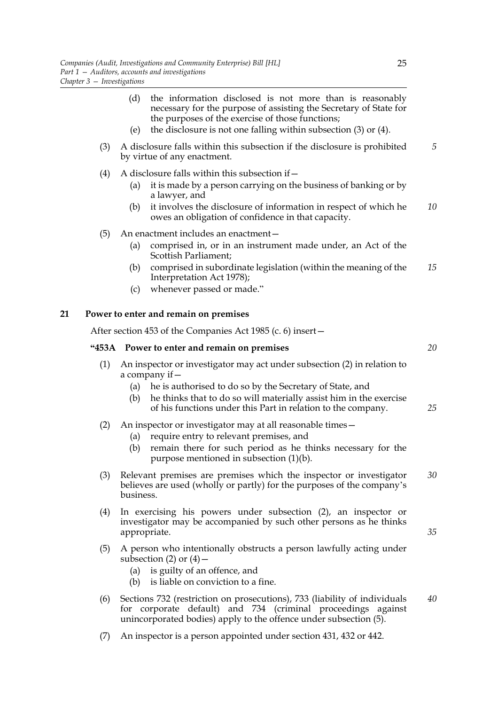- (d) the information disclosed is not more than is reasonably necessary for the purpose of assisting the Secretary of State for the purposes of the exercise of those functions;
- (e) the disclosure is not one falling within subsection (3) or (4).
- (3) A disclosure falls within this subsection if the disclosure is prohibited by virtue of any enactment. *5*
- (4) A disclosure falls within this subsection if  $-$ 
	- (a) it is made by a person carrying on the business of banking or by a lawyer, and
	- (b) it involves the disclosure of information in respect of which he owes an obligation of confidence in that capacity. *10*
- (5) An enactment includes an enactment—
	- (a) comprised in, or in an instrument made under, an Act of the Scottish Parliament;
	- (b) comprised in subordinate legislation (within the meaning of the Interpretation Act 1978); *15*
	- (c) whenever passed or made."

# **21 Power to enter and remain on premises**

After section 453 of the Companies Act 1985 (c. 6) insert—

#### **"453A Power to enter and remain on premises**

- (1) An inspector or investigator may act under subsection (2) in relation to a company if—
	- (a) he is authorised to do so by the Secretary of State, and
	- (b) he thinks that to do so will materially assist him in the exercise of his functions under this Part in relation to the company.

# (2) An inspector or investigator may at all reasonable times—

- (a) require entry to relevant premises, and
- (b) remain there for such period as he thinks necessary for the purpose mentioned in subsection (1)(b).
- (3) Relevant premises are premises which the inspector or investigator believes are used (wholly or partly) for the purposes of the company's business. *30*
- (4) In exercising his powers under subsection (2), an inspector or investigator may be accompanied by such other persons as he thinks appropriate.
- (5) A person who intentionally obstructs a person lawfully acting under subsection (2) or  $(4)$  –
	- (a) is guilty of an offence, and
	- (b) is liable on conviction to a fine.
- (6) Sections 732 (restriction on prosecutions), 733 (liability of individuals for corporate default) and 734 (criminal proceedings against unincorporated bodies) apply to the offence under subsection (5). *40*
- (7) An inspector is a person appointed under section 431, 432 or 442.

*20*

*25*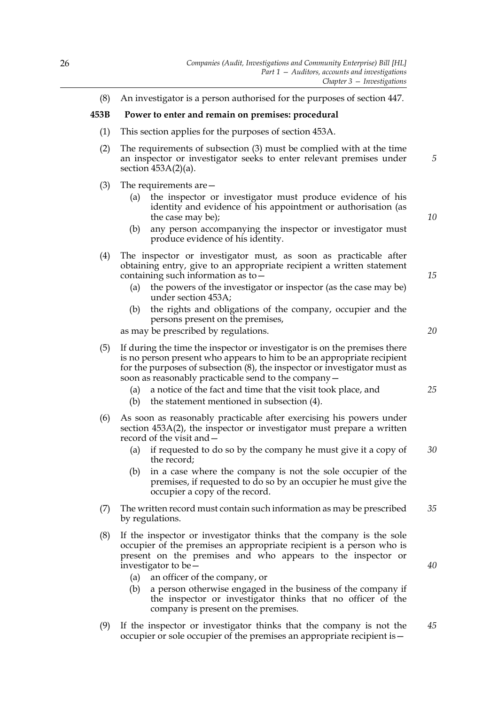(8) An investigator is a person authorised for the purposes of section 447.

# **453B Power to enter and remain on premises: procedural**

- (1) This section applies for the purposes of section 453A.
- (2) The requirements of subsection (3) must be complied with at the time an inspector or investigator seeks to enter relevant premises under section 453A(2)(a).
- (3) The requirements are—
	- (a) the inspector or investigator must produce evidence of his identity and evidence of his appointment or authorisation (as the case may be);
	- (b) any person accompanying the inspector or investigator must produce evidence of his identity.
- (4) The inspector or investigator must, as soon as practicable after obtaining entry, give to an appropriate recipient a written statement containing such information as to—
	- (a) the powers of the investigator or inspector (as the case may be) under section 453A;
	- (b) the rights and obligations of the company, occupier and the persons present on the premises,

as may be prescribed by regulations.

- (5) If during the time the inspector or investigator is on the premises there is no person present who appears to him to be an appropriate recipient for the purposes of subsection (8), the inspector or investigator must as soon as reasonably practicable send to the company—
	- (a) a notice of the fact and time that the visit took place, and
	- (b) the statement mentioned in subsection (4).
- (6) As soon as reasonably practicable after exercising his powers under section 453A(2), the inspector or investigator must prepare a written record of the visit and—
	- (a) if requested to do so by the company he must give it a copy of the record; *30*
	- (b) in a case where the company is not the sole occupier of the premises, if requested to do so by an occupier he must give the occupier a copy of the record.
- (7) The written record must contain such information as may be prescribed by regulations. *35*
- (8) If the inspector or investigator thinks that the company is the sole occupier of the premises an appropriate recipient is a person who is present on the premises and who appears to the inspector or investigator to be—
	- (a) an officer of the company, or
	- (b) a person otherwise engaged in the business of the company if the inspector or investigator thinks that no officer of the company is present on the premises.
- (9) If the inspector or investigator thinks that the company is not the occupier or sole occupier of the premises an appropriate recipient is— *45*

*20*

*15*

*5*

*10*

*25*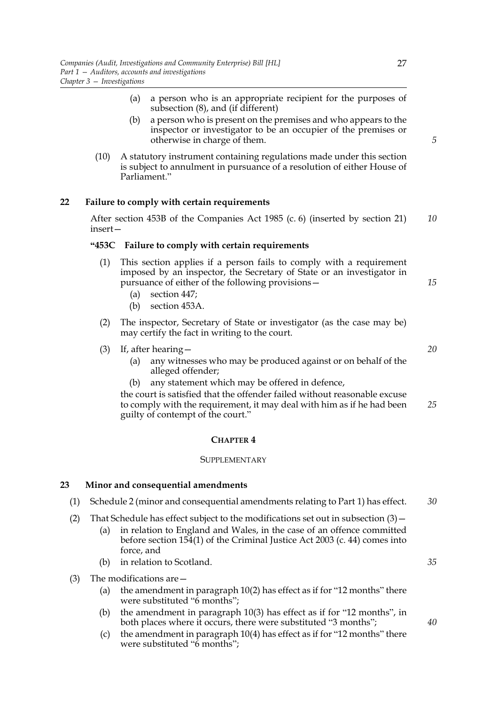- (a) a person who is an appropriate recipient for the purposes of subsection (8), and (if different)
- (b) a person who is present on the premises and who appears to the inspector or investigator to be an occupier of the premises or otherwise in charge of them.
- (10) A statutory instrument containing regulations made under this section is subject to annulment in pursuance of a resolution of either House of Parliament."

# **22 Failure to comply with certain requirements**

After section 453B of the Companies Act 1985 (c. 6) (inserted by section 21) insert— *10*

#### **"453C Failure to comply with certain requirements**

- (1) This section applies if a person fails to comply with a requirement imposed by an inspector, the Secretary of State or an investigator in pursuance of either of the following provisions—
	- (a) section 447;
	- (b) section 453A.
- (2) The inspector, Secretary of State or investigator (as the case may be) may certify the fact in writing to the court.
- (3) If, after hearing—
	- (a) any witnesses who may be produced against or on behalf of the alleged offender;
	- (b) any statement which may be offered in defence,

the court is satisfied that the offender failed without reasonable excuse to comply with the requirement, it may deal with him as if he had been guilty of contempt of the court." *25*

#### **CHAPTER 4**

#### **SUPPLEMENTARY**

#### **23 Minor and consequential amendments**

- (1) Schedule 2 (minor and consequential amendments relating to Part 1) has effect. *30*
- (2) That Schedule has effect subject to the modifications set out in subsection  $(3)$  -
	- (a) in relation to England and Wales, in the case of an offence committed before section 154(1) of the Criminal Justice Act 2003 (c. 44) comes into force, and
	- (b) in relation to Scotland.
- (3) The modifications are—
	- (a) the amendment in paragraph 10(2) has effect as if for "12 months" there were substituted "6 months";
	- (b) the amendment in paragraph 10(3) has effect as if for "12 months", in both places where it occurs, there were substituted "3 months";
	- (c) the amendment in paragraph 10(4) has effect as if for "12 months" there were substituted "6 months";

*5*

*15*

*20*

*35*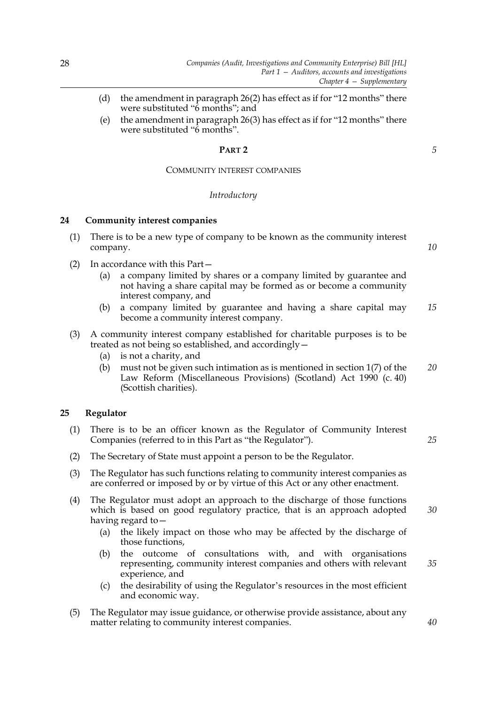- (d) the amendment in paragraph 26(2) has effect as if for "12 months" there were substituted "6 months"; and
- (e) the amendment in paragraph 26(3) has effect as if for "12 months" there were substituted "6 months".

#### **PART 2**

# COMMUNITY INTEREST COMPANIES

#### *Introductory*

# **24 Community interest companies**

- (1) There is to be a new type of company to be known as the community interest company. *10*
- (2) In accordance with this Part—
	- (a) a company limited by shares or a company limited by guarantee and not having a share capital may be formed as or become a community interest company, and
	- (b) a company limited by guarantee and having a share capital may become a community interest company. *15*
- (3) A community interest company established for charitable purposes is to be treated as not being so established, and accordingly—
	- (a) is not a charity, and
	- (b) must not be given such intimation as is mentioned in section 1(7) of the Law Reform (Miscellaneous Provisions) (Scotland) Act 1990 (c. 40) (Scottish charities). *20*

## **25 Regulator**

| (1) There is to be an officer known as the Regulator of Community Interest |  |
|----------------------------------------------------------------------------|--|
| Companies (referred to in this Part as "the Regulator").                   |  |

- (2) The Secretary of State must appoint a person to be the Regulator.
- (3) The Regulator has such functions relating to community interest companies as are conferred or imposed by or by virtue of this Act or any other enactment.
- (4) The Regulator must adopt an approach to the discharge of those functions which is based on good regulatory practice, that is an approach adopted having regard to— *30*
	- (a) the likely impact on those who may be affected by the discharge of those functions,
	- (b) the outcome of consultations with, and with organisations representing, community interest companies and others with relevant experience, and *35*
	- (c) the desirability of using the Regulator's resources in the most efficient and economic way.
- (5) The Regulator may issue guidance, or otherwise provide assistance, about any matter relating to community interest companies.

*5*

*25*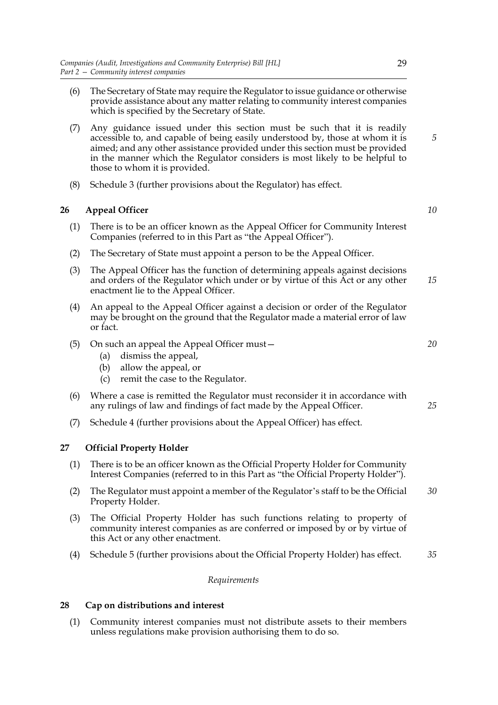- (6) The Secretary of State may require the Regulator to issue guidance or otherwise provide assistance about any matter relating to community interest companies which is specified by the Secretary of State.
- (7) Any guidance issued under this section must be such that it is readily accessible to, and capable of being easily understood by, those at whom it is aimed; and any other assistance provided under this section must be provided in the manner which the Regulator considers is most likely to be helpful to those to whom it is provided.
- (8) Schedule 3 (further provisions about the Regulator) has effect.

# **26 Appeal Officer**

- (1) There is to be an officer known as the Appeal Officer for Community Interest Companies (referred to in this Part as "the Appeal Officer").
- (2) The Secretary of State must appoint a person to be the Appeal Officer.
- (3) The Appeal Officer has the function of determining appeals against decisions and orders of the Regulator which under or by virtue of this Act or any other enactment lie to the Appeal Officer. *15*
- (4) An appeal to the Appeal Officer against a decision or order of the Regulator may be brought on the ground that the Regulator made a material error of law or fact.
- (5) On such an appeal the Appeal Officer must—
	- (a) dismiss the appeal,
	- (b) allow the appeal, or
	- (c) remit the case to the Regulator.
- (6) Where a case is remitted the Regulator must reconsider it in accordance with any rulings of law and findings of fact made by the Appeal Officer.
- (7) Schedule 4 (further provisions about the Appeal Officer) has effect.

# **27 Official Property Holder**

- (1) There is to be an officer known as the Official Property Holder for Community Interest Companies (referred to in this Part as "the Official Property Holder").
- (2) The Regulator must appoint a member of the Regulator's staff to be the Official Property Holder. *30*
- (3) The Official Property Holder has such functions relating to property of community interest companies as are conferred or imposed by or by virtue of this Act or any other enactment.
- (4) Schedule 5 (further provisions about the Official Property Holder) has effect. *35*

# *Requirements*

# **28 Cap on distributions and interest**

(1) Community interest companies must not distribute assets to their members unless regulations make provision authorising them to do so.

*5*

*10*

*20*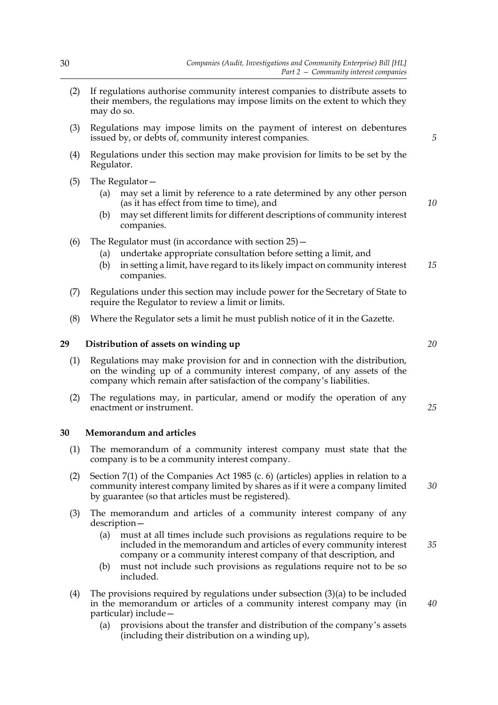- (2) If regulations authorise community interest companies to distribute assets to their members, the regulations may impose limits on the extent to which they may do so.
- (3) Regulations may impose limits on the payment of interest on debentures issued by, or debts of, community interest companies.
- (4) Regulations under this section may make provision for limits to be set by the Regulator.
- (5) The Regulator—
	- (a) may set a limit by reference to a rate determined by any other person (as it has effect from time to time), and
	- (b) may set different limits for different descriptions of community interest companies.
- (6) The Regulator must (in accordance with section  $25$ )  $-$ 
	- (a) undertake appropriate consultation before setting a limit, and
	- (b) in setting a limit, have regard to its likely impact on community interest companies. *15*
- (7) Regulations under this section may include power for the Secretary of State to require the Regulator to review a limit or limits.
- (8) Where the Regulator sets a limit he must publish notice of it in the Gazette.

# **29 Distribution of assets on winding up**

- (1) Regulations may make provision for and in connection with the distribution, on the winding up of a community interest company, of any assets of the company which remain after satisfaction of the company's liabilities.
- (2) The regulations may, in particular, amend or modify the operation of any enactment or instrument.

## **30 Memorandum and articles**

- (1) The memorandum of a community interest company must state that the company is to be a community interest company.
- (2) Section 7(1) of the Companies Act 1985 (c. 6) (articles) applies in relation to a community interest company limited by shares as if it were a company limited by guarantee (so that articles must be registered).
- (3) The memorandum and articles of a community interest company of any description—
	- (a) must at all times include such provisions as regulations require to be included in the memorandum and articles of every community interest company or a community interest company of that description, and
	- (b) must not include such provisions as regulations require not to be so included.
- (4) The provisions required by regulations under subsection (3)(a) to be included in the memorandum or articles of a community interest company may (in particular) include—
	- (a) provisions about the transfer and distribution of the company's assets (including their distribution on a winding up),

*20*

*5*

*10*

*25*

*35*

*40*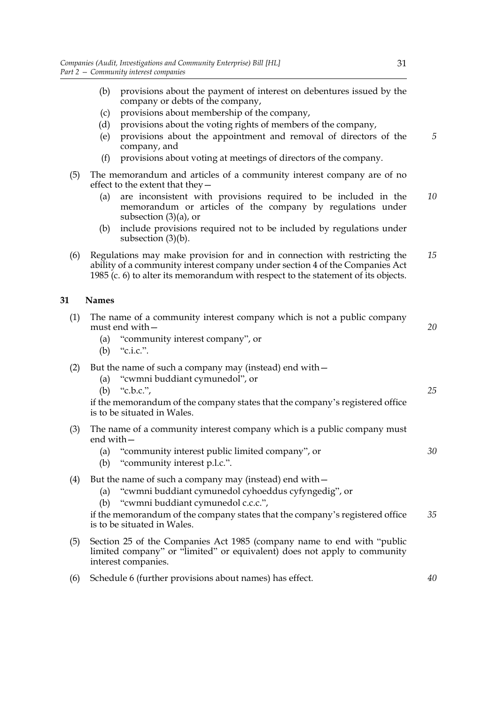- (b) provisions about the payment of interest on debentures issued by the company or debts of the company,
- (c) provisions about membership of the company,
- (d) provisions about the voting rights of members of the company,
- (e) provisions about the appointment and removal of directors of the company, and
- (f) provisions about voting at meetings of directors of the company.
- (5) The memorandum and articles of a community interest company are of no effect to the extent that they—
	- (a) are inconsistent with provisions required to be included in the memorandum or articles of the company by regulations under subsection (3)(a), or *10*
	- (b) include provisions required not to be included by regulations under subsection (3)(b).
- (6) Regulations may make provision for and in connection with restricting the ability of a community interest company under section 4 of the Companies Act 1985 (c. 6) to alter its memorandum with respect to the statement of its objects. *15*

# **31 Names**

| 31  | <b>Names</b>                                                                                                                                                                                                                                                                |    |
|-----|-----------------------------------------------------------------------------------------------------------------------------------------------------------------------------------------------------------------------------------------------------------------------------|----|
| (1) | The name of a community interest company which is not a public company<br>must end with $-$<br>(a) "community interest company", or<br>"c.i.c.".<br>(b)                                                                                                                     | 20 |
| (2) | But the name of such a company may (instead) end with-<br>(a) "cwmni buddiant cymunedol", or<br>"c.b.c.",<br>(b)<br>if the memorandum of the company states that the company's registered office<br>is to be situated in Wales.                                             | 25 |
| (3) | The name of a community interest company which is a public company must<br>end with $-$<br>"community interest public limited company", or<br>(a)<br>"community interest p.l.c.".<br>(b)                                                                                    | 30 |
| (4) | But the name of such a company may (instead) end with -<br>(a) "cwmni buddiant cymunedol cyhoeddus cyfyngedig", or<br>(b) "cwmni buddiant cymunedol c.c.c.",<br>if the memorandum of the company states that the company's registered office<br>is to be situated in Wales. | 35 |
| (5) | Section 25 of the Companies Act 1985 (company name to end with "public"<br>limited company" or "limited" or equivalent) does not apply to community<br>interest companies.                                                                                                  |    |

(6) Schedule 6 (further provisions about names) has effect. *40*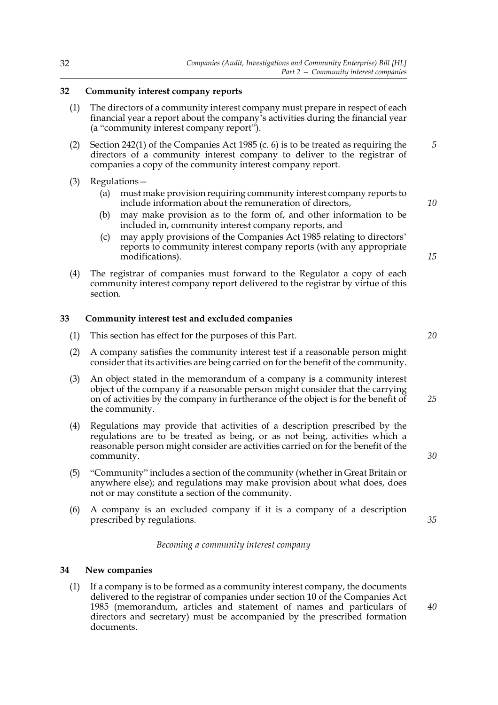# **32 Community interest company reports**

- (1) The directors of a community interest company must prepare in respect of each financial year a report about the company's activities during the financial year (a "community interest company report").
- (2) Section 242(1) of the Companies Act 1985 (c. 6) is to be treated as requiring the directors of a community interest company to deliver to the registrar of companies a copy of the community interest company report. *5*
- (3) Regulations—
	- (a) must make provision requiring community interest company reports to include information about the remuneration of directors,
	- (b) may make provision as to the form of, and other information to be included in, community interest company reports, and
	- (c) may apply provisions of the Companies Act 1985 relating to directors' reports to community interest company reports (with any appropriate modifications).
- (4) The registrar of companies must forward to the Regulator a copy of each community interest company report delivered to the registrar by virtue of this section.

# **33 Community interest test and excluded companies**

- (1) This section has effect for the purposes of this Part.
- (2) A company satisfies the community interest test if a reasonable person might consider that its activities are being carried on for the benefit of the community.
- (3) An object stated in the memorandum of a company is a community interest object of the company if a reasonable person might consider that the carrying on of activities by the company in furtherance of the object is for the benefit of the community. *25*
- (4) Regulations may provide that activities of a description prescribed by the regulations are to be treated as being, or as not being, activities which a reasonable person might consider are activities carried on for the benefit of the community.
- (5) "Community" includes a section of the community (whether in Great Britain or anywhere else); and regulations may make provision about what does, does not or may constitute a section of the community.
- (6) A company is an excluded company if it is a company of a description prescribed by regulations.

# *Becoming a community interest company*

### **34 New companies**

(1) If a company is to be formed as a community interest company, the documents delivered to the registrar of companies under section 10 of the Companies Act 1985 (memorandum, articles and statement of names and particulars of directors and secretary) must be accompanied by the prescribed formation documents.

*20*

*10*

*15*

*30*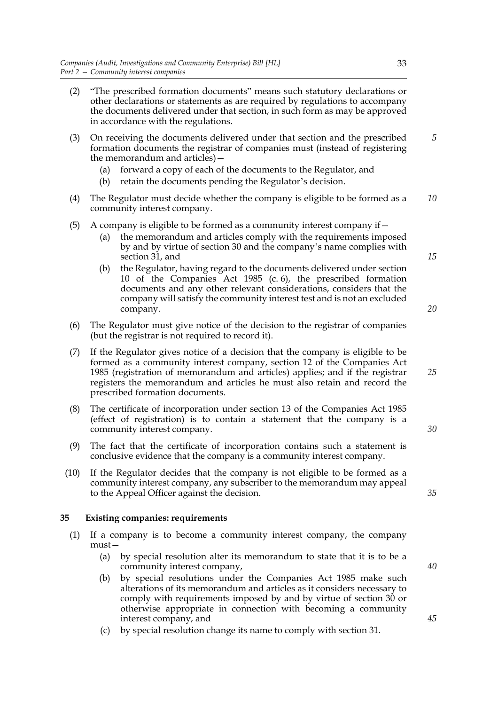- (2) "The prescribed formation documents" means such statutory declarations or other declarations or statements as are required by regulations to accompany the documents delivered under that section, in such form as may be approved in accordance with the regulations.
- (3) On receiving the documents delivered under that section and the prescribed formation documents the registrar of companies must (instead of registering the memorandum and articles)— *5*
	- (a) forward a copy of each of the documents to the Regulator, and
	- (b) retain the documents pending the Regulator's decision.
- (4) The Regulator must decide whether the company is eligible to be formed as a community interest company. *10*

# (5) A company is eligible to be formed as a community interest company if  $-$

- (a) the memorandum and articles comply with the requirements imposed by and by virtue of section 30 and the company's name complies with section 31, and
- (b) the Regulator, having regard to the documents delivered under section 10 of the Companies Act 1985 (c. 6), the prescribed formation documents and any other relevant considerations, considers that the company will satisfy the community interest test and is not an excluded company.
- (6) The Regulator must give notice of the decision to the registrar of companies (but the registrar is not required to record it).
- (7) If the Regulator gives notice of a decision that the company is eligible to be formed as a community interest company, section 12 of the Companies Act 1985 (registration of memorandum and articles) applies; and if the registrar registers the memorandum and articles he must also retain and record the prescribed formation documents.
- (8) The certificate of incorporation under section 13 of the Companies Act 1985 (effect of registration) is to contain a statement that the company is a community interest company.
- (9) The fact that the certificate of incorporation contains such a statement is conclusive evidence that the company is a community interest company.
- (10) If the Regulator decides that the company is not eligible to be formed as a community interest company, any subscriber to the memorandum may appeal to the Appeal Officer against the decision.

### **35 Existing companies: requirements**

- (1) If a company is to become a community interest company, the company must—
	- (a) by special resolution alter its memorandum to state that it is to be a community interest company,
	- (b) by special resolutions under the Companies Act 1985 make such alterations of its memorandum and articles as it considers necessary to comply with requirements imposed by and by virtue of section 30 or otherwise appropriate in connection with becoming a community interest company, and
	- (c) by special resolution change its name to comply with section 31.

*30*

*35*

*15*

*20*

*25*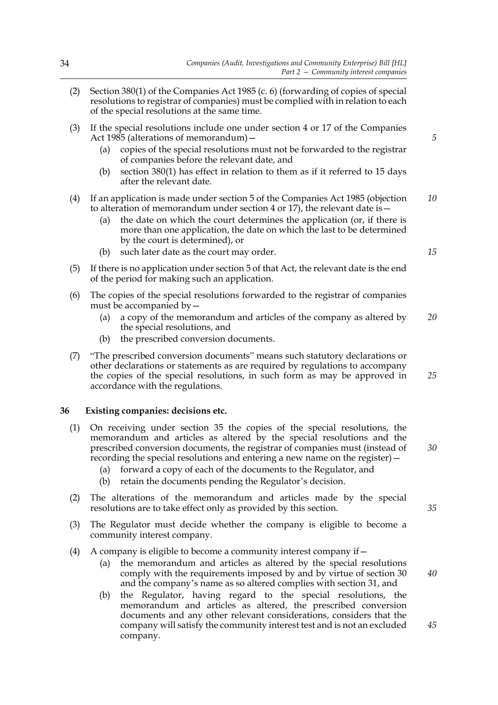- (2) Section 380(1) of the Companies Act 1985 (c. 6) (forwarding of copies of special resolutions to registrar of companies) must be complied with in relation to each of the special resolutions at the same time.
- (3) If the special resolutions include one under section 4 or 17 of the Companies Act 1985 (alterations of memorandum)—
	- (a) copies of the special resolutions must not be forwarded to the registrar of companies before the relevant date, and
	- (b) section 380(1) has effect in relation to them as if it referred to 15 days after the relevant date.
- (4) If an application is made under section 5 of the Companies Act 1985 (objection to alteration of memorandum under section 4 or 17), the relevant date is  $-$ *10*
	- (a) the date on which the court determines the application (or, if there is more than one application, the date on which the last to be determined by the court is determined), or
	- (b) such later date as the court may order.
- (5) If there is no application under section 5 of that Act, the relevant date is the end of the period for making such an application.
- (6) The copies of the special resolutions forwarded to the registrar of companies must be accompanied by—
	- (a) a copy of the memorandum and articles of the company as altered by the special resolutions, and *20*
	- (b) the prescribed conversion documents.
- (7) "The prescribed conversion documents" means such statutory declarations or other declarations or statements as are required by regulations to accompany the copies of the special resolutions, in such form as may be approved in accordance with the regulations.

### **36 Existing companies: decisions etc.**

- (1) On receiving under section 35 the copies of the special resolutions, the memorandum and articles as altered by the special resolutions and the prescribed conversion documents, the registrar of companies must (instead of recording the special resolutions and entering a new name on the register)—
	- (a) forward a copy of each of the documents to the Regulator, and
	- (b) retain the documents pending the Regulator's decision.
- (2) The alterations of the memorandum and articles made by the special resolutions are to take effect only as provided by this section.
- (3) The Regulator must decide whether the company is eligible to become a community interest company.
- (4) A company is eligible to become a community interest company if  $-$ 
	- (a) the memorandum and articles as altered by the special resolutions comply with the requirements imposed by and by virtue of section 30 and the company's name as so altered complies with section 31, and
	- (b) the Regulator, having regard to the special resolutions, the memorandum and articles as altered, the prescribed conversion documents and any other relevant considerations, considers that the company will satisfy the community interest test and is not an excluded company.

*5*

*15*

*25*

*30*

*40*

*45*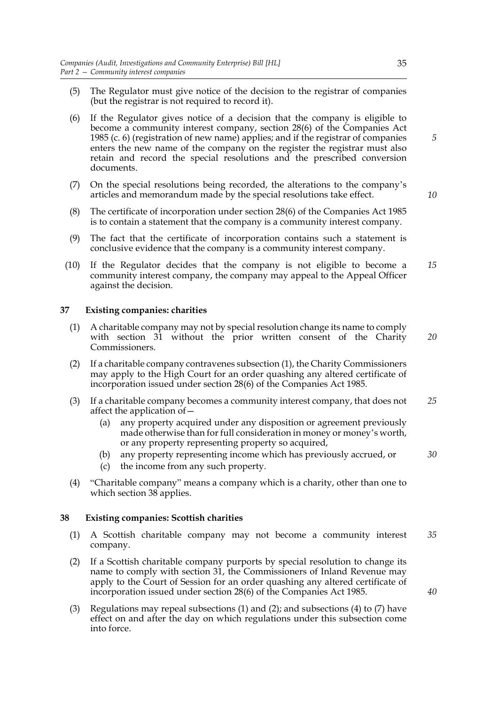- (5) The Regulator must give notice of the decision to the registrar of companies (but the registrar is not required to record it).
- (6) If the Regulator gives notice of a decision that the company is eligible to become a community interest company, section 28(6) of the Companies Act 1985 (c. 6) (registration of new name) applies; and if the registrar of companies enters the new name of the company on the register the registrar must also retain and record the special resolutions and the prescribed conversion documents.
- (7) On the special resolutions being recorded, the alterations to the company's articles and memorandum made by the special resolutions take effect.
- (8) The certificate of incorporation under section 28(6) of the Companies Act 1985 is to contain a statement that the company is a community interest company.
- (9) The fact that the certificate of incorporation contains such a statement is conclusive evidence that the company is a community interest company.
- (10) If the Regulator decides that the company is not eligible to become a community interest company, the company may appeal to the Appeal Officer against the decision. *15*

### **37 Existing companies: charities**

- (1) A charitable company may not by special resolution change its name to comply with section 31 without the prior written consent of the Charity Commissioners.
- (2) If a charitable company contravenes subsection (1), the Charity Commissioners may apply to the High Court for an order quashing any altered certificate of incorporation issued under section 28(6) of the Companies Act 1985.
- (3) If a charitable company becomes a community interest company, that does not affect the application of— *25*
	- (a) any property acquired under any disposition or agreement previously made otherwise than for full consideration in money or money's worth, or any property representing property so acquired,
	- (b) any property representing income which has previously accrued, or
	- (c) the income from any such property.
- (4) "Charitable company" means a company which is a charity, other than one to which section 38 applies.

# **38 Existing companies: Scottish charities**

- (1) A Scottish charitable company may not become a community interest company. *35*
- (2) If a Scottish charitable company purports by special resolution to change its name to comply with section 31, the Commissioners of Inland Revenue may apply to the Court of Session for an order quashing any altered certificate of incorporation issued under section 28(6) of the Companies Act 1985.
- (3) Regulations may repeal subsections (1) and (2); and subsections (4) to (7) have effect on and after the day on which regulations under this subsection come into force.

*30*

*20*

*40*

*10*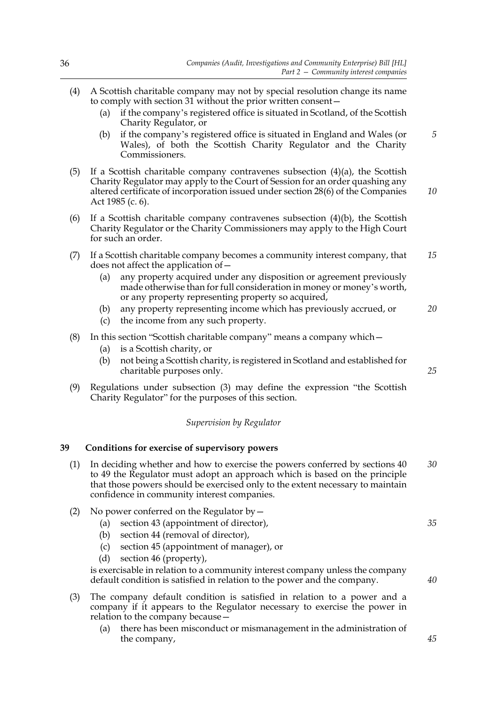- (4) A Scottish charitable company may not by special resolution change its name to comply with section 31 without the prior written consent— (a) if the company's registered office is situated in Scotland, of the Scottish Charity Regulator, or (b) if the company's registered office is situated in England and Wales (or Wales), of both the Scottish Charity Regulator and the Charity Commissioners. (5) If a Scottish charitable company contravenes subsection  $(4)(a)$ , the Scottish Charity Regulator may apply to the Court of Session for an order quashing any altered certificate of incorporation issued under section 28(6) of the Companies Act 1985 (c. 6). (6) If a Scottish charitable company contravenes subsection  $(4)(b)$ , the Scottish Charity Regulator or the Charity Commissioners may apply to the High Court for such an order. (7) If a Scottish charitable company becomes a community interest company, that does not affect the application of— (a) any property acquired under any disposition or agreement previously made otherwise than for full consideration in money or money's worth, or any property representing property so acquired, (b) any property representing income which has previously accrued, or (c) the income from any such property. (8) In this section "Scottish charitable company" means a company which— (a) is a Scottish charity, or (b) not being a Scottish charity, is registered in Scotland and established for charitable purposes only. (9) Regulations under subsection (3) may define the expression "the Scottish Charity Regulator" for the purposes of this section. *Supervision by Regulator* **39 Conditions for exercise of supervisory powers** (1) In deciding whether and how to exercise the powers conferred by sections 40 *5 10 15 20 25 30*
	- to 49 the Regulator must adopt an approach which is based on the principle that those powers should be exercised only to the extent necessary to maintain confidence in community interest companies.
	- (2) No power conferred on the Regulator  $by -$ 
		- (a) section 43 (appointment of director),
		- (b) section 44 (removal of director),
		- (c) section 45 (appointment of manager), or
		- (d) section 46 (property),

is exercisable in relation to a community interest company unless the company default condition is satisfied in relation to the power and the company.

- (3) The company default condition is satisfied in relation to a power and a company if it appears to the Regulator necessary to exercise the power in relation to the company because—
	- (a) there has been misconduct or mismanagement in the administration of the company,

*45*

*35*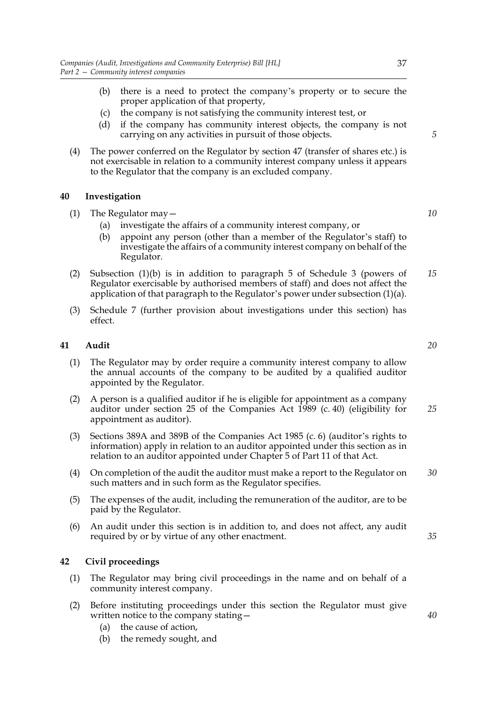- (b) there is a need to protect the company's property or to secure the proper application of that property,
- (c) the company is not satisfying the community interest test, or
- (d) if the company has community interest objects, the company is not carrying on any activities in pursuit of those objects.
- (4) The power conferred on the Regulator by section 47 (transfer of shares etc.) is not exercisable in relation to a community interest company unless it appears to the Regulator that the company is an excluded company.

# **40 Investigation**

- (1) The Regulator may—
	- (a) investigate the affairs of a community interest company, or
	- (b) appoint any person (other than a member of the Regulator's staff) to investigate the affairs of a community interest company on behalf of the Regulator.
- (2) Subsection (1)(b) is in addition to paragraph 5 of Schedule 3 (powers of Regulator exercisable by authorised members of staff) and does not affect the application of that paragraph to the Regulator's power under subsection (1)(a). *15*
- (3) Schedule 7 (further provision about investigations under this section) has effect.

# **41 Audit**

- (1) The Regulator may by order require a community interest company to allow the annual accounts of the company to be audited by a qualified auditor appointed by the Regulator.
- (2) A person is a qualified auditor if he is eligible for appointment as a company auditor under section 25 of the Companies Act 1989 (c. 40) (eligibility for appointment as auditor).
- (3) Sections 389A and 389B of the Companies Act 1985 (c. 6) (auditor's rights to information) apply in relation to an auditor appointed under this section as in relation to an auditor appointed under Chapter 5 of Part 11 of that Act.
- (4) On completion of the audit the auditor must make a report to the Regulator on such matters and in such form as the Regulator specifies. *30*
- (5) The expenses of the audit, including the remuneration of the auditor, are to be paid by the Regulator.
- (6) An audit under this section is in addition to, and does not affect, any audit required by or by virtue of any other enactment.

### **42 Civil proceedings**

- (1) The Regulator may bring civil proceedings in the name and on behalf of a community interest company.
- (2) Before instituting proceedings under this section the Regulator must give written notice to the company stating—
	- (a) the cause of action,
	- (b) the remedy sought, and

*5*

*10*

*20*

*25*

*35*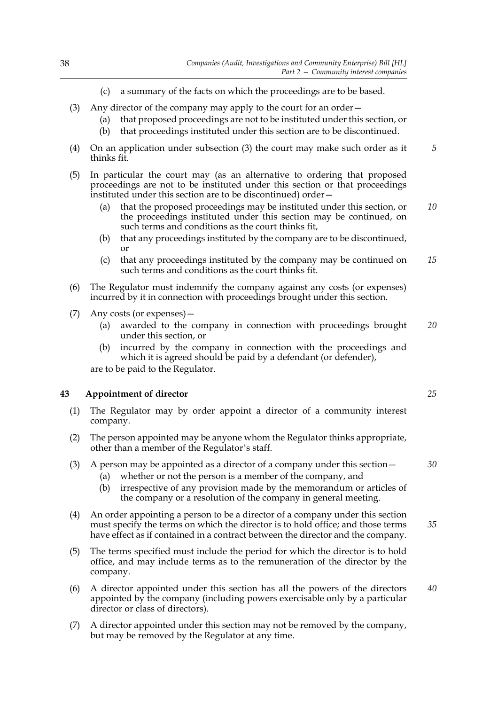- (c) a summary of the facts on which the proceedings are to be based.
- (3) Any director of the company may apply to the court for an order—
	- (a) that proposed proceedings are not to be instituted under this section, or
	- (b) that proceedings instituted under this section are to be discontinued.
- (4) On an application under subsection (3) the court may make such order as it thinks fit. *5*
- (5) In particular the court may (as an alternative to ordering that proposed proceedings are not to be instituted under this section or that proceedings instituted under this section are to be discontinued) order—
	- (a) that the proposed proceedings may be instituted under this section, or the proceedings instituted under this section may be continued, on such terms and conditions as the court thinks fit, *10*
	- (b) that any proceedings instituted by the company are to be discontinued, or
	- (c) that any proceedings instituted by the company may be continued on such terms and conditions as the court thinks fit. *15*
- (6) The Regulator must indemnify the company against any costs (or expenses) incurred by it in connection with proceedings brought under this section.
- (7) Any costs (or expenses)—
	- (a) awarded to the company in connection with proceedings brought under this section, or *20*
	- (b) incurred by the company in connection with the proceedings and which it is agreed should be paid by a defendant (or defender),

are to be paid to the Regulator.

# **43 Appointment of director**

- (1) The Regulator may by order appoint a director of a community interest company.
- (2) The person appointed may be anyone whom the Regulator thinks appropriate, other than a member of the Regulator's staff.
- (3) A person may be appointed as a director of a company under this section—
	- (a) whether or not the person is a member of the company, and
	- (b) irrespective of any provision made by the memorandum or articles of the company or a resolution of the company in general meeting.
- (4) An order appointing a person to be a director of a company under this section must specify the terms on which the director is to hold office; and those terms have effect as if contained in a contract between the director and the company. *35*
- (5) The terms specified must include the period for which the director is to hold office, and may include terms as to the remuneration of the director by the company.
- (6) A director appointed under this section has all the powers of the directors appointed by the company (including powers exercisable only by a particular director or class of directors). *40*
- (7) A director appointed under this section may not be removed by the company, but may be removed by the Regulator at any time.

*25*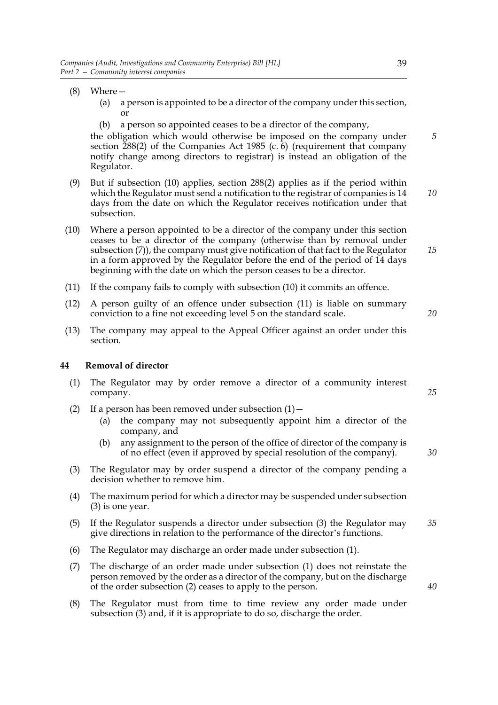- (8) Where—
	- (a) a person is appointed to be a director of the company under this section, or
	- (b) a person so appointed ceases to be a director of the company,

the obligation which would otherwise be imposed on the company under section  $288(2)$  of the Companies Act 1985 (c. 6) (requirement that company notify change among directors to registrar) is instead an obligation of the Regulator.

- (9) But if subsection (10) applies, section 288(2) applies as if the period within which the Regulator must send a notification to the registrar of companies is 14 days from the date on which the Regulator receives notification under that subsection. *10*
- (10) Where a person appointed to be a director of the company under this section ceases to be a director of the company (otherwise than by removal under subsection (7)), the company must give notification of that fact to the Regulator in a form approved by the Regulator before the end of the period of 14 days beginning with the date on which the person ceases to be a director.
- (11) If the company fails to comply with subsection (10) it commits an offence.
- (12) A person guilty of an offence under subsection (11) is liable on summary conviction to a fine not exceeding level 5 on the standard scale.
- (13) The company may appeal to the Appeal Officer against an order under this section.

# **44 Removal of director**

- (1) The Regulator may by order remove a director of a community interest company.
- (2) If a person has been removed under subsection  $(1)$  -
	- (a) the company may not subsequently appoint him a director of the company, and
	- (b) any assignment to the person of the office of director of the company is of no effect (even if approved by special resolution of the company).
- (3) The Regulator may by order suspend a director of the company pending a decision whether to remove him.
- (4) The maximum period for which a director may be suspended under subsection (3) is one year.
- (5) If the Regulator suspends a director under subsection (3) the Regulator may give directions in relation to the performance of the director's functions. *35*
- (6) The Regulator may discharge an order made under subsection (1).
- (7) The discharge of an order made under subsection (1) does not reinstate the person removed by the order as a director of the company, but on the discharge of the order subsection (2) ceases to apply to the person.
- (8) The Regulator must from time to time review any order made under subsection (3) and, if it is appropriate to do so, discharge the order.

*5*

*20*

*25*

*30*

*40*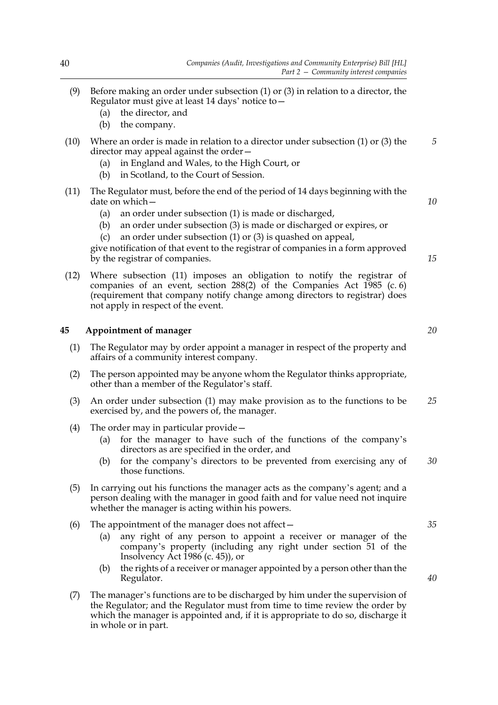- (9) Before making an order under subsection (1) or (3) in relation to a director, the Regulator must give at least 14 days' notice to—
	- (a) the director, and
	- (b) the company.
- (10) Where an order is made in relation to a director under subsection (1) or (3) the director may appeal against the order—
	- (a) in England and Wales, to the High Court, or
	- (b) in Scotland, to the Court of Session.
- (11) The Regulator must, before the end of the period of 14 days beginning with the date on which—
	- (a) an order under subsection (1) is made or discharged,
	- (b) an order under subsection (3) is made or discharged or expires, or
	- an order under subsection  $(1)$  or  $(3)$  is quashed on appeal,

give notification of that event to the registrar of companies in a form approved by the registrar of companies.

(12) Where subsection (11) imposes an obligation to notify the registrar of companies of an event, section 288(2) of the Companies Act 1985 (c. 6) (requirement that company notify change among directors to registrar) does not apply in respect of the event.

### **45 Appointment of manager**

- (1) The Regulator may by order appoint a manager in respect of the property and affairs of a community interest company.
- (2) The person appointed may be anyone whom the Regulator thinks appropriate, other than a member of the Regulator's staff.
- (3) An order under subsection (1) may make provision as to the functions to be exercised by, and the powers of, the manager. *25*
- (4) The order may in particular provide—
	- (a) for the manager to have such of the functions of the company's directors as are specified in the order, and
	- (b) for the company's directors to be prevented from exercising any of those functions. *30*
- (5) In carrying out his functions the manager acts as the company's agent; and a person dealing with the manager in good faith and for value need not inquire whether the manager is acting within his powers.
- (6) The appointment of the manager does not affect—
	- (a) any right of any person to appoint a receiver or manager of the company's property (including any right under section 51 of the Insolvency Act 1986 (c. 45)), or
	- (b) the rights of a receiver or manager appointed by a person other than the Regulator.
- (7) The manager's functions are to be discharged by him under the supervision of the Regulator; and the Regulator must from time to time review the order by which the manager is appointed and, if it is appropriate to do so, discharge it in whole or in part.

*20*

*5*

*10*

*15*

*40*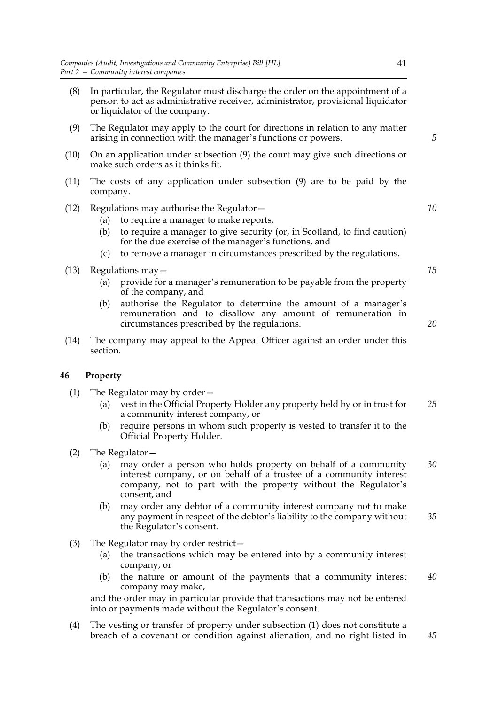- (8) In particular, the Regulator must discharge the order on the appointment of a person to act as administrative receiver, administrator, provisional liquidator or liquidator of the company.
- (9) The Regulator may apply to the court for directions in relation to any matter arising in connection with the manager's functions or powers.
- (10) On an application under subsection (9) the court may give such directions or make such orders as it thinks fit.
- (11) The costs of any application under subsection (9) are to be paid by the company.
- (12) Regulations may authorise the Regulator—
	- (a) to require a manager to make reports,
	- (b) to require a manager to give security (or, in Scotland, to find caution) for the due exercise of the manager's functions, and
	- (c) to remove a manager in circumstances prescribed by the regulations.
- (13) Regulations may—
	- (a) provide for a manager's remuneration to be payable from the property of the company, and
	- (b) authorise the Regulator to determine the amount of a manager's remuneration and to disallow any amount of remuneration in circumstances prescribed by the regulations.
- (14) The company may appeal to the Appeal Officer against an order under this section.

### **46 Property**

- (1) The Regulator may by order—
	- (a) vest in the Official Property Holder any property held by or in trust for a community interest company, or *25*
	- (b) require persons in whom such property is vested to transfer it to the Official Property Holder.
- (2) The Regulator—
	- (a) may order a person who holds property on behalf of a community interest company, or on behalf of a trustee of a community interest company, not to part with the property without the Regulator's consent, and *30*
	- (b) may order any debtor of a community interest company not to make any payment in respect of the debtor's liability to the company without the Regulator's consent. *35*
- (3) The Regulator may by order restrict—
	- (a) the transactions which may be entered into by a community interest company, or
	- (b) the nature or amount of the payments that a community interest company may make, *40*

and the order may in particular provide that transactions may not be entered into or payments made without the Regulator's consent.

(4) The vesting or transfer of property under subsection (1) does not constitute a breach of a covenant or condition against alienation, and no right listed in *45*

*10*

*5*

*15*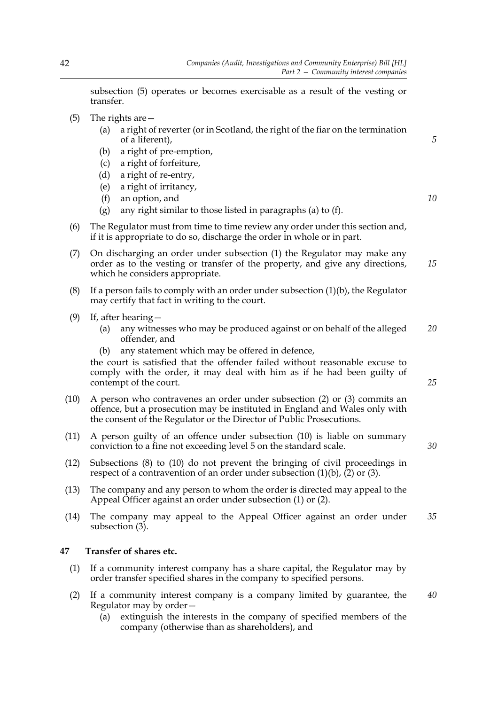subsection (5) operates or becomes exercisable as a result of the vesting or transfer.

- (5) The rights are—
	- (a) a right of reverter (or in Scotland, the right of the fiar on the termination of a liferent),
	- (b) a right of pre-emption,
	- (c) a right of forfeiture,
	- (d) a right of re-entry,
	- (e) a right of irritancy,
	- (f) an option, and
	- (g) any right similar to those listed in paragraphs (a) to (f).
- (6) The Regulator must from time to time review any order under this section and, if it is appropriate to do so, discharge the order in whole or in part.
- (7) On discharging an order under subsection (1) the Regulator may make any order as to the vesting or transfer of the property, and give any directions, which he considers appropriate.
- (8) If a person fails to comply with an order under subsection (1)(b), the Regulator may certify that fact in writing to the court.
- (9) If, after hearing—
	- (a) any witnesses who may be produced against or on behalf of the alleged offender, and *20*
	- (b) any statement which may be offered in defence,

the court is satisfied that the offender failed without reasonable excuse to comply with the order, it may deal with him as if he had been guilty of contempt of the court.

- (10) A person who contravenes an order under subsection (2) or (3) commits an offence, but a prosecution may be instituted in England and Wales only with the consent of the Regulator or the Director of Public Prosecutions.
- (11) A person guilty of an offence under subsection (10) is liable on summary conviction to a fine not exceeding level 5 on the standard scale.
- (12) Subsections (8) to (10) do not prevent the bringing of civil proceedings in respect of a contravention of an order under subsection  $(1)(b)$ ,  $(2)$  or  $(3)$ .
- (13) The company and any person to whom the order is directed may appeal to the Appeal Officer against an order under subsection (1) or (2).
- (14) The company may appeal to the Appeal Officer against an order under subsection  $(3)$ . *35*

# **47 Transfer of shares etc.**

- (1) If a community interest company has a share capital, the Regulator may by order transfer specified shares in the company to specified persons.
- (2) If a community interest company is a company limited by guarantee, the Regulator may by order— *40*
	- (a) extinguish the interests in the company of specified members of the company (otherwise than as shareholders), and

*10*

*15*

*5*

*30*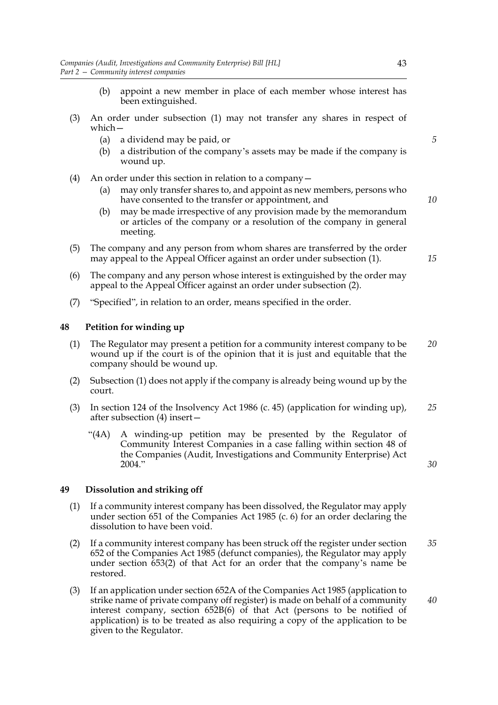- (b) appoint a new member in place of each member whose interest has been extinguished.
- (3) An order under subsection (1) may not transfer any shares in respect of which—
	- (a) a dividend may be paid, or
	- (b) a distribution of the company's assets may be made if the company is wound up.
- (4) An order under this section in relation to a company—
	- (a) may only transfer shares to, and appoint as new members, persons who have consented to the transfer or appointment, and
	- (b) may be made irrespective of any provision made by the memorandum or articles of the company or a resolution of the company in general meeting.
- (5) The company and any person from whom shares are transferred by the order may appeal to the Appeal Officer against an order under subsection (1).
- (6) The company and any person whose interest is extinguished by the order may appeal to the Appeal Officer against an order under subsection (2).
- (7) "Specified", in relation to an order, means specified in the order.

# **48 Petition for winding up**

- (1) The Regulator may present a petition for a community interest company to be wound up if the court is of the opinion that it is just and equitable that the company should be wound up. *20*
- (2) Subsection (1) does not apply if the company is already being wound up by the court.
- (3) In section 124 of the Insolvency Act 1986 (c. 45) (application for winding up), after subsection (4) insert— *25*
	- "(4A) A winding-up petition may be presented by the Regulator of Community Interest Companies in a case falling within section 48 of the Companies (Audit, Investigations and Community Enterprise) Act 2004."

*30*

*40*

# **49 Dissolution and striking off**

- (1) If a community interest company has been dissolved, the Regulator may apply under section 651 of the Companies Act 1985 (c. 6) for an order declaring the dissolution to have been void.
- (2) If a community interest company has been struck off the register under section 652 of the Companies Act 1985 (defunct companies), the Regulator may apply under section 653(2) of that Act for an order that the company's name be restored. *35*
- (3) If an application under section 652A of the Companies Act 1985 (application to strike name of private company off register) is made on behalf of a community interest company, section 652B(6) of that Act (persons to be notified of application) is to be treated as also requiring a copy of the application to be given to the Regulator.

43

*5*

*10*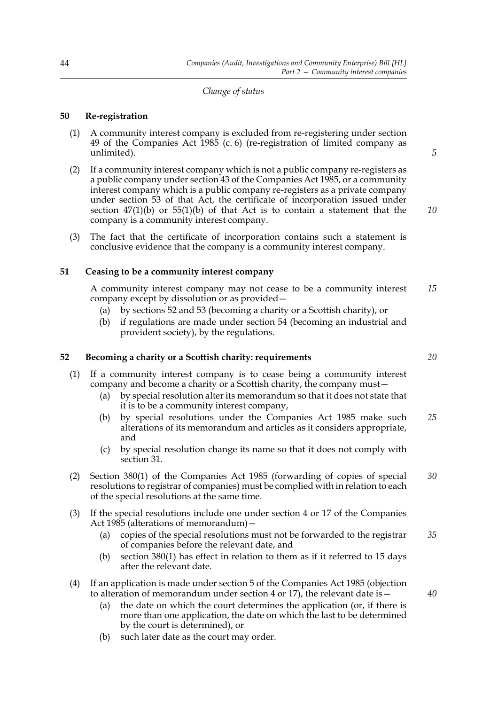### *Change of status*

# **50 Re-registration**

- (1) A community interest company is excluded from re-registering under section 49 of the Companies Act 1985 (c. 6) (re-registration of limited company as unlimited).
- (2) If a community interest company which is not a public company re-registers as a public company under section 43 of the Companies Act 1985, or a community interest company which is a public company re-registers as a private company under section 53 of that Act, the certificate of incorporation issued under section  $47(1)(b)$  or  $55(1)(b)$  of that Act is to contain a statement that the company is a community interest company.
- (3) The fact that the certificate of incorporation contains such a statement is conclusive evidence that the company is a community interest company.

### **51 Ceasing to be a community interest company**

A community interest company may not cease to be a community interest company except by dissolution or as provided— *15*

- (a) by sections 52 and 53 (becoming a charity or a Scottish charity), or
- (b) if regulations are made under section 54 (becoming an industrial and provident society), by the regulations.

### **52 Becoming a charity or a Scottish charity: requirements**

- (1) If a community interest company is to cease being a community interest company and become a charity or a Scottish charity, the company must—
	- (a) by special resolution alter its memorandum so that it does not state that it is to be a community interest company,
	- (b) by special resolutions under the Companies Act 1985 make such alterations of its memorandum and articles as it considers appropriate, and *25*
	- (c) by special resolution change its name so that it does not comply with section 31.
- (2) Section 380(1) of the Companies Act 1985 (forwarding of copies of special resolutions to registrar of companies) must be complied with in relation to each of the special resolutions at the same time. *30*
- (3) If the special resolutions include one under section 4 or 17 of the Companies Act 1985 (alterations of memorandum)—
	- (a) copies of the special resolutions must not be forwarded to the registrar of companies before the relevant date, and *35*
	- (b) section 380(1) has effect in relation to them as if it referred to 15 days after the relevant date.
- (4) If an application is made under section 5 of the Companies Act 1985 (objection to alteration of memorandum under section 4 or 17), the relevant date is -
	- (a) the date on which the court determines the application (or, if there is more than one application, the date on which the last to be determined by the court is determined), or
	- (b) such later date as the court may order.

*20*

*10*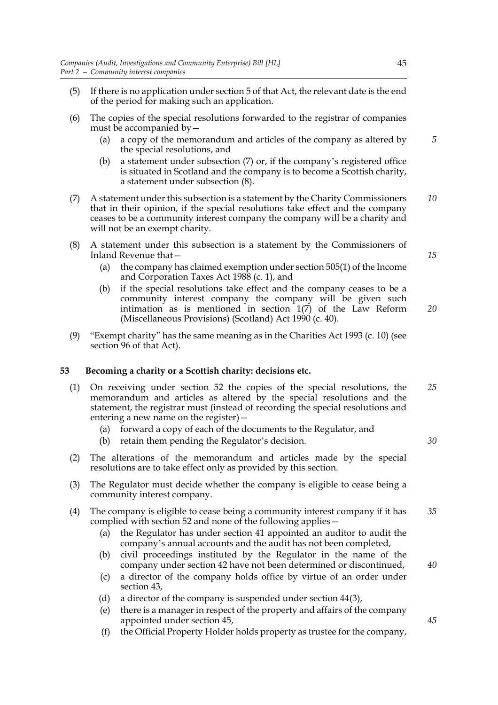- (5) If there is no application under section 5 of that Act, the relevant date is the end of the period for making such an application.
- (6) The copies of the special resolutions forwarded to the registrar of companies must be accompanied by—
	- (a) a copy of the memorandum and articles of the company as altered by the special resolutions, and
	- (b) a statement under subsection (7) or, if the company's registered office is situated in Scotland and the company is to become a Scottish charity, a statement under subsection (8).
- (7) A statement under this subsection is a statement by the Charity Commissioners that in their opinion, if the special resolutions take effect and the company ceases to be a community interest company the company will be a charity and will not be an exempt charity. *10*
- (8) A statement under this subsection is a statement by the Commissioners of Inland Revenue that—
	- (a) the company has claimed exemption under section 505(1) of the Income and Corporation Taxes Act 1988 (c. 1), and
	- (b) if the special resolutions take effect and the company ceases to be a community interest company the company will be given such intimation as is mentioned in section 1(7) of the Law Reform (Miscellaneous Provisions) (Scotland) Act 1990 (c. 40).
- (9) "Exempt charity" has the same meaning as in the Charities Act 1993 (c. 10) (see section 96 of that Act).

# **53 Becoming a charity or a Scottish charity: decisions etc.**

- (1) On receiving under section 52 the copies of the special resolutions, the memorandum and articles as altered by the special resolutions and the statement, the registrar must (instead of recording the special resolutions and entering a new name on the register)— *25*
	- (a) forward a copy of each of the documents to the Regulator, and
	- (b) retain them pending the Regulator's decision.
- (2) The alterations of the memorandum and articles made by the special resolutions are to take effect only as provided by this section.
- (3) The Regulator must decide whether the company is eligible to cease being a community interest company.
- (4) The company is eligible to cease being a community interest company if it has complied with section 52 and none of the following applies— *35*
	- (a) the Regulator has under section 41 appointed an auditor to audit the company's annual accounts and the audit has not been completed,
	- (b) civil proceedings instituted by the Regulator in the name of the company under section 42 have not been determined or discontinued,
	- (c) a director of the company holds office by virtue of an order under section 43,
	- (d) a director of the company is suspended under section 44(3),
	- (e) there is a manager in respect of the property and affairs of the company appointed under section 45,
	- (f) the Official Property Holder holds property as trustee for the company,

*15*

*20*

*5*

*30*

*40*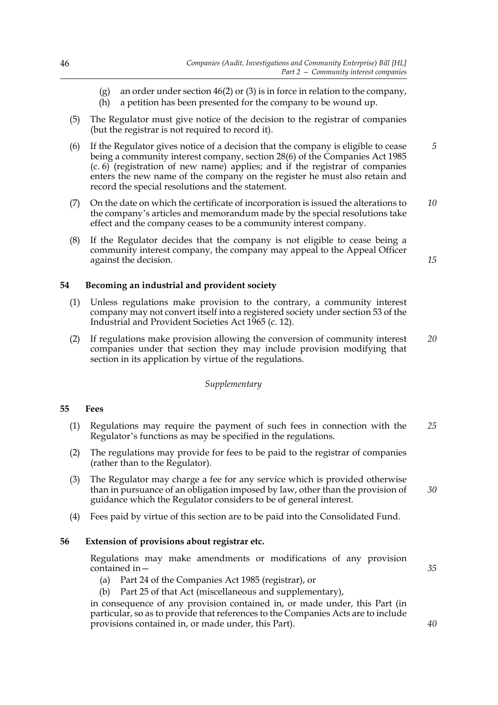- (g) an order under section 46(2) or (3) is in force in relation to the company,
- (h) a petition has been presented for the company to be wound up.
- (5) The Regulator must give notice of the decision to the registrar of companies (but the registrar is not required to record it).
- (6) If the Regulator gives notice of a decision that the company is eligible to cease being a community interest company, section 28(6) of the Companies Act 1985 (c. 6) (registration of new name) applies; and if the registrar of companies enters the new name of the company on the register he must also retain and record the special resolutions and the statement. *5*
- (7) On the date on which the certificate of incorporation is issued the alterations to the company's articles and memorandum made by the special resolutions take effect and the company ceases to be a community interest company. *10*
- (8) If the Regulator decides that the company is not eligible to cease being a community interest company, the company may appeal to the Appeal Officer against the decision.

# **54 Becoming an industrial and provident society**

- (1) Unless regulations make provision to the contrary, a community interest company may not convert itself into a registered society under section 53 of the Industrial and Provident Societies Act 1965 (c. 12).
- (2) If regulations make provision allowing the conversion of community interest companies under that section they may include provision modifying that section in its application by virtue of the regulations. *20*

#### *Supplementary*

### **55 Fees**

- (1) Regulations may require the payment of such fees in connection with the Regulator's functions as may be specified in the regulations. *25*
- (2) The regulations may provide for fees to be paid to the registrar of companies (rather than to the Regulator).
- (3) The Regulator may charge a fee for any service which is provided otherwise than in pursuance of an obligation imposed by law, other than the provision of guidance which the Regulator considers to be of general interest. *30*
- (4) Fees paid by virtue of this section are to be paid into the Consolidated Fund.

### **56 Extension of provisions about registrar etc.**

Regulations may make amendments or modifications of any provision contained in—

- (a) Part 24 of the Companies Act 1985 (registrar), or
- (b) Part 25 of that Act (miscellaneous and supplementary),

in consequence of any provision contained in, or made under, this Part (in particular, so as to provide that references to the Companies Acts are to include provisions contained in, or made under, this Part).

*15*

*35*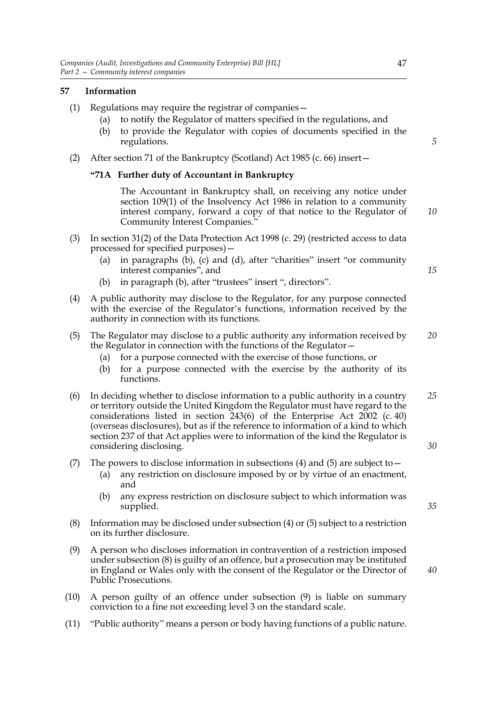# **57 Information**

- (1) Regulations may require the registrar of companies—
	- (a) to notify the Regulator of matters specified in the regulations, and
	- (b) to provide the Regulator with copies of documents specified in the regulations.
- (2) After section 71 of the Bankruptcy (Scotland) Act 1985 (c. 66) insert—

# **"71A Further duty of Accountant in Bankruptcy**

The Accountant in Bankruptcy shall, on receiving any notice under section 109(1) of the Insolvency Act 1986 in relation to a community interest company, forward a copy of that notice to the Regulator of Community Interest Companies."

- (3) In section 31(2) of the Data Protection Act 1998 (c. 29) (restricted access to data processed for specified purposes)—
	- (a) in paragraphs (b), (c) and (d), after "charities" insert "or community interest companies", and
	- (b) in paragraph (b), after "trustees" insert ", directors".
- (4) A public authority may disclose to the Regulator, for any purpose connected with the exercise of the Regulator's functions, information received by the authority in connection with its functions.
- (5) The Regulator may disclose to a public authority any information received by the Regulator in connection with the functions of the Regulator— *20*
	- (a) for a purpose connected with the exercise of those functions, or
	- (b) for a purpose connected with the exercise by the authority of its functions.
- (6) In deciding whether to disclose information to a public authority in a country or territory outside the United Kingdom the Regulator must have regard to the considerations listed in section 243(6) of the Enterprise Act 2002 (c. 40) (overseas disclosures), but as if the reference to information of a kind to which section 237 of that Act applies were to information of the kind the Regulator is considering disclosing. *25 30*
- (7) The powers to disclose information in subsections (4) and (5) are subject to  $-$ 
	- (a) any restriction on disclosure imposed by or by virtue of an enactment, and
	- (b) any express restriction on disclosure subject to which information was supplied.
- (8) Information may be disclosed under subsection (4) or (5) subject to a restriction on its further disclosure.
- (9) A person who discloses information in contravention of a restriction imposed under subsection (8) is guilty of an offence, but a prosecution may be instituted in England or Wales only with the consent of the Regulator or the Director of Public Prosecutions.
- (10) A person guilty of an offence under subsection (9) is liable on summary conviction to a fine not exceeding level 3 on the standard scale.
- (11) "Public authority" means a person or body having functions of a public nature.

*35*

*40*

*10*

*15*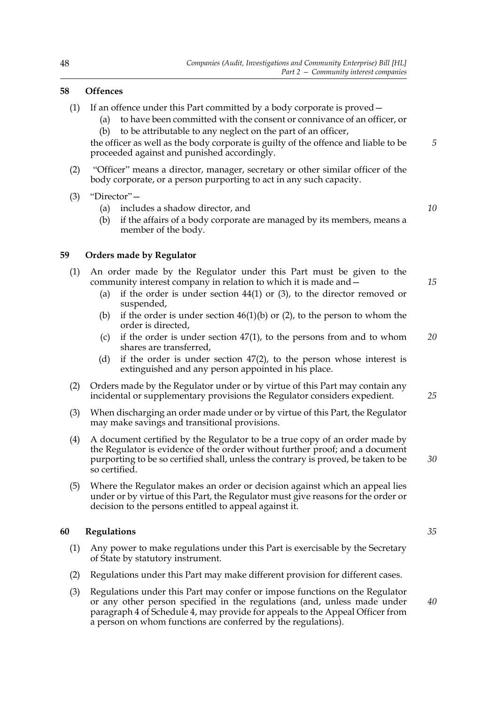# **58 Offences**

- (1) If an offence under this Part committed by a body corporate is proved—
	- (a) to have been committed with the consent or connivance of an officer, or (b) to be attributable to any neglect on the part of an officer,

the officer as well as the body corporate is guilty of the offence and liable to be proceeded against and punished accordingly.

- (2) "Officer" means a director, manager, secretary or other similar officer of the body corporate, or a person purporting to act in any such capacity.
- (3) "Director"—
	- (a) includes a shadow director, and

*10*

*15*

*5*

(b) if the affairs of a body corporate are managed by its members, means a member of the body.

# **59 Orders made by Regulator**

- (1) An order made by the Regulator under this Part must be given to the community interest company in relation to which it is made and—
	- (a) if the order is under section  $44(1)$  or (3), to the director removed or suspended,
	- (b) if the order is under section  $46(1)(b)$  or (2), to the person to whom the order is directed,
	- (c) if the order is under section  $47(1)$ , to the persons from and to whom shares are transferred, *20*
	- (d) if the order is under section 47(2), to the person whose interest is extinguished and any person appointed in his place.
- (2) Orders made by the Regulator under or by virtue of this Part may contain any incidental or supplementary provisions the Regulator considers expedient.
- (3) When discharging an order made under or by virtue of this Part, the Regulator may make savings and transitional provisions.
- (4) A document certified by the Regulator to be a true copy of an order made by the Regulator is evidence of the order without further proof; and a document purporting to be so certified shall, unless the contrary is proved, be taken to be so certified.
- (5) Where the Regulator makes an order or decision against which an appeal lies under or by virtue of this Part, the Regulator must give reasons for the order or decision to the persons entitled to appeal against it.

### **60 Regulations**

- (1) Any power to make regulations under this Part is exercisable by the Secretary of State by statutory instrument.
- (2) Regulations under this Part may make different provision for different cases.
- (3) Regulations under this Part may confer or impose functions on the Regulator or any other person specified in the regulations (and, unless made under paragraph 4 of Schedule 4, may provide for appeals to the Appeal Officer from a person on whom functions are conferred by the regulations).

*25*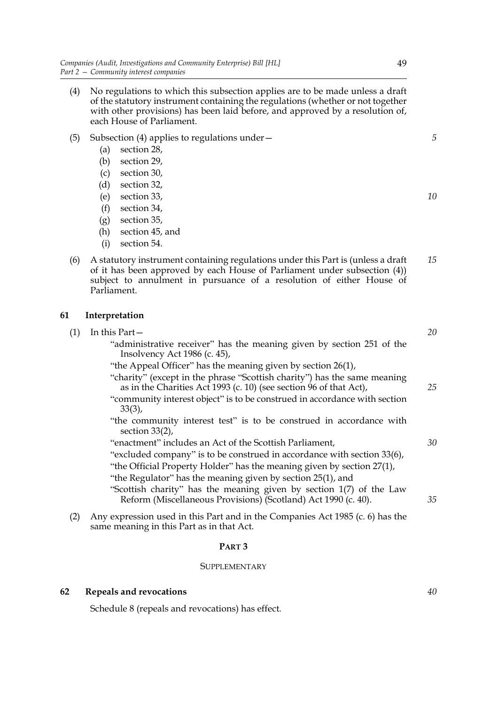- (4) No regulations to which this subsection applies are to be made unless a draft of the statutory instrument containing the regulations (whether or not together with other provisions) has been laid before, and approved by a resolution of, each House of Parliament.
- (5) Subsection (4) applies to regulations under—
	- (a) section 28,
	- (b) section 29,
	- (c) section 30,
	- (d) section 32,
	- (e) section 33,
	- (f) section 34,
	- (g) section 35,
	- (h) section 45, and
	- (i) section 54.
- (6) A statutory instrument containing regulations under this Part is (unless a draft of it has been approved by each House of Parliament under subsection (4)) subject to annulment in pursuance of a resolution of either House of Parliament. *15*

# **61 Interpretation**

| (1) |            | In this Part-                                                                                                                                                                                                                                                                                                                 |
|-----|------------|-------------------------------------------------------------------------------------------------------------------------------------------------------------------------------------------------------------------------------------------------------------------------------------------------------------------------------|
|     |            | "administrative receiver" has the meaning given by section 251 of the<br>Insolvency Act $1986$ (c. 45),                                                                                                                                                                                                                       |
|     |            | "the Appeal Officer" has the meaning given by section 26(1),                                                                                                                                                                                                                                                                  |
|     |            | "charity" (except in the phrase "Scottish charity") has the same meaning<br>as in the Charities Act 1993 (c. 10) (see section 96 of that Act),                                                                                                                                                                                |
|     |            | "community interest object" is to be construed in accordance with section<br>$33(3)$ ,                                                                                                                                                                                                                                        |
|     |            | "the community interest test" is to be construed in accordance with<br>section $33(2)$ ,                                                                                                                                                                                                                                      |
|     |            | "enactment" includes an Act of the Scottish Parliament,                                                                                                                                                                                                                                                                       |
|     |            | "excluded company" is to be construed in accordance with section 33(6),                                                                                                                                                                                                                                                       |
|     |            | "the Official Property Holder" has the meaning given by section 27(1),                                                                                                                                                                                                                                                        |
|     |            | "the Regulator" has the meaning given by section 25(1), and                                                                                                                                                                                                                                                                   |
|     |            | "Scottish charity" has the meaning given by section 1(7) of the Law<br>Reform (Miscellaneous Provisions) (Scotland) Act 1990 (c. 40).                                                                                                                                                                                         |
|     | $\sqrt{2}$ | $\cdot$ 1 $\cdot$ 1 $\cdot$ 1 $\cdot$ 1 $\cdot$ 1 $\cdot$ 1 $\cdot$ 1 $\cdot$ 1 $\cdot$ 1 $\cdot$ 1 $\cdot$ 1 $\cdot$ 1 $\cdot$ 1 $\cdot$ 1 $\cdot$ 1 $\cdot$ 1 $\cdot$ 1 $\cdot$ 1 $\cdot$ 1 $\cdot$ 1 $\cdot$ 1 $\cdot$ 1 $\cdot$ 1 $\cdot$ 1 $\cdot$ 1 $\cdot$ 1 $\cdot$ 1 $\cdot$ 1 $\cdot$ 1 $\cdot$ 1 $\cdot$ 1 $\cdot$ |

(2) Any expression used in this Part and in the Companies Act 1985 (c. 6) has the same meaning in this Part as in that Act.

# **PART 3**

#### SUPPLEMENTARY

# **62 Repeals and revocations**

Schedule 8 (repeals and revocations) has effect.

*5*

*10*

*20*

*25*

*30*

*35*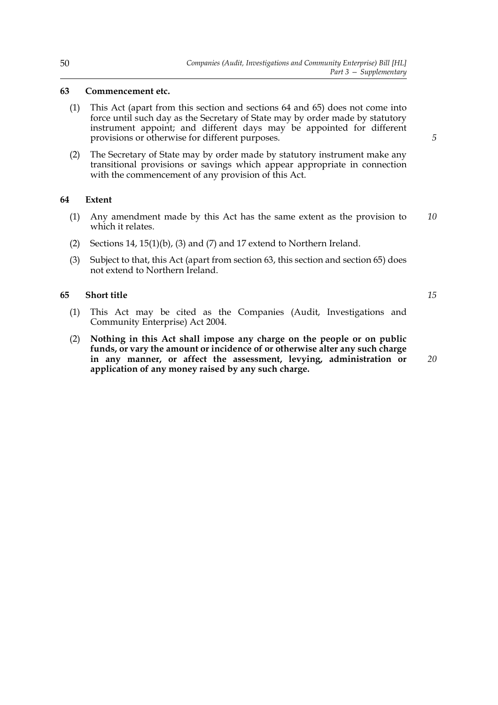# **63 Commencement etc.**

- (1) This Act (apart from this section and sections 64 and 65) does not come into force until such day as the Secretary of State may by order made by statutory instrument appoint; and different days may be appointed for different provisions or otherwise for different purposes.
- (2) The Secretary of State may by order made by statutory instrument make any transitional provisions or savings which appear appropriate in connection with the commencement of any provision of this Act.

### **64 Extent**

- (1) Any amendment made by this Act has the same extent as the provision to which it relates. *10*
- (2) Sections 14, 15(1)(b), (3) and (7) and 17 extend to Northern Ireland.
- (3) Subject to that, this Act (apart from section 63, this section and section 65) does not extend to Northern Ireland.

# **65 Short title**

- (1) This Act may be cited as the Companies (Audit, Investigations and Community Enterprise) Act 2004.
- (2) **Nothing in this Act shall impose any charge on the people or on public funds, or vary the amount or incidence of or otherwise alter any such charge in any manner, or affect the assessment, levying, administration or application of any money raised by any such charge.**

*20*

*15*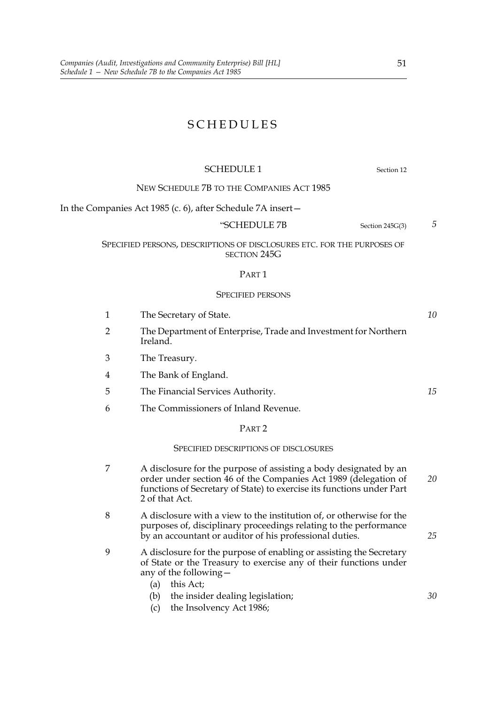# SCHEDULES

# SCHEDULE 1 Section 12

NEW SCHEDULE 7B TO THE COMPANIES ACT 1985

In the Companies Act 1985 (c. 6), after Schedule 7A insert—

### "SCHEDULE 7B Section 245G(3)

*5*

*10*

*15*

*25*

*30*

# SPECIFIED PERSONS, DESCRIPTIONS OF DISCLOSURES ETC. FOR THE PURPOSES OF SECTION 245G

#### PART<sub>1</sub>

#### SPECIFIED PERSONS

- 1 The Secretary of State. 2 The Department of Enterprise, Trade and Investment for Northern Ireland.
- 3 The Treasury.
- 4 The Bank of England.
- 5 The Financial Services Authority.
- 6 The Commissioners of Inland Revenue.

# PART 2

#### SPECIFIED DESCRIPTIONS OF DISCLOSURES

- 7 A disclosure for the purpose of assisting a body designated by an order under section 46 of the Companies Act 1989 (delegation of functions of Secretary of State) to exercise its functions under Part 2 of that Act. *20*
- 8 A disclosure with a view to the institution of, or otherwise for the purposes of, disciplinary proceedings relating to the performance by an accountant or auditor of his professional duties.
- 9 A disclosure for the purpose of enabling or assisting the Secretary of State or the Treasury to exercise any of their functions under any of the following—
	- (a) this Act;
	- (b) the insider dealing legislation;
	- (c) the Insolvency Act 1986;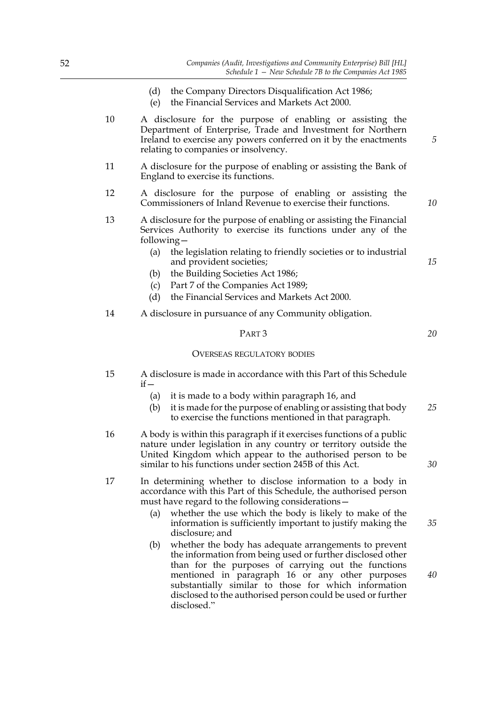- (d) the Company Directors Disqualification Act 1986;
- (e) the Financial Services and Markets Act 2000.
- 10 A disclosure for the purpose of enabling or assisting the Department of Enterprise, Trade and Investment for Northern Ireland to exercise any powers conferred on it by the enactments relating to companies or insolvency.
- 11 A disclosure for the purpose of enabling or assisting the Bank of England to exercise its functions.
- 12 A disclosure for the purpose of enabling or assisting the Commissioners of Inland Revenue to exercise their functions.
- 13 A disclosure for the purpose of enabling or assisting the Financial Services Authority to exercise its functions under any of the following—
	- (a) the legislation relating to friendly societies or to industrial and provident societies;
	- (b) the Building Societies Act 1986;
	- (c) Part 7 of the Companies Act 1989;
	- (d) the Financial Services and Markets Act 2000.
- 14 A disclosure in pursuance of any Community obligation.

#### PART 3

#### OVERSEAS REGULATORY BODIES

- 15 A disclosure is made in accordance with this Part of this Schedule  $if -$ 
	- (a) it is made to a body within paragraph 16, and
	- (b) it is made for the purpose of enabling or assisting that body to exercise the functions mentioned in that paragraph. *25*
- 16 A body is within this paragraph if it exercises functions of a public nature under legislation in any country or territory outside the United Kingdom which appear to the authorised person to be similar to his functions under section 245B of this Act.
- 17 In determining whether to disclose information to a body in accordance with this Part of this Schedule, the authorised person must have regard to the following considerations—
	- (a) whether the use which the body is likely to make of the information is sufficiently important to justify making the disclosure; and
	- (b) whether the body has adequate arrangements to prevent the information from being used or further disclosed other than for the purposes of carrying out the functions mentioned in paragraph 16 or any other purposes substantially similar to those for which information disclosed to the authorised person could be used or further disclosed."

*30*

*35*

*40*

*10*

*5*

*15*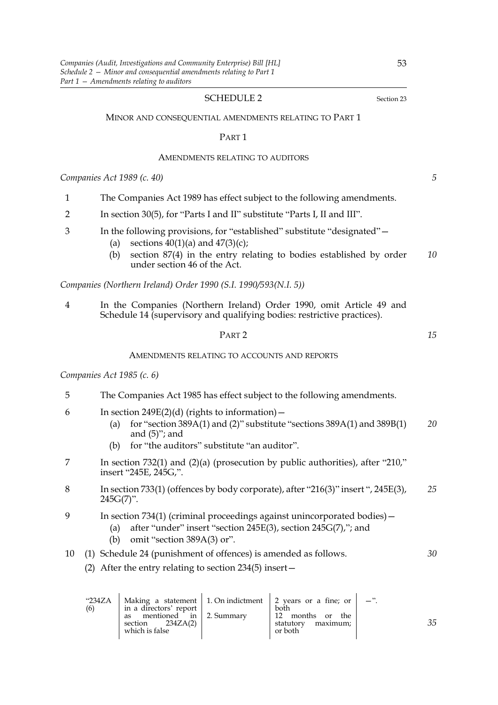### SCHEDULE 2 Section 23

#### MINOR AND CONSEQUENTIAL AMENDMENTS RELATING TO PART 1

#### PART 1

#### AMENDMENTS RELATING TO AUDITORS

*Companies Act 1989 (c. 40)*

- 1 The Companies Act 1989 has effect subject to the following amendments.
- 2 In section 30(5), for "Parts I and II" substitute "Parts I, II and III".
- 3 In the following provisions, for "established" substitute "designated"—
	- (a) sections  $40(1)(a)$  and  $47(3)(c)$ ;
	- (b) section 87(4) in the entry relating to bodies established by order under section 46 of the Act. *10*

*Companies (Northern Ireland) Order 1990 (S.I. 1990/593(N.I. 5))*

4 In the Companies (Northern Ireland) Order 1990, omit Article 49 and Schedule 14 (supervisory and qualifying bodies: restrictive practices).

### PART 2

#### AMENDMENTS RELATING TO ACCOUNTS AND REPORTS

### *Companies Act 1985 (c. 6)*

- 5 The Companies Act 1985 has effect subject to the following amendments.
- 6 In section 249E(2)(d) (rights to information)  $-$ 
	- (a) for "section 389A(1) and (2)" substitute "sections  $389A(1)$  and  $389B(1)$ and  $(5)$ "; and *20*
	- (b) for "the auditors" substitute "an auditor".
- 7 In section 732(1) and (2)(a) (prosecution by public authorities), after "210," insert "245E, 245G,".
- 8 In section 733(1) (offences by body corporate), after "216(3)" insert ", 245E(3),  $245G(7)$ ". *25*
- 9 In section 734(1) (criminal proceedings against unincorporated bodies)—
	- (a) after "under" insert "section 245E(3), section 245G(7),"; and
	- (b) omit "section 389A(3) or".

#### 10 (1) Schedule 24 (punishment of offences) is amended as follows. *30*

(2) After the entry relating to section 234(5) insert—

 $\alpha$ 

| "234ZA<br>(6) | in a directors' report                                                | Making a statement 1.0 m indictment 2 years or a fine; or<br>both | $-$ " |
|---------------|-----------------------------------------------------------------------|-------------------------------------------------------------------|-------|
|               | mentioned in 2. Summary<br>as<br>section $234ZA(2)$<br>which is false | 12 months or<br>the<br>maximum;<br>statutory<br>or both           |       |

 $\mathbf{r}$ 

*35*

 $\mathbf{r}$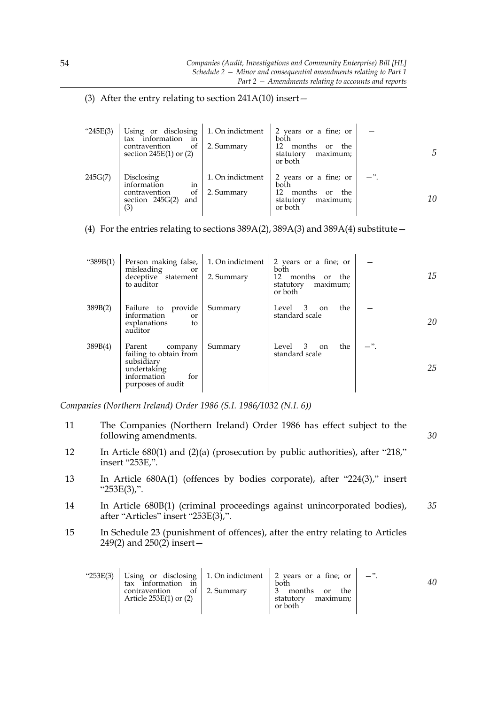# (3) After the entry relating to section  $241A(10)$  insert -

| " $245E(3)$ | Using or disclosing<br>information<br>tax<br>m<br>of<br>contravention<br>section $245E(1)$ or $(2)$ | 1. On indictment<br>2. Summary | 2 years or a fine; or<br>both<br>12<br>months<br>the<br><sub>or</sub><br>statutory<br>maximum;<br>or both | 5  |
|-------------|-----------------------------------------------------------------------------------------------------|--------------------------------|-----------------------------------------------------------------------------------------------------------|----|
| 245G(7)     | Disclosing<br>information<br>in<br>contravention<br>οf<br>section $245G(2)$<br>and<br>(3)           | 1. On indictment<br>2. Summary | 2 years or a fine; or<br>both<br>12.<br>months<br>the<br>or<br>statutory<br>maximum;<br>or both           | 10 |

(4) For the entries relating to sections  $389A(2)$ ,  $389A(3)$  and  $389A(4)$  substitute –

| " $389B(1)$ | Person making false,<br>misleading<br>or<br>deceptive statement<br>to auditor                                       | 1. On indictment<br>2. Summary | 2 years or a fine; or<br>both<br>12<br>months or the<br>statutory<br>maximum;<br>or both | 15 |
|-------------|---------------------------------------------------------------------------------------------------------------------|--------------------------------|------------------------------------------------------------------------------------------|----|
| 389B(2)     | Failure to provide<br>information<br>or<br>explanations<br>to<br>auditor                                            | Summary                        | Level 3<br>the<br>on<br>standard scale                                                   | 20 |
| 389B(4)     | Parent<br>company<br>failing to obtain from<br>subsidiary<br>undertaking<br>information<br>for<br>purposes of audit | Summary                        | the<br>Level 3<br><sub>on</sub><br>standard scale                                        | 25 |

*Companies (Northern Ireland) Order 1986 (S.I. 1986/1032 (N.I. 6))*

- 11 The Companies (Northern Ireland) Order 1986 has effect subject to the following amendments. *30*
- 12 In Article 680(1) and (2)(a) (prosecution by public authorities), after "218," insert "253E,".
- 13 In Article 680A(1) (offences by bodies corporate), after "224(3)," insert "253E(3),".
- 14 In Article 680B(1) (criminal proceedings against unincorporated bodies), after "Articles" insert "253E(3),". *35*
- 15 In Schedule 23 (punishment of offences), after the entry relating to Articles 249(2) and  $250(2)$  insert –

| "253E(3) | information<br>in<br>tax<br>contravention of $\vert$ 2. Summary<br>Article $253E(1)$ or $(2)$ | Using or disclosing   1. On indictment   2 years or a fine; or $  -$ ".<br>both<br>months<br>the<br>or<br>statutory<br>maximum;<br>or both |  |
|----------|-----------------------------------------------------------------------------------------------|--------------------------------------------------------------------------------------------------------------------------------------------|--|
|          |                                                                                               |                                                                                                                                            |  |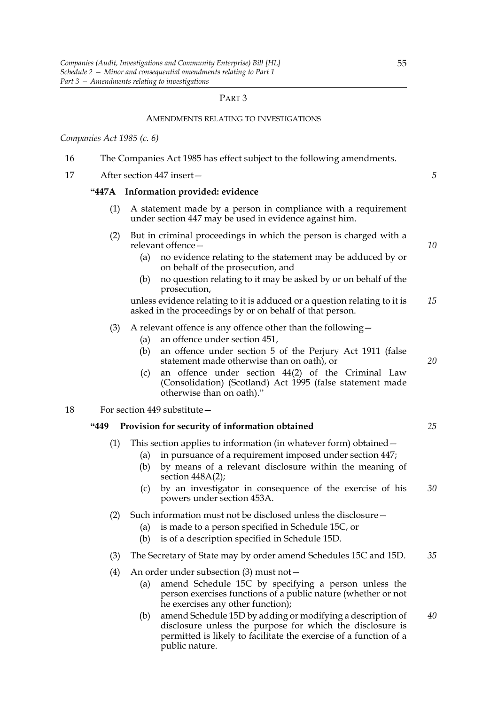# PART 3

# AMENDMENTS RELATING TO INVESTIGATIONS

*Companies Act 1985 (c. 6)*

| 16 |            | The Companies Act 1985 has effect subject to the following amendments.                                                                                                                                                |    |
|----|------------|-----------------------------------------------------------------------------------------------------------------------------------------------------------------------------------------------------------------------|----|
| 17 |            | After section 447 insert-                                                                                                                                                                                             | 5  |
|    |            | "447A Information provided: evidence                                                                                                                                                                                  |    |
|    | (1)        | A statement made by a person in compliance with a requirement<br>under section 447 may be used in evidence against him.                                                                                               |    |
|    | (2)        | But in criminal proceedings in which the person is charged with a<br>relevant offence-                                                                                                                                | 10 |
|    |            | no evidence relating to the statement may be adduced by or<br>(a)<br>on behalf of the prosecution, and                                                                                                                |    |
|    |            | no question relating to it may be asked by or on behalf of the<br>(b)<br>prosecution,                                                                                                                                 |    |
|    |            | unless evidence relating to it is adduced or a question relating to it is<br>asked in the proceedings by or on behalf of that person.                                                                                 | 15 |
|    | (3)        | A relevant offence is any offence other than the following -<br>an offence under section 451,                                                                                                                         |    |
|    |            | (a)<br>an offence under section 5 of the Perjury Act 1911 (false<br>(b)<br>statement made otherwise than on oath), or                                                                                                 | 20 |
|    |            | an offence under section 44(2) of the Criminal Law<br>(c)<br>(Consolidation) (Scotland) Act 1995 (false statement made<br>otherwise than on oath)."                                                                   |    |
| 18 |            | For section 449 substitute -                                                                                                                                                                                          |    |
|    | <b>449</b> | Provision for security of information obtained                                                                                                                                                                        | 25 |
|    | (1)        | This section applies to information (in whatever form) obtained -<br>in pursuance of a requirement imposed under section 447;<br>(a)<br>by means of a relevant disclosure within the meaning of<br>(b)                |    |
|    |            | section $448A(2)$ ;<br>by an investigator in consequence of the exercise of his<br>(c)<br>powers under section 453A.                                                                                                  | 30 |
|    |            | (2) Such information must not be disclosed unless the disclosure -<br>is made to a person specified in Schedule 15C, or<br>(a)<br>is of a description specified in Schedule 15D.<br>(b)                               |    |
|    | (3)        | The Secretary of State may by order amend Schedules 15C and 15D.                                                                                                                                                      | 35 |
|    | (4)        | An order under subsection (3) must not -<br>amend Schedule 15C by specifying a person unless the<br>(a)<br>person exercises functions of a public nature (whether or not<br>he exercises any other function);         |    |
|    |            | amend Schedule 15D by adding or modifying a description of<br>(b)<br>disclosure unless the purpose for which the disclosure is<br>permitted is likely to facilitate the exercise of a function of a<br>public nature. | 40 |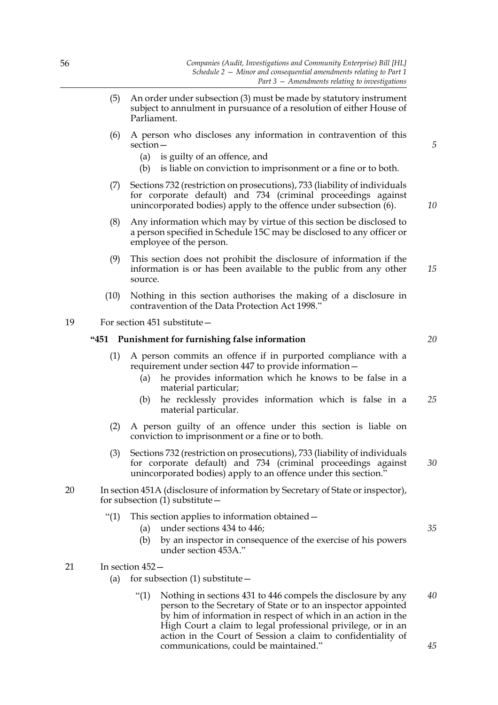- (5) An order under subsection (3) must be made by statutory instrument subject to annulment in pursuance of a resolution of either House of Parliament.
- (6) A person who discloses any information in contravention of this section—
	- (a) is guilty of an offence, and
	- (b) is liable on conviction to imprisonment or a fine or to both.
- (7) Sections 732 (restriction on prosecutions), 733 (liability of individuals for corporate default) and 734 (criminal proceedings against unincorporated bodies) apply to the offence under subsection (6).
- (8) Any information which may by virtue of this section be disclosed to a person specified in Schedule 15C may be disclosed to any officer or employee of the person.
- (9) This section does not prohibit the disclosure of information if the information is or has been available to the public from any other source. *15*
- (10) Nothing in this section authorises the making of a disclosure in contravention of the Data Protection Act 1998."

# 19 For section 451 substitute—

### **"451 Punishment for furnishing false information**

- (1) A person commits an offence if in purported compliance with a requirement under section 447 to provide information—
	- (a) he provides information which he knows to be false in a material particular;
	- (b) he recklessly provides information which is false in a material particular. *25*
- (2) A person guilty of an offence under this section is liable on conviction to imprisonment or a fine or to both.
- (3) Sections 732 (restriction on prosecutions), 733 (liability of individuals for corporate default) and 734 (criminal proceedings against unincorporated bodies) apply to an offence under this section."
- 20 In section 451A (disclosure of information by Secretary of State or inspector), for subsection  $(1)$  substitute  $-$ 
	- "(1) This section applies to information obtained—
		- (a) under sections 434 to 446;
		- (b) by an inspector in consequence of the exercise of his powers under section 453A."
- 21 In section 452—
	- (a) for subsection  $(1)$  substitute  $-$ 
		- "(1) Nothing in sections 431 to 446 compels the disclosure by any person to the Secretary of State or to an inspector appointed by him of information in respect of which in an action in the High Court a claim to legal professional privilege, or in an action in the Court of Session a claim to confidentiality of communications, could be maintained." *40 45*

*20*

*5*

*10*

*30*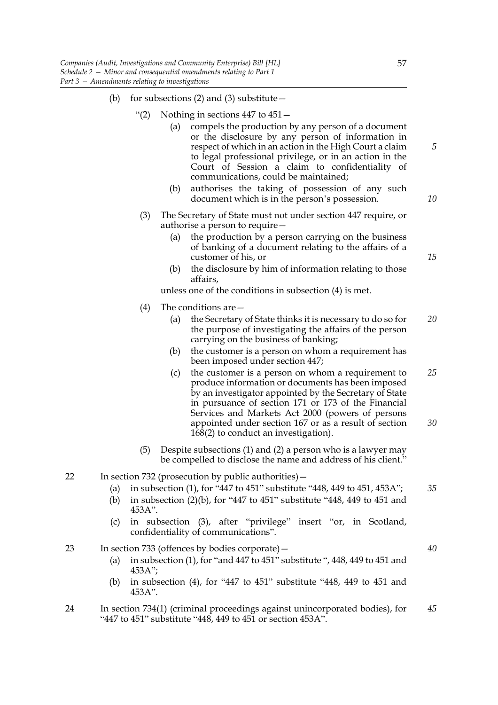- (b) for subsections (2) and (3) substitute  $-$ 
	- "(2) Nothing in sections  $447$  to  $451 -$ 
		- (a) compels the production by any person of a document or the disclosure by any person of information in respect of which in an action in the High Court a claim to legal professional privilege, or in an action in the Court of Session a claim to confidentiality of communications, could be maintained;
		- (b) authorises the taking of possession of any such document which is in the person's possession.
	- (3) The Secretary of State must not under section 447 require, or authorise a person to require—
		- (a) the production by a person carrying on the business of banking of a document relating to the affairs of a customer of his, or
		- (b) the disclosure by him of information relating to those affairs,
		- unless one of the conditions in subsection (4) is met.
	- (4) The conditions are—
		- (a) the Secretary of State thinks it is necessary to do so for the purpose of investigating the affairs of the person carrying on the business of banking; *20*
		- (b) the customer is a person on whom a requirement has been imposed under section 447;
		- (c) the customer is a person on whom a requirement to produce information or documents has been imposed by an investigator appointed by the Secretary of State in pursuance of section 171 or 173 of the Financial Services and Markets Act 2000 (powers of persons appointed under section 167 or as a result of section 168(2) to conduct an investigation). *25 30*
	- (5) Despite subsections (1) and (2) a person who is a lawyer may be compelled to disclose the name and address of his client."
- 22 In section 732 (prosecution by public authorities)—
	- (a) in subsection (1), for "447 to 451" substitute "448, 449 to 451, 453A"; *35*
	- (b) in subsection (2)(b), for "447 to 451" substitute "448, 449 to 451 and 453A".
	- (c) in subsection (3), after "privilege" insert "or, in Scotland, confidentiality of communications".
- 23 In section 733 (offences by bodies corporate)—
	- (a) in subsection (1), for "and 447 to 451" substitute ", 448, 449 to 451 and 453A";
	- (b) in subsection (4), for "447 to 451" substitute "448, 449 to 451 and 453A".
- 24 In section 734(1) (criminal proceedings against unincorporated bodies), for "447 to 451" substitute "448, 449 to 451 or section 453A". *45*

*10*

*15*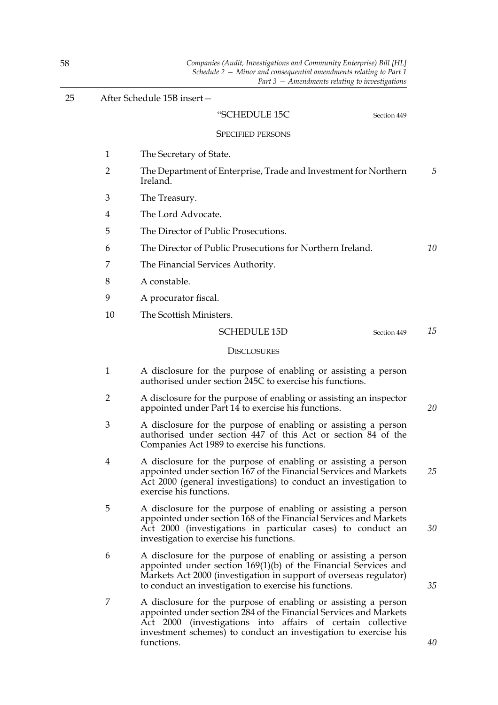| 25 |                | After Schedule 15B insert-                                                                                                                                                                                                                                                          |  |
|----|----------------|-------------------------------------------------------------------------------------------------------------------------------------------------------------------------------------------------------------------------------------------------------------------------------------|--|
|    |                | "SCHEDULE 15C<br>Section 449                                                                                                                                                                                                                                                        |  |
|    |                | <b>SPECIFIED PERSONS</b>                                                                                                                                                                                                                                                            |  |
|    | 1              | The Secretary of State.                                                                                                                                                                                                                                                             |  |
|    | $\overline{2}$ | The Department of Enterprise, Trade and Investment for Northern<br>Ireland.                                                                                                                                                                                                         |  |
|    | 3              | The Treasury.                                                                                                                                                                                                                                                                       |  |
|    | 4              | The Lord Advocate.                                                                                                                                                                                                                                                                  |  |
|    | 5              | The Director of Public Prosecutions.                                                                                                                                                                                                                                                |  |
|    | 6              | The Director of Public Prosecutions for Northern Ireland.                                                                                                                                                                                                                           |  |
|    | 7              | The Financial Services Authority.                                                                                                                                                                                                                                                   |  |
|    | 8              | A constable.                                                                                                                                                                                                                                                                        |  |
|    | 9              | A procurator fiscal.                                                                                                                                                                                                                                                                |  |
|    | 10             | The Scottish Ministers.                                                                                                                                                                                                                                                             |  |
|    |                | <b>SCHEDULE 15D</b><br>Section 449                                                                                                                                                                                                                                                  |  |
|    |                | <b>DISCLOSURES</b>                                                                                                                                                                                                                                                                  |  |
|    | $\mathbf{1}$   | A disclosure for the purpose of enabling or assisting a person<br>authorised under section 245C to exercise his functions.                                                                                                                                                          |  |
|    | 2              | A disclosure for the purpose of enabling or assisting an inspector<br>appointed under Part 14 to exercise his functions.                                                                                                                                                            |  |
|    | 3              | A disclosure for the purpose of enabling or assisting a person<br>authorised under section 447 of this Act or section 84 of the<br>Companies Act 1989 to exercise his functions.                                                                                                    |  |
|    | 4              | A disclosure for the purpose of enabling or assisting a person<br>appointed under section 167 of the Financial Services and Markets<br>Act 2000 (general investigations) to conduct an investigation to<br>exercise his functions.                                                  |  |
|    | 5              | A disclosure for the purpose of enabling or assisting a person<br>appointed under section 168 of the Financial Services and Markets<br>Act 2000 (investigations in particular cases) to conduct an<br>investigation to exercise his functions.                                      |  |
|    | 6              | A disclosure for the purpose of enabling or assisting a person<br>appointed under section $169(1)(b)$ of the Financial Services and<br>Markets Act 2000 (investigation in support of overseas regulator)<br>to conduct an investigation to exercise his functions.                  |  |
|    | 7              | A disclosure for the purpose of enabling or assisting a person<br>appointed under section 284 of the Financial Services and Markets<br>Act 2000 (investigations into affairs of certain collective<br>investment schemes) to conduct an investigation to exercise his<br>functions. |  |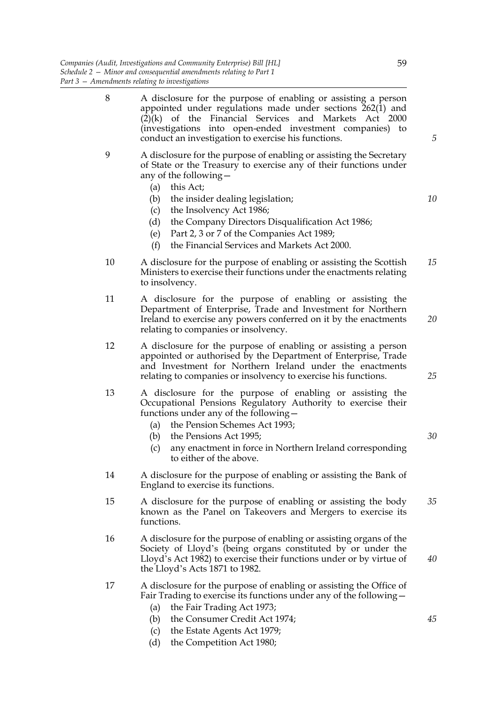- 8 A disclosure for the purpose of enabling or assisting a person appointed under regulations made under sections  $262(1)$  and  $(2)$ (k) of the Financial Services and Markets Act 2000 (investigations into open-ended investment companies) to conduct an investigation to exercise his functions. 9 A disclosure for the purpose of enabling or assisting the Secretary of State or the Treasury to exercise any of their functions under any of the following— (a) this Act; (b) the insider dealing legislation; (c) the Insolvency Act 1986; (d) the Company Directors Disqualification Act 1986; (e) Part 2, 3 or 7 of the Companies Act 1989; (f) the Financial Services and Markets Act 2000. *10*
- 10 A disclosure for the purpose of enabling or assisting the Scottish Ministers to exercise their functions under the enactments relating to insolvency. *15*
- 11 A disclosure for the purpose of enabling or assisting the Department of Enterprise, Trade and Investment for Northern Ireland to exercise any powers conferred on it by the enactments relating to companies or insolvency. *20*
- 12 A disclosure for the purpose of enabling or assisting a person appointed or authorised by the Department of Enterprise, Trade and Investment for Northern Ireland under the enactments relating to companies or insolvency to exercise his functions.
- 13 A disclosure for the purpose of enabling or assisting the Occupational Pensions Regulatory Authority to exercise their functions under any of the following—
	- (a) the Pension Schemes Act 1993;
	- (b) the Pensions Act 1995;
	- (c) any enactment in force in Northern Ireland corresponding to either of the above.
- 14 A disclosure for the purpose of enabling or assisting the Bank of England to exercise its functions.
- 15 A disclosure for the purpose of enabling or assisting the body known as the Panel on Takeovers and Mergers to exercise its functions. *35*
- 16 A disclosure for the purpose of enabling or assisting organs of the Society of Lloyd's (being organs constituted by or under the Lloyd's Act 1982) to exercise their functions under or by virtue of the Lloyd's Acts 1871 to 1982.
- 17 A disclosure for the purpose of enabling or assisting the Office of Fair Trading to exercise its functions under any of the following—
	- (a) the Fair Trading Act 1973;
	- (b) the Consumer Credit Act 1974;
	- (c) the Estate Agents Act 1979;
	- (d) the Competition Act 1980;

*5*

*25*

*30*

*40*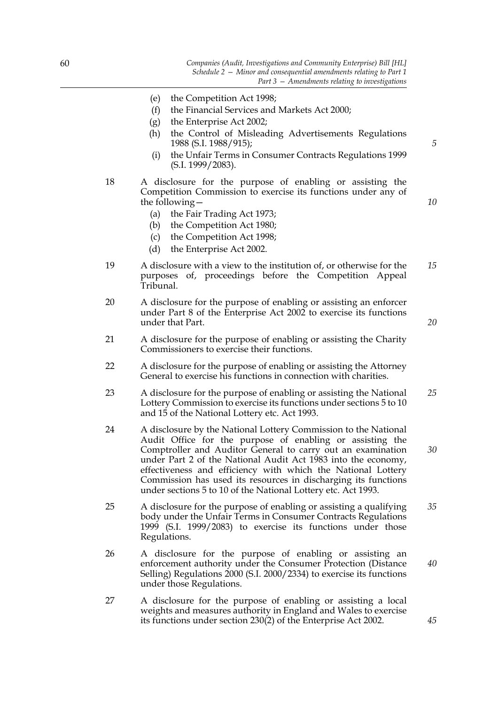- (e) the Competition Act 1998;
- (f) the Financial Services and Markets Act 2000;
- (g) the Enterprise Act 2002;
- (h) the Control of Misleading Advertisements Regulations 1988 (S.I. 1988/915);
- (i) the Unfair Terms in Consumer Contracts Regulations 1999 (S.I. 1999/2083).
- 18 A disclosure for the purpose of enabling or assisting the Competition Commission to exercise its functions under any of the following—
	- (a) the Fair Trading Act 1973;
	- (b) the Competition Act 1980;
	- (c) the Competition Act 1998;
	- (d) the Enterprise Act 2002.
- 19 A disclosure with a view to the institution of, or otherwise for the purposes of, proceedings before the Competition Appeal Tribunal. *15*
- 20 A disclosure for the purpose of enabling or assisting an enforcer under Part 8 of the Enterprise Act 2002 to exercise its functions under that Part.
- 21 A disclosure for the purpose of enabling or assisting the Charity Commissioners to exercise their functions.
- 22 A disclosure for the purpose of enabling or assisting the Attorney General to exercise his functions in connection with charities.
- 23 A disclosure for the purpose of enabling or assisting the National Lottery Commission to exercise its functions under sections 5 to 10 and 15 of the National Lottery etc. Act 1993. *25*
- 24 A disclosure by the National Lottery Commission to the National Audit Office for the purpose of enabling or assisting the Comptroller and Auditor General to carry out an examination under Part 2 of the National Audit Act 1983 into the economy, effectiveness and efficiency with which the National Lottery Commission has used its resources in discharging its functions under sections 5 to 10 of the National Lottery etc. Act 1993.
- 25 A disclosure for the purpose of enabling or assisting a qualifying body under the Unfair Terms in Consumer Contracts Regulations 1999 (S.I. 1999/2083) to exercise its functions under those Regulations. *35*
- 26 A disclosure for the purpose of enabling or assisting an enforcement authority under the Consumer Protection (Distance Selling) Regulations 2000 (S.I. 2000/2334) to exercise its functions under those Regulations. *40*
- 27 A disclosure for the purpose of enabling or assisting a local weights and measures authority in England and Wales to exercise its functions under section 230(2) of the Enterprise Act 2002.

*10*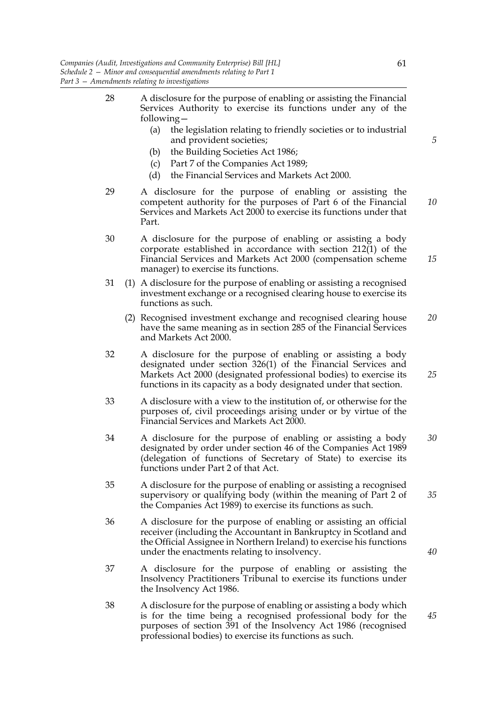- 28 A disclosure for the purpose of enabling or assisting the Financial Services Authority to exercise its functions under any of the following—
	- (a) the legislation relating to friendly societies or to industrial and provident societies;
	- (b) the Building Societies Act 1986;
	- (c) Part 7 of the Companies Act 1989;
	- (d) the Financial Services and Markets Act 2000.
- 29 A disclosure for the purpose of enabling or assisting the competent authority for the purposes of Part 6 of the Financial Services and Markets Act 2000 to exercise its functions under that Part. *10*
- 30 A disclosure for the purpose of enabling or assisting a body corporate established in accordance with section 212(1) of the Financial Services and Markets Act 2000 (compensation scheme manager) to exercise its functions. *15*
- 31 (1) A disclosure for the purpose of enabling or assisting a recognised investment exchange or a recognised clearing house to exercise its functions as such.
	- (2) Recognised investment exchange and recognised clearing house have the same meaning as in section 285 of the Financial Services and Markets Act 2000. *20*
- 32 A disclosure for the purpose of enabling or assisting a body designated under section 326(1) of the Financial Services and Markets Act 2000 (designated professional bodies) to exercise its functions in its capacity as a body designated under that section. *25*
- 33 A disclosure with a view to the institution of, or otherwise for the purposes of, civil proceedings arising under or by virtue of the Financial Services and Markets Act 2000.
- 34 A disclosure for the purpose of enabling or assisting a body designated by order under section 46 of the Companies Act 1989 (delegation of functions of Secretary of State) to exercise its functions under Part 2 of that Act. *30*
- 35 A disclosure for the purpose of enabling or assisting a recognised supervisory or qualifying body (within the meaning of Part 2 of the Companies Act 1989) to exercise its functions as such.
- 36 A disclosure for the purpose of enabling or assisting an official receiver (including the Accountant in Bankruptcy in Scotland and the Official Assignee in Northern Ireland) to exercise his functions under the enactments relating to insolvency.
- 37 A disclosure for the purpose of enabling or assisting the Insolvency Practitioners Tribunal to exercise its functions under the Insolvency Act 1986.
- 38 A disclosure for the purpose of enabling or assisting a body which is for the time being a recognised professional body for the purposes of section 391 of the Insolvency Act 1986 (recognised professional bodies) to exercise its functions as such.

*40*

*45*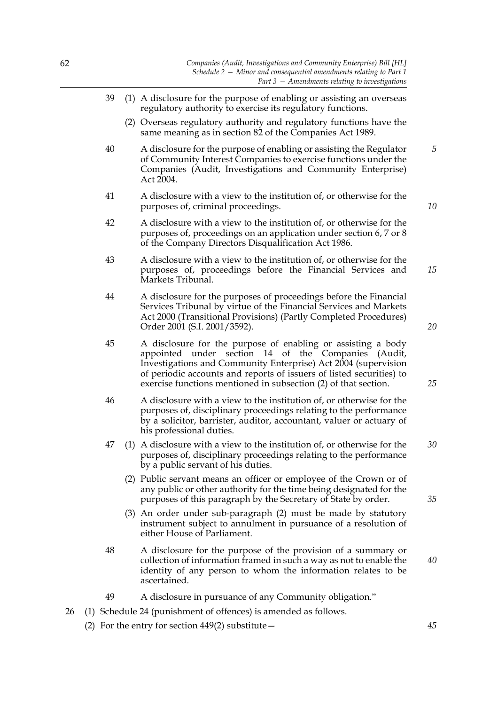- 39 (1) A disclosure for the purpose of enabling or assisting an overseas regulatory authority to exercise its regulatory functions.
	- (2) Overseas regulatory authority and regulatory functions have the same meaning as in section 82 of the Companies Act 1989.
- 40 A disclosure for the purpose of enabling or assisting the Regulator of Community Interest Companies to exercise functions under the Companies (Audit, Investigations and Community Enterprise) Act 2004. *5*
- 41 A disclosure with a view to the institution of, or otherwise for the purposes of, criminal proceedings.
- 42 A disclosure with a view to the institution of, or otherwise for the purposes of, proceedings on an application under section 6, 7 or 8 of the Company Directors Disqualification Act 1986.
- 43 A disclosure with a view to the institution of, or otherwise for the purposes of, proceedings before the Financial Services and Markets Tribunal. *15*
- 44 A disclosure for the purposes of proceedings before the Financial Services Tribunal by virtue of the Financial Services and Markets Act 2000 (Transitional Provisions) (Partly Completed Procedures) Order 2001 (S.I. 2001/3592).
- 45 A disclosure for the purpose of enabling or assisting a body appointed under section 14 of the Companies (Audit, Investigations and Community Enterprise) Act 2004 (supervision of periodic accounts and reports of issuers of listed securities) to exercise functions mentioned in subsection (2) of that section.
- 46 A disclosure with a view to the institution of, or otherwise for the purposes of, disciplinary proceedings relating to the performance by a solicitor, barrister, auditor, accountant, valuer or actuary of his professional duties.
- 47 (1) A disclosure with a view to the institution of, or otherwise for the purposes of, disciplinary proceedings relating to the performance by a public servant of his duties. *30*
	- (2) Public servant means an officer or employee of the Crown or of any public or other authority for the time being designated for the purposes of this paragraph by the Secretary of State by order.
	- (3) An order under sub-paragraph (2) must be made by statutory instrument subject to annulment in pursuance of a resolution of either House of Parliament.
- 48 A disclosure for the purpose of the provision of a summary or collection of information framed in such a way as not to enable the identity of any person to whom the information relates to be ascertained.
- 49 A disclosure in pursuance of any Community obligation."
- 26 (1) Schedule 24 (punishment of offences) is amended as follows.
	- (2) For the entry for section 449(2) substitute—

*10*

*25*

*35*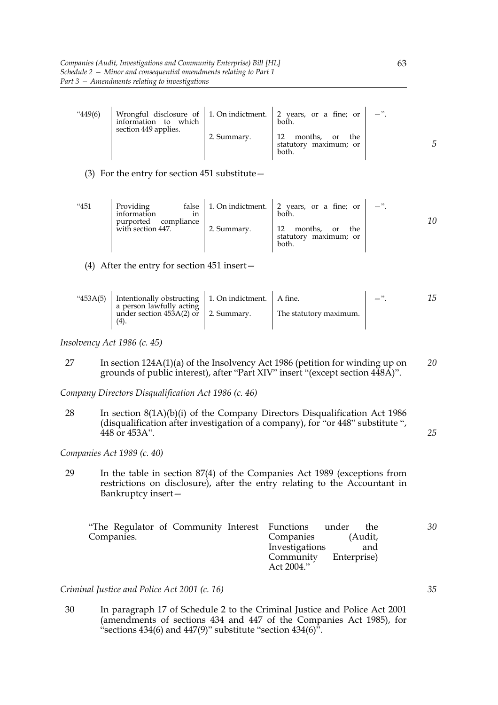| 449(6) | information to which<br>section 449 applies. |             | Wrongful disclosure of $\vert$ 1. On indictment. $\vert$ 2 years, or a fine; or $\vert$<br>both. |  |
|--------|----------------------------------------------|-------------|--------------------------------------------------------------------------------------------------|--|
|        |                                              | 2. Summary. | 12<br>months,<br>the<br>or<br>statutory maximum; or<br>both.                                     |  |

(3) For the entry for section 451 substitute—

| "451 | Providing<br>information<br>1n<br>purported compliance |             | false   1. On indictment. $\vert$ 2 years, or a fine; or<br>both. | $-$ ". |
|------|--------------------------------------------------------|-------------|-------------------------------------------------------------------|--------|
|      | with section 447.                                      | 2. Summary. | 12<br>months,<br>the<br>or<br>statutory maximum; or<br>both.      |        |

(4) After the entry for section 451 insert—

| "453A(5) Intentionally obstructing   1. On indictment.   A fine.<br>a person lawfully acting |                        |  |
|----------------------------------------------------------------------------------------------|------------------------|--|
| under section $45\overline{3}A(2)$ or   2. Summary.<br>(4).                                  | The statutory maximum. |  |

*Insolvency Act 1986 (c. 45)*

27 In section 124A(1)(a) of the Insolvency Act 1986 (petition for winding up on grounds of public interest), after "Part XIV" insert "(except section 448A)". *20*

*Company Directors Disqualification Act 1986 (c. 46)*

28 In section 8(1A)(b)(i) of the Company Directors Disqualification Act 1986 (disqualification after investigation of a company), for "or 448" substitute ", 448 or 453A".

*Companies Act 1989 (c. 40)*

29 In the table in section 87(4) of the Companies Act 1989 (exceptions from restrictions on disclosure), after the entry relating to the Accountant in Bankruptcy insert—

| "The Regulator of Community Interest Functions under | 30<br>the             |
|------------------------------------------------------|-----------------------|
| Companies.                                           | Companies<br>(Audit,  |
|                                                      | Investigations<br>and |
|                                                      | Community Enterprise) |
|                                                      | Act 2004."            |

*Criminal Justice and Police Act 2001 (c. 16)*

30 In paragraph 17 of Schedule 2 to the Criminal Justice and Police Act 2001 (amendments of sections 434 and 447 of the Companies Act 1985), for "sections  $434(6)$  and  $447(9)$ " substitute "section  $434(6)$ ".

*5*

*35*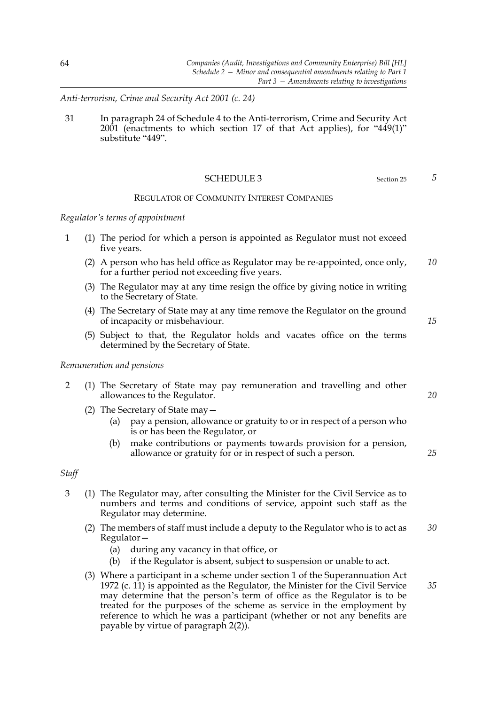*Anti-terrorism, Crime and Security Act 2001 (c. 24)*

31 In paragraph 24 of Schedule 4 to the Anti-terrorism, Crime and Security Act 2001 (enactments to which section 17 of that Act applies), for "449(1)" substitute "449".

#### SCHEDULE 3 Section 25

### REGULATOR OF COMMUNITY INTEREST COMPANIES

### *Regulator's terms of appointment*

- 1 (1) The period for which a person is appointed as Regulator must not exceed five years.
	- (2) A person who has held office as Regulator may be re-appointed, once only, for a further period not exceeding five years. *10*
	- (3) The Regulator may at any time resign the office by giving notice in writing to the Secretary of State.
	- (4) The Secretary of State may at any time remove the Regulator on the ground of incapacity or misbehaviour.
	- (5) Subject to that, the Regulator holds and vacates office on the terms determined by the Secretary of State.

#### *Remuneration and pensions*

- 2 (1) The Secretary of State may pay remuneration and travelling and other allowances to the Regulator.
	- (2) The Secretary of State may—
		- (a) pay a pension, allowance or gratuity to or in respect of a person who is or has been the Regulator, or
		- (b) make contributions or payments towards provision for a pension, allowance or gratuity for or in respect of such a person.

# *Staff*

- 3 (1) The Regulator may, after consulting the Minister for the Civil Service as to numbers and terms and conditions of service, appoint such staff as the Regulator may determine.
	- (2) The members of staff must include a deputy to the Regulator who is to act as Regulator— *30*
		- (a) during any vacancy in that office, or
		- (b) if the Regulator is absent, subject to suspension or unable to act.
	- (3) Where a participant in a scheme under section 1 of the Superannuation Act 1972 (c.  $11$ ) is appointed as the Regulator, the Minister for the Civil Service may determine that the person's term of office as the Regulator is to be treated for the purposes of the scheme as service in the employment by reference to which he was a participant (whether or not any benefits are payable by virtue of paragraph 2(2)). *35*

*5*

*15*

*25*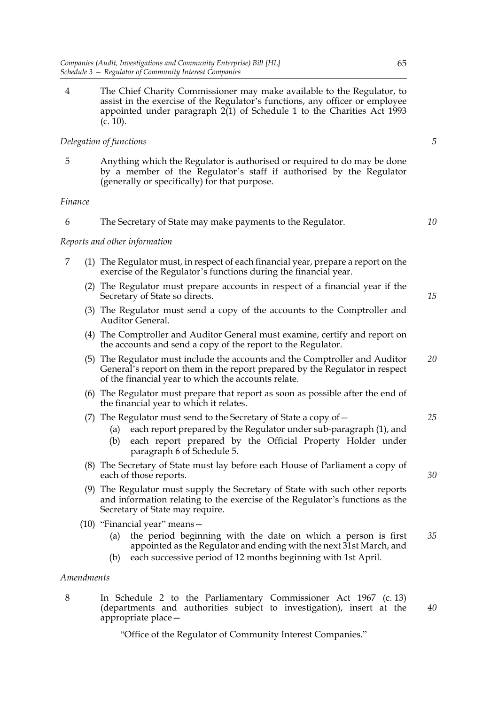4 The Chief Charity Commissioner may make available to the Regulator, to assist in the exercise of the Regulator's functions, any officer or employee appointed under paragraph  $2(1)$  of Schedule 1 to the Charities Act 1993  $(c. 10)$ .

# *Delegation of functions*

5 Anything which the Regulator is authorised or required to do may be done by a member of the Regulator's staff if authorised by the Regulator (generally or specifically) for that purpose.

# *Finance*

| The Secretary of State may make payments to the Regulator. |  |  |  |  |
|------------------------------------------------------------|--|--|--|--|
|------------------------------------------------------------|--|--|--|--|

# *Reports and other information*

- 7 (1) The Regulator must, in respect of each financial year, prepare a report on the exercise of the Regulator's functions during the financial year.
	- (2) The Regulator must prepare accounts in respect of a financial year if the Secretary of State so directs.
	- (3) The Regulator must send a copy of the accounts to the Comptroller and Auditor General.
	- (4) The Comptroller and Auditor General must examine, certify and report on the accounts and send a copy of the report to the Regulator.
	- (5) The Regulator must include the accounts and the Comptroller and Auditor General's report on them in the report prepared by the Regulator in respect of the financial year to which the accounts relate. *20*
	- (6) The Regulator must prepare that report as soon as possible after the end of the financial year to which it relates.

### (7) The Regulator must send to the Secretary of State a copy of  $-$

- (a) each report prepared by the Regulator under sub-paragraph (1), and
- (b) each report prepared by the Official Property Holder under paragraph 6 of Schedule 5.
- (8) The Secretary of State must lay before each House of Parliament a copy of each of those reports.
- (9) The Regulator must supply the Secretary of State with such other reports and information relating to the exercise of the Regulator's functions as the Secretary of State may require.
- (10) "Financial year" means—
	- (a) the period beginning with the date on which a person is first appointed as the Regulator and ending with the next 31st March, and *35*
	- (b) each successive period of 12 months beginning with 1st April.

### *Amendments*

8 In Schedule 2 to the Parliamentary Commissioner Act 1967 (c. 13) (departments and authorities subject to investigation), insert at the appropriate place— *40*

"Office of the Regulator of Community Interest Companies."

*5*

*10*

*15*

*25*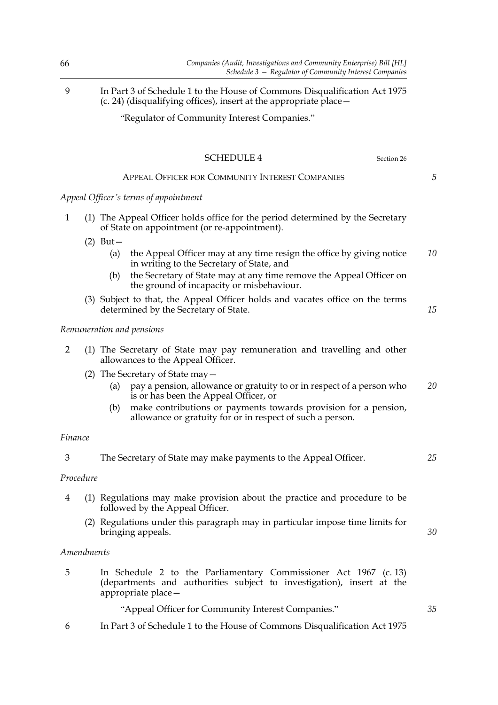| 66           |            | Companies (Audit, Investigations and Community Enterprise) Bill [HL]<br>Schedule 3 - Regulator of Community Interest Companies                      |    |
|--------------|------------|-----------------------------------------------------------------------------------------------------------------------------------------------------|----|
| 9            |            | In Part 3 of Schedule 1 to the House of Commons Disqualification Act 1975<br>$(c. 24)$ (disqualifying offices), insert at the appropriate place $-$ |    |
|              |            | "Regulator of Community Interest Companies."                                                                                                        |    |
|              |            | <b>SCHEDULE 4</b><br>Section 26                                                                                                                     |    |
|              |            | APPEAL OFFICER FOR COMMUNITY INTEREST COMPANIES                                                                                                     | 5  |
|              |            | Appeal Officer's terms of appointment                                                                                                               |    |
| $\mathbf{1}$ |            | (1) The Appeal Officer holds office for the period determined by the Secretary<br>of State on appointment (or re-appointment).                      |    |
|              | $(2)$ But- |                                                                                                                                                     |    |
|              |            | the Appeal Officer may at any time resign the office by giving notice<br>(a)<br>in writing to the Secretary of State, and                           | 10 |
|              | (b)        | the Secretary of State may at any time remove the Appeal Officer on<br>the ground of incapacity or misbehaviour.                                    |    |
|              | (3)        | Subject to that, the Appeal Officer holds and vacates office on the terms<br>determined by the Secretary of State.                                  | 15 |

# *Remuneration and pensions*

|  |                                   |  | (1) The Secretary of State may pay remuneration and travelling and other |  |  |
|--|-----------------------------------|--|--------------------------------------------------------------------------|--|--|
|  | allowances to the Appeal Officer. |  |                                                                          |  |  |

(2) The Secretary of State may—

(a) pay a pension, allowance or gratuity to or in respect of a person who is or has been the Appeal Officer, or *20*

*25*

*30*

*35*

(b) make contributions or payments towards provision for a pension, allowance or gratuity for or in respect of such a person.

### *Finance*

| The Secretary of State may make payments to the Appeal Officer. |  |  |  |  |  |
|-----------------------------------------------------------------|--|--|--|--|--|
|-----------------------------------------------------------------|--|--|--|--|--|

## *Procedure*

- 4 (1) Regulations may make provision about the practice and procedure to be followed by the Appeal Officer.
	- (2) Regulations under this paragraph may in particular impose time limits for bringing appeals.

### *Amendments*

5 In Schedule 2 to the Parliamentary Commissioner Act 1967 (c. 13) (departments and authorities subject to investigation), insert at the appropriate place—

"Appeal Officer for Community Interest Companies."

6 In Part 3 of Schedule 1 to the House of Commons Disqualification Act 1975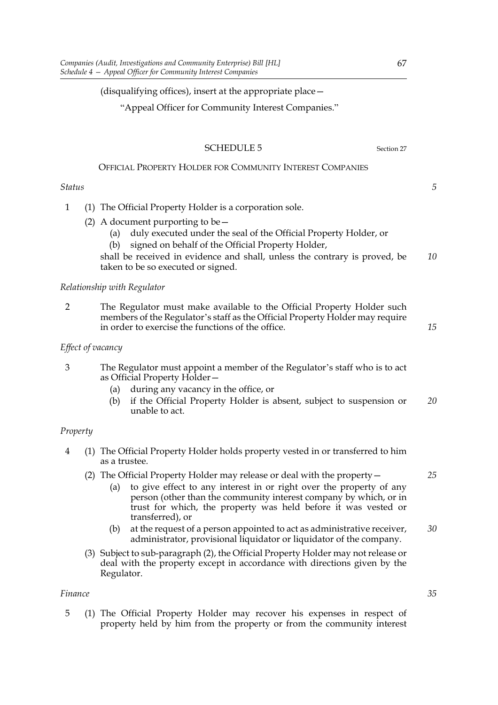### (disqualifying offices), insert at the appropriate place—

"Appeal Officer for Community Interest Companies."

#### SCHEDULE 5 Section 27

# OFFICIAL PROPERTY HOLDER FOR COMMUNITY INTEREST COMPANIES

# *Status*

- 1 (1) The Official Property Holder is a corporation sole.
	- (2) A document purporting to be  $-$ 
		- (a) duly executed under the seal of the Official Property Holder, or
		- (b) signed on behalf of the Official Property Holder,

shall be received in evidence and shall, unless the contrary is proved, be taken to be so executed or signed. *10*

### *Relationship with Regulator*

2 The Regulator must make available to the Official Property Holder such members of the Regulator's staff as the Official Property Holder may require in order to exercise the functions of the office.

### *Effect of vacancy*

- 3 The Regulator must appoint a member of the Regulator's staff who is to act as Official Property Holder—
	- (a) during any vacancy in the office, or
	- (b) if the Official Property Holder is absent, subject to suspension or unable to act. *20*

#### *Property*

- 4 (1) The Official Property Holder holds property vested in or transferred to him as a trustee.
	- (2) The Official Property Holder may release or deal with the property—
		- (a) to give effect to any interest in or right over the property of any person (other than the community interest company by which, or in trust for which, the property was held before it was vested or transferred), or
		- (b) at the request of a person appointed to act as administrative receiver, administrator, provisional liquidator or liquidator of the company. *30*
	- (3) Subject to sub-paragraph (2), the Official Property Holder may not release or deal with the property except in accordance with directions given by the Regulator.

# *Finance*

5 (1) The Official Property Holder may recover his expenses in respect of property held by him from the property or from the community interest *35*

*15*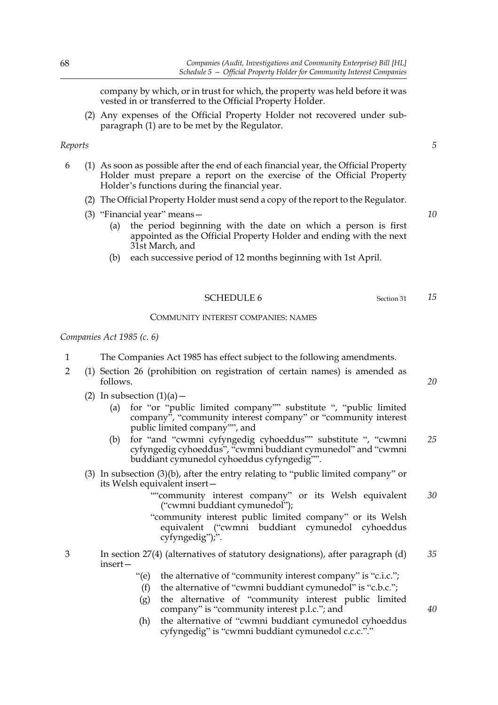company by which, or in trust for which, the property was held before it was vested in or transferred to the Official Property Holder.

(2) Any expenses of the Official Property Holder not recovered under subparagraph (1) are to be met by the Regulator.

#### *Reports*

- 6 (1) As soon as possible after the end of each financial year, the Official Property Holder must prepare a report on the exercise of the Official Property Holder's functions during the financial year.
	- (2) The Official Property Holder must send a copy of the report to the Regulator.
	- (3) "Financial year" means—
		- (a) the period beginning with the date on which a person is first appointed as the Official Property Holder and ending with the next 31st March, and
		- (b) each successive period of 12 months beginning with 1st April.

## SCHEDULE 6 Section 31

#### COMMUNITY INTEREST COMPANIES: NAMES

*Companies Act 1985 (c. 6)*

- 1 The Companies Act 1985 has effect subject to the following amendments.
- 2 (1) Section 26 (prohibition on registration of certain names) is amended as follows.
	- (2) In subsection  $(1)(a)$ 
		- (a) for "or "public limited company"" substitute ", "public limited company", "community interest company" or "community interest public limited company"", and
		- (b) for "and "cwmni cyfyngedig cyhoeddus"" substitute ", "cwmni cyfyngedig cyhoeddus", "cwmni buddiant cymunedol" and "cwmni buddiant cymunedol cyhoeddus cyfyngedig"". *25*
	- (3) In subsection (3)(b), after the entry relating to "public limited company" or its Welsh equivalent insert—
		- ""community interest company" or its Welsh equivalent ("cwmni buddiant cymunedol"); *30*
		- "community interest public limited company" or its Welsh equivalent ("cwmni buddiant cymunedol cyhoeddus cyfyngedig");".
- 3 In section 27(4) (alternatives of statutory designations), after paragraph (d) insert— *35*
	- "(e) the alternative of "community interest company" is "c.i.c.";
	- (f) the alternative of "cwmni buddiant cymunedol" is "c.b.c.";
	- (g) the alternative of "community interest public limited company" is "community interest p.l.c."; and
	- (h) the alternative of "cwmni buddiant cymunedol cyhoeddus cyfyngedig" is "cwmni buddiant cymunedol c.c.c."."

*5*

*10*

*15*

*20*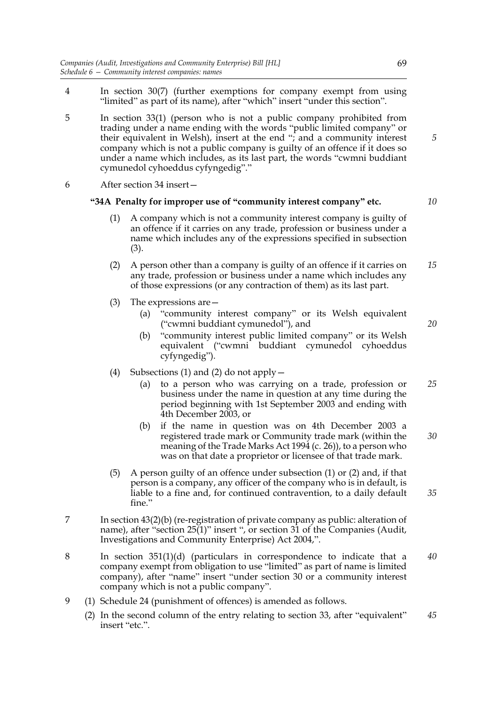- 4 In section 30(7) (further exemptions for company exempt from using "limited" as part of its name), after "which" insert "under this section".
- 5 In section 33(1) (person who is not a public company prohibited from trading under a name ending with the words "public limited company" or their equivalent in Welsh), insert at the end "; and a community interest company which is not a public company is guilty of an offence if it does so under a name which includes, as its last part, the words "cwmni buddiant cymunedol cyhoeddus cyfyngedig"."
- 6 After section 34 insert—

### **"34A Penalty for improper use of "community interest company" etc.**

*10*

*20*

- (1) A company which is not a community interest company is guilty of an offence if it carries on any trade, profession or business under a name which includes any of the expressions specified in subsection (3).
- (2) A person other than a company is guilty of an offence if it carries on any trade, profession or business under a name which includes any of those expressions (or any contraction of them) as its last part. *15*
- (3) The expressions are—
	- (a) "community interest company" or its Welsh equivalent ("cwmni buddiant cymunedol"), and
	- (b) "community interest public limited company" or its Welsh equivalent ("cwmni buddiant cymunedol cyhoeddus cyfyngedig").
- (4) Subsections (1) and (2) do not apply  $-$ 
	- (a) to a person who was carrying on a trade, profession or business under the name in question at any time during the period beginning with 1st September 2003 and ending with 4th December 2003, or *25*
	- (b) if the name in question was on 4th December 2003 a registered trade mark or Community trade mark (within the meaning of the Trade Marks Act 1994 (c. 26)), to a person who was on that date a proprietor or licensee of that trade mark. *30*
- (5) A person guilty of an offence under subsection (1) or (2) and, if that person is a company, any officer of the company who is in default, is liable to a fine and, for continued contravention, to a daily default fine." *35*
- 7 In section 43(2)(b) (re-registration of private company as public: alteration of name), after "section 25(1)" insert ", or section 31 of the Companies (Audit, Investigations and Community Enterprise) Act 2004,".
- 8 In section 351(1)(d) (particulars in correspondence to indicate that a company exempt from obligation to use "limited" as part of name is limited company), after "name" insert "under section 30 or a community interest company which is not a public company". *40*
- 9 (1) Schedule 24 (punishment of offences) is amended as follows.
	- (2) In the second column of the entry relating to section 33, after "equivalent" insert "etc.". *45*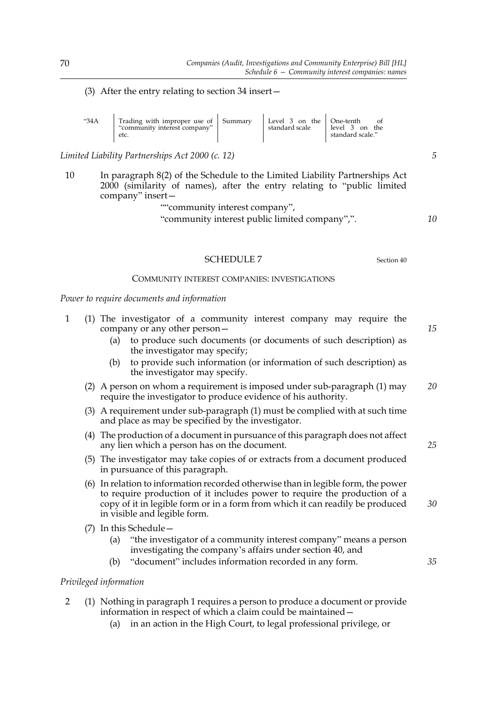(3) After the entry relating to section 34 insert—

| "34A | Trading with improper use of Summary<br>"community interest company"<br>etc. | Level 3 on the One-tenth<br>standard scale | level 3 on the<br>standard scale." |
|------|------------------------------------------------------------------------------|--------------------------------------------|------------------------------------|
|      |                                                                              |                                            |                                    |

*Limited Liability Partnerships Act 2000 (c. 12)*

10 In paragraph 8(2) of the Schedule to the Limited Liability Partnerships Act 2000 (similarity of names), after the entry relating to "public limited company" insert—

""community interest company",

"community interest public limited company",".

SCHEDULE 7 Section 40

### COMMUNITY INTEREST COMPANIES: INVESTIGATIONS

*Power to require documents and information*

- 1 (1) The investigator of a community interest company may require the company or any other person—
	- (a) to produce such documents (or documents of such description) as the investigator may specify;
	- (b) to provide such information (or information of such description) as the investigator may specify.
	- (2) A person on whom a requirement is imposed under sub-paragraph (1) may require the investigator to produce evidence of his authority. *20*
	- (3) A requirement under sub-paragraph (1) must be complied with at such time and place as may be specified by the investigator.
	- (4) The production of a document in pursuance of this paragraph does not affect any lien which a person has on the document.
	- (5) The investigator may take copies of or extracts from a document produced in pursuance of this paragraph.
	- (6) In relation to information recorded otherwise than in legible form, the power to require production of it includes power to require the production of a copy of it in legible form or in a form from which it can readily be produced in visible and legible form.
	- (7) In this Schedule—
		- (a) "the investigator of a community interest company" means a person investigating the company's affairs under section 40, and
		- (b) "document" includes information recorded in any form.

# *Privileged information*

- 2 (1) Nothing in paragraph 1 requires a person to produce a document or provide information in respect of which a claim could be maintained—
	- (a) in an action in the High Court, to legal professional privilege, or

*15*

*10*

*5*

*25*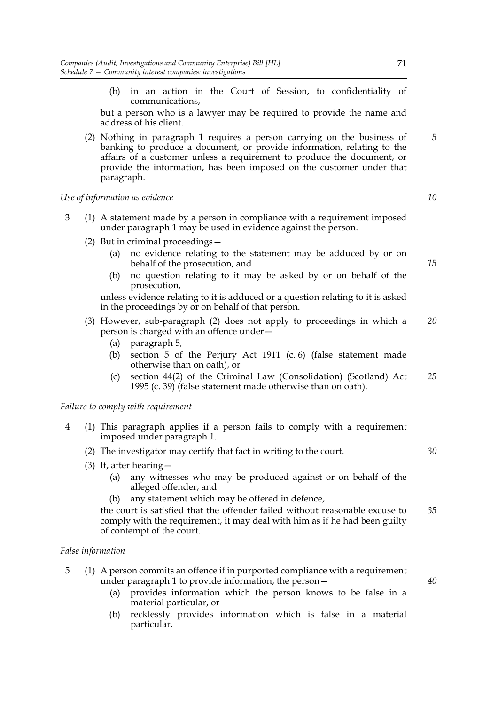(b) in an action in the Court of Session, to confidentiality of communications,

but a person who is a lawyer may be required to provide the name and address of his client.

(2) Nothing in paragraph 1 requires a person carrying on the business of banking to produce a document, or provide information, relating to the affairs of a customer unless a requirement to produce the document, or provide the information, has been imposed on the customer under that paragraph.

# *Use of information as evidence*

- 3 (1) A statement made by a person in compliance with a requirement imposed under paragraph 1 may be used in evidence against the person.
	- (2) But in criminal proceedings—
		- (a) no evidence relating to the statement may be adduced by or on behalf of the prosecution, and
		- (b) no question relating to it may be asked by or on behalf of the prosecution,

unless evidence relating to it is adduced or a question relating to it is asked in the proceedings by or on behalf of that person.

- (3) However, sub-paragraph (2) does not apply to proceedings in which a person is charged with an offence under— *20*
	- (a) paragraph 5,
	- (b) section 5 of the Perjury Act 1911 (c. 6) (false statement made otherwise than on oath), or
	- (c) section 44(2) of the Criminal Law (Consolidation) (Scotland) Act 1995 (c. 39) (false statement made otherwise than on oath). *25*

# *Failure to comply with requirement*

- 4 (1) This paragraph applies if a person fails to comply with a requirement imposed under paragraph 1.
	- (2) The investigator may certify that fact in writing to the court.
	- (3) If, after hearing—
		- (a) any witnesses who may be produced against or on behalf of the alleged offender, and
		- (b) any statement which may be offered in defence,

the court is satisfied that the offender failed without reasonable excuse to comply with the requirement, it may deal with him as if he had been guilty of contempt of the court. *35*

# *False information*

- 5 (1) A person commits an offence if in purported compliance with a requirement under paragraph 1 to provide information, the person—
	- (a) provides information which the person knows to be false in a material particular, or
	- (b) recklessly provides information which is false in a material particular,

71

*10*

*5*

*15*

*30*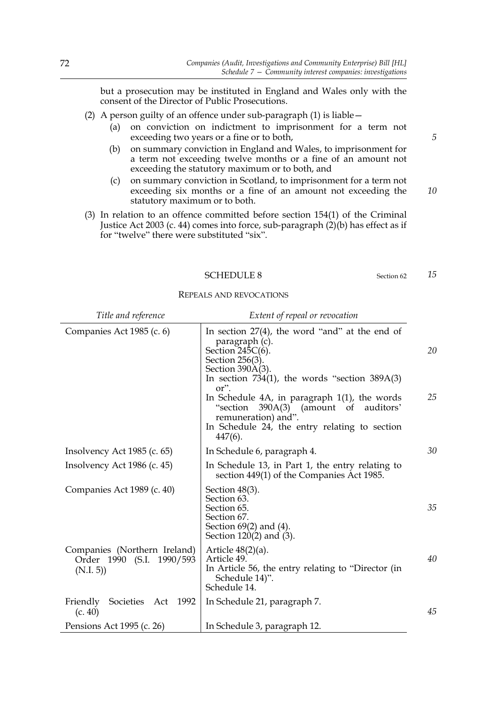but a prosecution may be instituted in England and Wales only with the consent of the Director of Public Prosecutions.

- (2) A person guilty of an offence under sub-paragraph (1) is liable—
	- (a) on conviction on indictment to imprisonment for a term not exceeding two years or a fine or to both,
	- (b) on summary conviction in England and Wales, to imprisonment for a term not exceeding twelve months or a fine of an amount not exceeding the statutory maximum or to both, and
	- (c) on summary conviction in Scotland, to imprisonment for a term not exceeding six months or a fine of an amount not exceeding the statutory maximum or to both.
- (3) In relation to an offence committed before section 154(1) of the Criminal Justice Act 2003 (c. 44) comes into force, sub-paragraph (2)(b) has effect as if for "twelve" there were substituted "six".

#### SCHEDULE 8 Section 62

REPEALS AND REVOCATIONS

| Title and reference                                                    | Extent of repeal or revocation                                                                                                                                                                                                                                                                                                                                                          |          |
|------------------------------------------------------------------------|-----------------------------------------------------------------------------------------------------------------------------------------------------------------------------------------------------------------------------------------------------------------------------------------------------------------------------------------------------------------------------------------|----------|
| Companies Act 1985 (c. 6)                                              | In section $27(4)$ , the word "and" at the end of<br>paragraph (c).<br>Section $245C(6)$ .<br>Section 256(3).<br>Section 390A(3).<br>In section $734(1)$ , the words "section $389A(3)$<br>or".<br>In Schedule $4A$ , in paragraph $1(1)$ , the words<br>390A(3) (amount of auditors'<br>"section<br>remuneration) and".<br>In Schedule 24, the entry relating to section<br>$447(6)$ . | 20<br>25 |
| Insolvency Act 1985 (c. 65)                                            | In Schedule 6, paragraph 4.                                                                                                                                                                                                                                                                                                                                                             | 30       |
| Insolvency Act 1986 (c. 45)                                            | In Schedule 13, in Part 1, the entry relating to<br>section 449(1) of the Companies Act 1985.                                                                                                                                                                                                                                                                                           |          |
| Companies Act 1989 (c. 40)                                             | Section $48(3)$ .<br>Section 63.<br>Section 65.<br>Section 67.<br>Section $69(2)$ and $(4)$ .<br>Section $120(2)$ and $(3)$ .                                                                                                                                                                                                                                                           | 35       |
| Companies (Northern Ireland)<br>Order 1990 (S.I. 1990/593<br>(N.I. 5)) | Article $48(2)(a)$ .<br>Article 49.<br>In Article 56, the entry relating to "Director (in<br>Schedule 14)".<br>Schedule 14.                                                                                                                                                                                                                                                             | 40       |
| Friendly Societies Act 1992<br>(c. 40)                                 | In Schedule 21, paragraph 7.                                                                                                                                                                                                                                                                                                                                                            | 45       |
| Pensions Act 1995 (c. 26)                                              | In Schedule 3, paragraph 12.                                                                                                                                                                                                                                                                                                                                                            |          |

*5*

*10*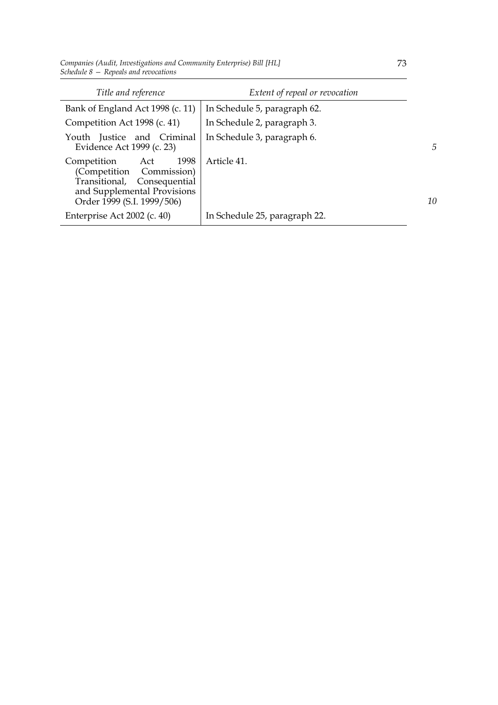*Companies (Audit, Investigations and Community Enterprise) Bill [HL] Schedule 8 — Repeals and revocations*

| Title and reference                                                                                                                                | Extent of repeal or revocation |    |
|----------------------------------------------------------------------------------------------------------------------------------------------------|--------------------------------|----|
| Bank of England Act 1998 (c. 11)                                                                                                                   | In Schedule 5, paragraph 62.   |    |
| Competition Act 1998 (c. 41)                                                                                                                       | In Schedule 2, paragraph 3.    |    |
| Youth Justice and Criminal<br>Evidence Act 1999 (c. 23)                                                                                            | In Schedule 3, paragraph 6.    | 5  |
| 1998<br>Competition<br>Act<br>(Competition Commission)<br>Transitional, Consequential<br>and Supplemental Provisions<br>Order 1999 (S.I. 1999/506) | Article 41.                    | 10 |
| Enterprise Act 2002 (c. 40)                                                                                                                        | In Schedule 25, paragraph 22.  |    |